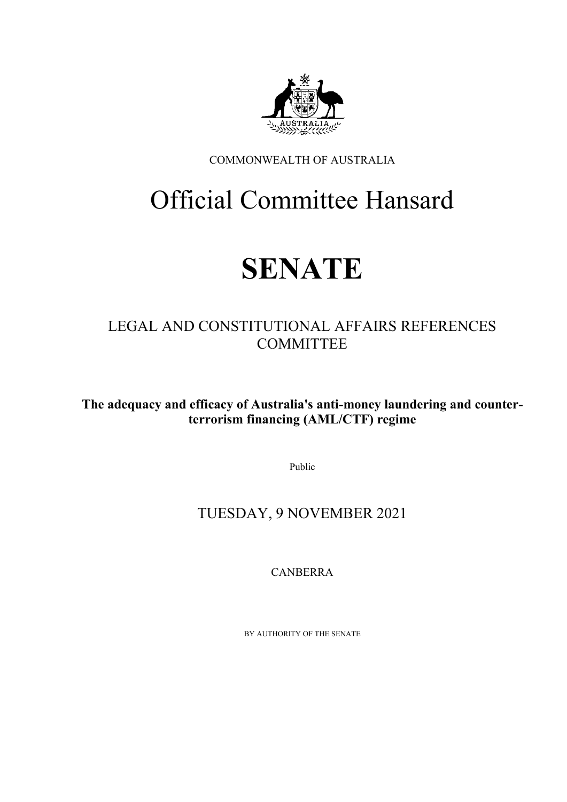

COMMONWEALTH OF AUSTRALIA

# Official Committee Hansard

# **SENATE**

# LEGAL AND CONSTITUTIONAL AFFAIRS REFERENCES **COMMITTEE**

**The adequacy and efficacy of Australia's anti-money laundering and counterterrorism financing (AML/CTF) regime**

Public

# TUESDAY, 9 NOVEMBER 2021

CANBERRA

BY AUTHORITY OF THE SENATE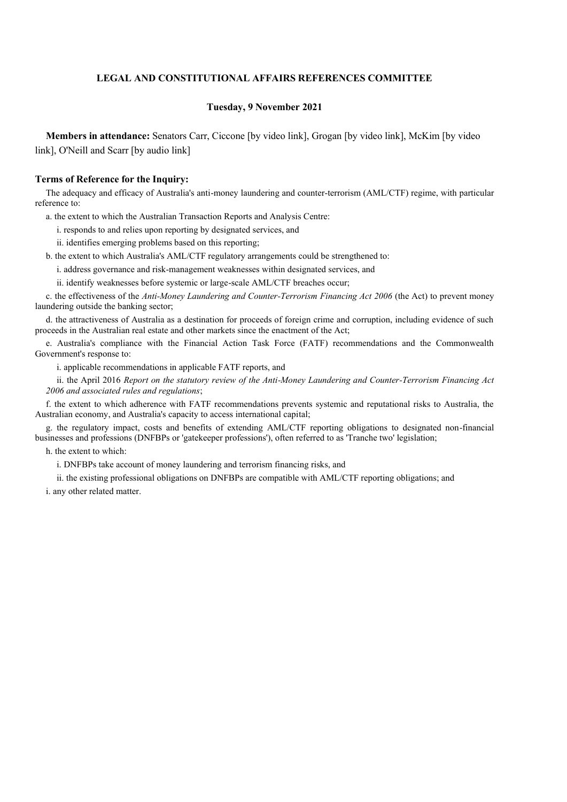# **LEGAL AND CONSTITUTIONAL AFFAIRS REFERENCES COMMITTEE**

#### **Tuesday, 9 November 2021**

**Members in attendance:** Senators Carr, Ciccone [by video link], Grogan [by video link], McKim [by video link], O'Neill and Scarr [by audio link]

#### **Terms of Reference for the Inquiry:**

The adequacy and efficacy of Australia's anti-money laundering and counter-terrorism (AML/CTF) regime, with particular reference to:

a. the extent to which the Australian Transaction Reports and Analysis Centre:

i. responds to and relies upon reporting by designated services, and

ii. identifies emerging problems based on this reporting;

b. the extent to which Australia's AML/CTF regulatory arrangements could be strengthened to:

i. address governance and risk-management weaknesses within designated services, and

ii. identify weaknesses before systemic or large-scale AML/CTF breaches occur;

c. the effectiveness of the *Anti-Money Laundering and Counter-Terrorism Financing Act 2006* (the Act) to prevent money laundering outside the banking sector;

d. the attractiveness of Australia as a destination for proceeds of foreign crime and corruption, including evidence of such proceeds in the Australian real estate and other markets since the enactment of the Act;

e. Australia's compliance with the Financial Action Task Force (FATF) recommendations and the Commonwealth Government's response to:

i. applicable recommendations in applicable FATF reports, and

ii. the April 2016 *Report on the statutory review of the Anti-Money Laundering and Counter-Terrorism Financing Act 2006 and associated rules and regulations*;

f. the extent to which adherence with FATF recommendations prevents systemic and reputational risks to Australia, the Australian economy, and Australia's capacity to access international capital;

g. the regulatory impact, costs and benefits of extending AML/CTF reporting obligations to designated non-financial businesses and professions (DNFBPs or 'gatekeeper professions'), often referred to as 'Tranche two' legislation;

h. the extent to which:

i. DNFBPs take account of money laundering and terrorism financing risks, and

ii. the existing professional obligations on DNFBPs are compatible with AML/CTF reporting obligations; and

i. any other related matter.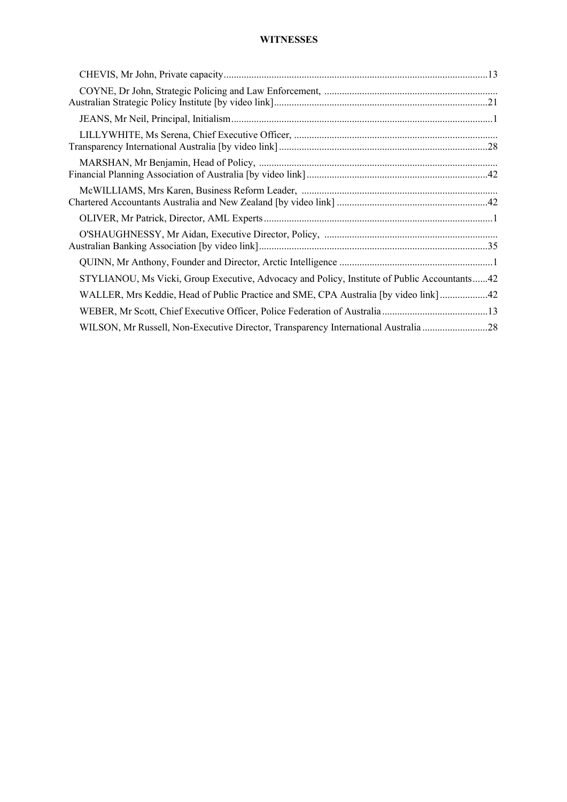# **WITNESSES**

| STYLIANOU, Ms Vicki, Group Executive, Advocacy and Policy, Institute of Public Accountants42 |
|----------------------------------------------------------------------------------------------|
| WALLER, Mrs Keddie, Head of Public Practice and SME, CPA Australia [by video link] 42        |
|                                                                                              |
| WILSON, Mr Russell, Non-Executive Director, Transparency International Australia 28          |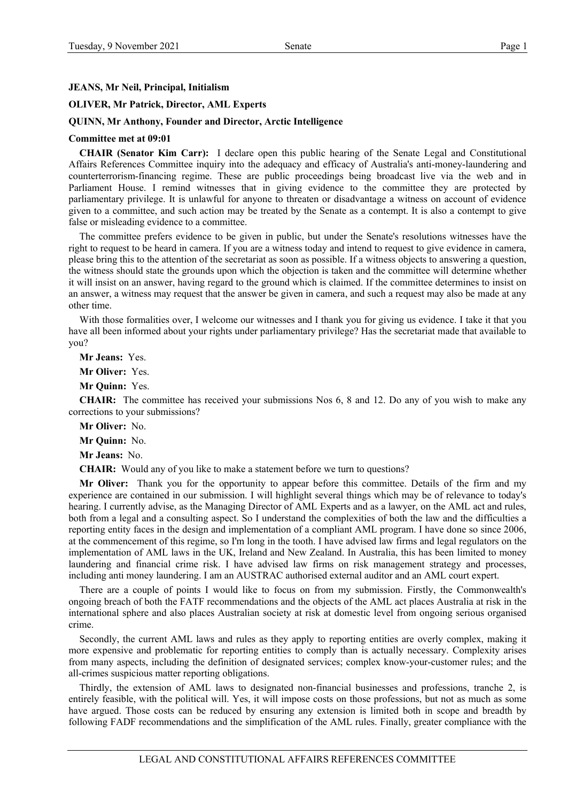# **JEANS, Mr Neil, Principal, Initialism**

# **OLIVER, Mr Patrick, Director, AML Experts**

#### **QUINN, Mr Anthony, Founder and Director, Arctic Intelligence**

#### **Committee met at 09:01**

**CHAIR (Senator Kim Carr):** I declare open this public hearing of the Senate Legal and Constitutional Affairs References Committee inquiry into the adequacy and efficacy of Australia's anti-money-laundering and counterterrorism-financing regime. These are public proceedings being broadcast live via the web and in Parliament House. I remind witnesses that in giving evidence to the committee they are protected by parliamentary privilege. It is unlawful for anyone to threaten or disadvantage a witness on account of evidence given to a committee, and such action may be treated by the Senate as a contempt. It is also a contempt to give false or misleading evidence to a committee.

The committee prefers evidence to be given in public, but under the Senate's resolutions witnesses have the right to request to be heard in camera. If you are a witness today and intend to request to give evidence in camera, please bring this to the attention of the secretariat as soon as possible. If a witness objects to answering a question, the witness should state the grounds upon which the objection is taken and the committee will determine whether it will insist on an answer, having regard to the ground which is claimed. If the committee determines to insist on an answer, a witness may request that the answer be given in camera, and such a request may also be made at any other time.

With those formalities over, I welcome our witnesses and I thank you for giving us evidence. I take it that you have all been informed about your rights under parliamentary privilege? Has the secretariat made that available to you?

**Mr Jeans:** Yes.

**Mr Oliver:** Yes.

**Mr Quinn:** Yes.

**CHAIR:** The committee has received your submissions Nos 6, 8 and 12. Do any of you wish to make any corrections to your submissions?

**Mr Oliver:** No.

**Mr Quinn:** No.

**Mr Jeans:** No.

**CHAIR:** Would any of you like to make a statement before we turn to questions?

**Mr Oliver:** Thank you for the opportunity to appear before this committee. Details of the firm and my experience are contained in our submission. I will highlight several things which may be of relevance to today's hearing. I currently advise, as the Managing Director of AML Experts and as a lawyer, on the AML act and rules, both from a legal and a consulting aspect. So I understand the complexities of both the law and the difficulties a reporting entity faces in the design and implementation of a compliant AML program. I have done so since 2006, at the commencement of this regime, so I'm long in the tooth. I have advised law firms and legal regulators on the implementation of AML laws in the UK, Ireland and New Zealand. In Australia, this has been limited to money laundering and financial crime risk. I have advised law firms on risk management strategy and processes, including anti money laundering. I am an AUSTRAC authorised external auditor and an AML court expert.

There are a couple of points I would like to focus on from my submission. Firstly, the Commonwealth's ongoing breach of both the FATF recommendations and the objects of the AML act places Australia at risk in the international sphere and also places Australian society at risk at domestic level from ongoing serious organised crime.

Secondly, the current AML laws and rules as they apply to reporting entities are overly complex, making it more expensive and problematic for reporting entities to comply than is actually necessary. Complexity arises from many aspects, including the definition of designated services; complex know-your-customer rules; and the all-crimes suspicious matter reporting obligations.

Thirdly, the extension of AML laws to designated non-financial businesses and professions, tranche 2, is entirely feasible, with the political will. Yes, it will impose costs on those professions, but not as much as some have argued. Those costs can be reduced by ensuring any extension is limited both in scope and breadth by following FADF recommendations and the simplification of the AML rules. Finally, greater compliance with the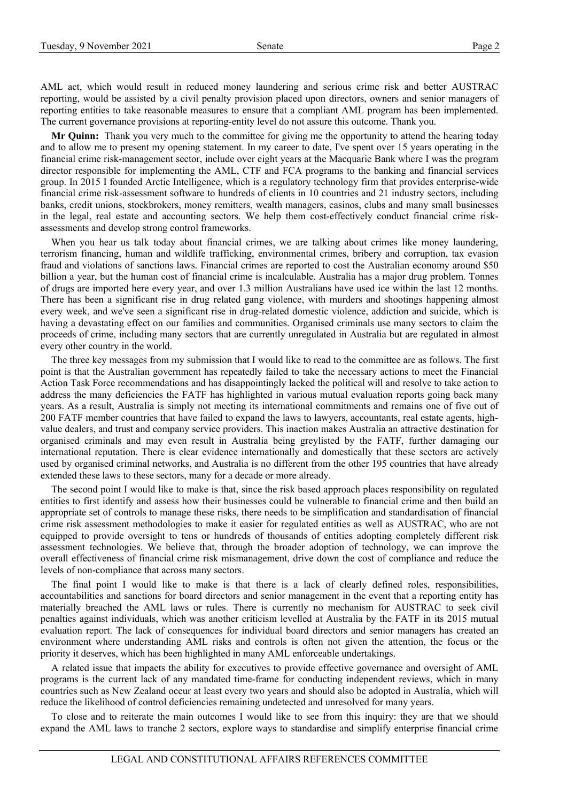AML act, which would result in reduced money laundering and serious crime risk and better AUSTRAC reporting, would be assisted by a civil penalty provision placed upon directors, owners and senior managers of reporting entities to take reasonable measures to ensure that a compliant AML program has been implemented. The current governance provisions at reporting-entity level do not assure this outcome. Thank you.

**Mr Quinn:** Thank you very much to the committee for giving me the opportunity to attend the hearing today and to allow me to present my opening statement. In my career to date, I've spent over 15 years operating in the financial crime risk-management sector, include over eight years at the Macquarie Bank where I was the program director responsible for implementing the AML, CTF and FCA programs to the banking and financial services group. In 2015 I founded Arctic Intelligence, which is a regulatory technology firm that provides enterprise-wide financial crime risk-assessment software to hundreds of clients in 10 countries and 21 industry sectors, including banks, credit unions, stockbrokers, money remitters, wealth managers, casinos, clubs and many small businesses in the legal, real estate and accounting sectors. We help them cost-effectively conduct financial crime riskassessments and develop strong control frameworks.

When you hear us talk today about financial crimes, we are talking about crimes like money laundering, terrorism financing, human and wildlife trafficking, environmental crimes, bribery and corruption, tax evasion fraud and violations of sanctions laws. Financial crimes are reported to cost the Australian economy around \$50 billion a year, but the human cost of financial crime is incalculable. Australia has a major drug problem. Tonnes of drugs are imported here every year, and over 1.3 million Australians have used ice within the last 12 months. There has been a significant rise in drug related gang violence, with murders and shootings happening almost every week, and we've seen a significant rise in drug-related domestic violence, addiction and suicide, which is having a devastating effect on our families and communities. Organised criminals use many sectors to claim the proceeds of crime, including many sectors that are currently unregulated in Australia but are regulated in almost every other country in the world.

The three key messages from my submission that I would like to read to the committee are as follows. The first point is that the Australian government has repeatedly failed to take the necessary actions to meet the Financial Action Task Force recommendations and has disappointingly lacked the political will and resolve to take action to address the many deficiencies the FATF has highlighted in various mutual evaluation reports going back many years. As a result, Australia is simply not meeting its international commitments and remains one of five out of 200 FATF member countries that have failed to expand the laws to lawyers, accountants, real estate agents, highvalue dealers, and trust and company service providers. This inaction makes Australia an attractive destination for organised criminals and may even result in Australia being greylisted by the FATF, further damaging our international reputation. There is clear evidence internationally and domestically that these sectors are actively used by organised criminal networks, and Australia is no different from the other 195 countries that have already extended these laws to these sectors, many for a decade or more already.

The second point I would like to make is that, since the risk based approach places responsibility on regulated entities to first identify and assess how their businesses could be vulnerable to financial crime and then build an appropriate set of controls to manage these risks, there needs to be simplification and standardisation of financial crime risk assessment methodologies to make it easier for regulated entities as well as AUSTRAC, who are not equipped to provide oversight to tens or hundreds of thousands of entities adopting completely different risk assessment technologies. We believe that, through the broader adoption of technology, we can improve the overall effectiveness of financial crime risk mismanagement, drive down the cost of compliance and reduce the levels of non-compliance that across many sectors.

The final point I would like to make is that there is a lack of clearly defined roles, responsibilities, accountabilities and sanctions for board directors and senior management in the event that a reporting entity has materially breached the AML laws or rules. There is currently no mechanism for AUSTRAC to seek civil penalties against individuals, which was another criticism levelled at Australia by the FATF in its 2015 mutual evaluation report. The lack of consequences for individual board directors and senior managers has created an environment where understanding AML risks and controls is often not given the attention, the focus or the priority it deserves, which has been highlighted in many AML enforceable undertakings.

A related issue that impacts the ability for executives to provide effective governance and oversight of AML programs is the current lack of any mandated time-frame for conducting independent reviews, which in many countries such as New Zealand occur at least every two years and should also be adopted in Australia, which will reduce the likelihood of control deficiencies remaining undetected and unresolved for many years.

To close and to reiterate the main outcomes I would like to see from this inquiry: they are that we should expand the AML laws to tranche 2 sectors, explore ways to standardise and simplify enterprise financial crime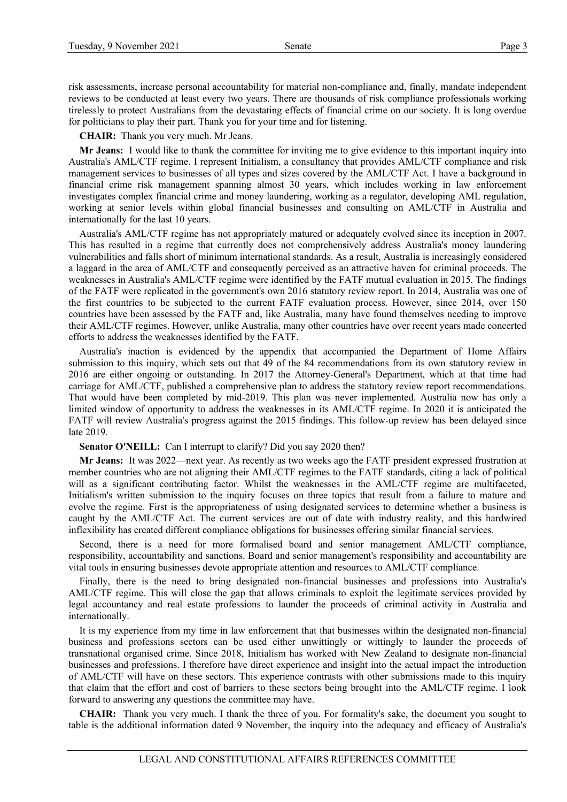risk assessments, increase personal accountability for material non-compliance and, finally, mandate independent reviews to be conducted at least every two years. There are thousands of risk compliance professionals working tirelessly to protect Australians from the devastating effects of financial crime on our society. It is long overdue for politicians to play their part. Thank you for your time and for listening.

**CHAIR:** Thank you very much. Mr Jeans.

**Mr Jeans:** I would like to thank the committee for inviting me to give evidence to this important inquiry into Australia's AML/CTF regime. I represent Initialism, a consultancy that provides AML/CTF compliance and risk management services to businesses of all types and sizes covered by the AML/CTF Act. I have a background in financial crime risk management spanning almost 30 years, which includes working in law enforcement investigates complex financial crime and money laundering, working as a regulator, developing AML regulation, working at senior levels within global financial businesses and consulting on AML/CTF in Australia and internationally for the last 10 years.

Australia's AML/CTF regime has not appropriately matured or adequately evolved since its inception in 2007. This has resulted in a regime that currently does not comprehensively address Australia's money laundering vulnerabilities and falls short of minimum international standards. As a result, Australia is increasingly considered a laggard in the area of AML/CTF and consequently perceived as an attractive haven for criminal proceeds. The weaknesses in Australia's AML/CTF regime were identified by the FATF mutual evaluation in 2015. The findings of the FATF were replicated in the government's own 2016 statutory review report. In 2014, Australia was one of the first countries to be subjected to the current FATF evaluation process. However, since 2014, over 150 countries have been assessed by the FATF and, like Australia, many have found themselves needing to improve their AML/CTF regimes. However, unlike Australia, many other countries have over recent years made concerted efforts to address the weaknesses identified by the FATF.

Australia's inaction is evidenced by the appendix that accompanied the Department of Home Affairs submission to this inquiry, which sets out that 49 of the 84 recommendations from its own statutory review in 2016 are either ongoing or outstanding. In 2017 the Attorney-General's Department, which at that time had carriage for AML/CTF, published a comprehensive plan to address the statutory review report recommendations. That would have been completed by mid-2019. This plan was never implemented. Australia now has only a limited window of opportunity to address the weaknesses in its AML/CTF regime. In 2020 it is anticipated the FATF will review Australia's progress against the 2015 findings. This follow-up review has been delayed since late 2019.

#### **Senator O'NEILL:** Can I interrupt to clarify? Did you say 2020 then?

**Mr Jeans:** It was 2022—next year. As recently as two weeks ago the FATF president expressed frustration at member countries who are not aligning their AML/CTF regimes to the FATF standards, citing a lack of political will as a significant contributing factor. Whilst the weaknesses in the AML/CTF regime are multifaceted, Initialism's written submission to the inquiry focuses on three topics that result from a failure to mature and evolve the regime. First is the appropriateness of using designated services to determine whether a business is caught by the AML/CTF Act. The current services are out of date with industry reality, and this hardwired inflexibility has created different compliance obligations for businesses offering similar financial services.

Second, there is a need for more formalised board and senior management AML/CTF compliance, responsibility, accountability and sanctions. Board and senior management's responsibility and accountability are vital tools in ensuring businesses devote appropriate attention and resources to AML/CTF compliance.

Finally, there is the need to bring designated non-financial businesses and professions into Australia's AML/CTF regime. This will close the gap that allows criminals to exploit the legitimate services provided by legal accountancy and real estate professions to launder the proceeds of criminal activity in Australia and internationally.

It is my experience from my time in law enforcement that that businesses within the designated non-financial business and professions sectors can be used either unwittingly or wittingly to launder the proceeds of transnational organised crime. Since 2018, Initialism has worked with New Zealand to designate non-financial businesses and professions. I therefore have direct experience and insight into the actual impact the introduction of AML/CTF will have on these sectors. This experience contrasts with other submissions made to this inquiry that claim that the effort and cost of barriers to these sectors being brought into the AML/CTF regime. I look forward to answering any questions the committee may have.

**CHAIR:** Thank you very much. I thank the three of you. For formality's sake, the document you sought to table is the additional information dated 9 November, the inquiry into the adequacy and efficacy of Australia's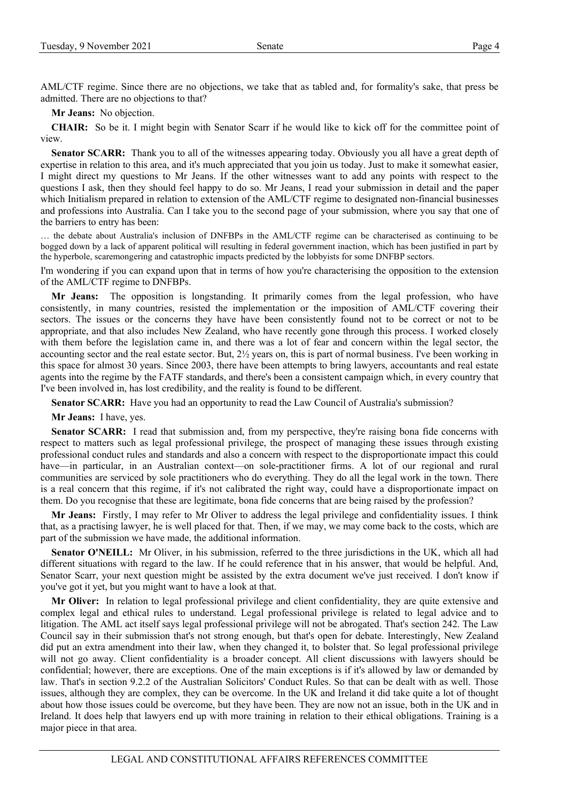AML/CTF regime. Since there are no objections, we take that as tabled and, for formality's sake, that press be admitted. There are no objections to that?

**Mr Jeans:** No objection.

**CHAIR:** So be it. I might begin with Senator Scarr if he would like to kick off for the committee point of view.

**Senator SCARR:** Thank you to all of the witnesses appearing today. Obviously you all have a great depth of expertise in relation to this area, and it's much appreciated that you join us today. Just to make it somewhat easier, I might direct my questions to Mr Jeans. If the other witnesses want to add any points with respect to the questions I ask, then they should feel happy to do so. Mr Jeans, I read your submission in detail and the paper which Initialism prepared in relation to extension of the AML/CTF regime to designated non-financial businesses and professions into Australia. Can I take you to the second page of your submission, where you say that one of the barriers to entry has been:

… the debate about Australia's inclusion of DNFBPs in the AML/CTF regime can be characterised as continuing to be bogged down by a lack of apparent political will resulting in federal government inaction, which has been justified in part by the hyperbole, scaremongering and catastrophic impacts predicted by the lobbyists for some DNFBP sectors.

I'm wondering if you can expand upon that in terms of how you're characterising the opposition to the extension of the AML/CTF regime to DNFBPs.

**Mr Jeans:** The opposition is longstanding. It primarily comes from the legal profession, who have consistently, in many countries, resisted the implementation or the imposition of AML/CTF covering their sectors. The issues or the concerns they have have been consistently found not to be correct or not to be appropriate, and that also includes New Zealand, who have recently gone through this process. I worked closely with them before the legislation came in, and there was a lot of fear and concern within the legal sector, the accounting sector and the real estate sector. But, 2½ years on, this is part of normal business. I've been working in this space for almost 30 years. Since 2003, there have been attempts to bring lawyers, accountants and real estate agents into the regime by the FATF standards, and there's been a consistent campaign which, in every country that I've been involved in, has lost credibility, and the reality is found to be different.

**Senator SCARR:** Have you had an opportunity to read the Law Council of Australia's submission?

**Mr Jeans:** I have, yes.

Senator SCARR: I read that submission and, from my perspective, they're raising bona fide concerns with respect to matters such as legal professional privilege, the prospect of managing these issues through existing professional conduct rules and standards and also a concern with respect to the disproportionate impact this could have—in particular, in an Australian context—on sole-practitioner firms. A lot of our regional and rural communities are serviced by sole practitioners who do everything. They do all the legal work in the town. There is a real concern that this regime, if it's not calibrated the right way, could have a disproportionate impact on them. Do you recognise that these are legitimate, bona fide concerns that are being raised by the profession?

**Mr Jeans:** Firstly, I may refer to Mr Oliver to address the legal privilege and confidentiality issues. I think that, as a practising lawyer, he is well placed for that. Then, if we may, we may come back to the costs, which are part of the submission we have made, the additional information.

**Senator O'NEILL:** Mr Oliver, in his submission, referred to the three jurisdictions in the UK, which all had different situations with regard to the law. If he could reference that in his answer, that would be helpful. And, Senator Scarr, your next question might be assisted by the extra document we've just received. I don't know if you've got it yet, but you might want to have a look at that.

**Mr Oliver:** In relation to legal professional privilege and client confidentiality, they are quite extensive and complex legal and ethical rules to understand. Legal professional privilege is related to legal advice and to litigation. The AML act itself says legal professional privilege will not be abrogated. That's section 242. The Law Council say in their submission that's not strong enough, but that's open for debate. Interestingly, New Zealand did put an extra amendment into their law, when they changed it, to bolster that. So legal professional privilege will not go away. Client confidentiality is a broader concept. All client discussions with lawyers should be confidential; however, there are exceptions. One of the main exceptions is if it's allowed by law or demanded by law. That's in section 9.2.2 of the Australian Solicitors' Conduct Rules. So that can be dealt with as well. Those issues, although they are complex, they can be overcome. In the UK and Ireland it did take quite a lot of thought about how those issues could be overcome, but they have been. They are now not an issue, both in the UK and in Ireland. It does help that lawyers end up with more training in relation to their ethical obligations. Training is a major piece in that area.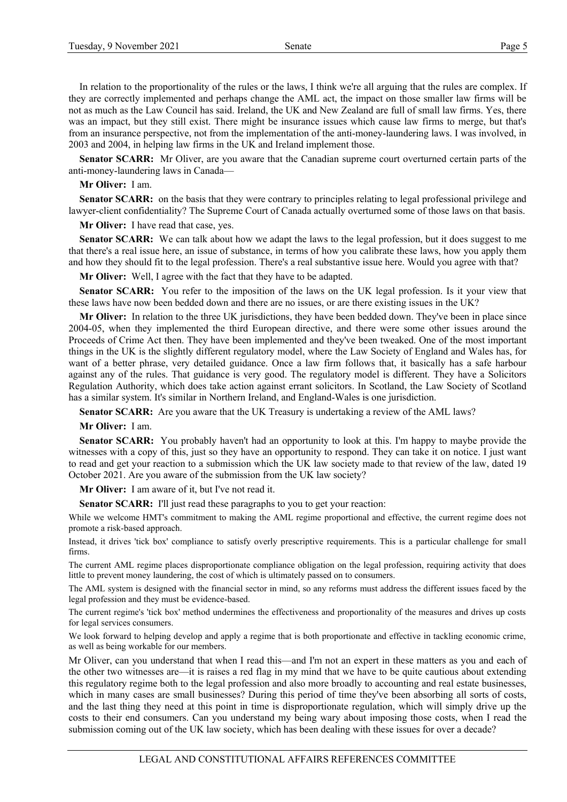In relation to the proportionality of the rules or the laws, I think we're all arguing that the rules are complex. If they are correctly implemented and perhaps change the AML act, the impact on those smaller law firms will be not as much as the Law Council has said. Ireland, the UK and New Zealand are full of small law firms. Yes, there was an impact, but they still exist. There might be insurance issues which cause law firms to merge, but that's from an insurance perspective, not from the implementation of the anti-money-laundering laws. I was involved, in 2003 and 2004, in helping law firms in the UK and Ireland implement those.

**Senator SCARR:** Mr Oliver, are you aware that the Canadian supreme court overturned certain parts of the anti-money-laundering laws in Canada—

#### **Mr Oliver:** I am.

**Senator SCARR:** on the basis that they were contrary to principles relating to legal professional privilege and lawyer-client confidentiality? The Supreme Court of Canada actually overturned some of those laws on that basis.

**Mr Oliver:** I have read that case, yes.

**Senator SCARR:** We can talk about how we adapt the laws to the legal profession, but it does suggest to me that there's a real issue here, an issue of substance, in terms of how you calibrate these laws, how you apply them and how they should fit to the legal profession. There's a real substantive issue here. Would you agree with that?

**Mr Oliver:** Well, I agree with the fact that they have to be adapted.

**Senator SCARR:** You refer to the imposition of the laws on the UK legal profession. Is it your view that these laws have now been bedded down and there are no issues, or are there existing issues in the UK?

**Mr Oliver:** In relation to the three UK jurisdictions, they have been bedded down. They've been in place since 2004-05, when they implemented the third European directive, and there were some other issues around the Proceeds of Crime Act then. They have been implemented and they've been tweaked. One of the most important things in the UK is the slightly different regulatory model, where the Law Society of England and Wales has, for want of a better phrase, very detailed guidance. Once a law firm follows that, it basically has a safe harbour against any of the rules. That guidance is very good. The regulatory model is different. They have a Solicitors Regulation Authority, which does take action against errant solicitors. In Scotland, the Law Society of Scotland has a similar system. It's similar in Northern Ireland, and England-Wales is one jurisdiction.

**Senator SCARR:** Are you aware that the UK Treasury is undertaking a review of the AML laws?

**Mr Oliver:** I am.

**Senator SCARR:** You probably haven't had an opportunity to look at this. I'm happy to maybe provide the witnesses with a copy of this, just so they have an opportunity to respond. They can take it on notice. I just want to read and get your reaction to a submission which the UK law society made to that review of the law, dated 19 October 2021. Are you aware of the submission from the UK law society?

**Mr Oliver:** I am aware of it, but I've not read it.

Senator SCARR: I'll just read these paragraphs to you to get your reaction:

While we welcome HMT's commitment to making the AML regime proportional and effective, the current regime does not promote a risk-based approach.

Instead, it drives 'tick box' compliance to satisfy overly prescriptive requirements. This is a particular challenge for small firms.

The current AML regime places disproportionate compliance obligation on the legal profession, requiring activity that does little to prevent money laundering, the cost of which is ultimately passed on to consumers.

The AML system is designed with the financial sector in mind, so any reforms must address the different issues faced by the legal profession and they must be evidence-based.

The current regime's 'tick box' method undermines the effectiveness and proportionality of the measures and drives up costs for legal services consumers.

We look forward to helping develop and apply a regime that is both proportionate and effective in tackling economic crime, as well as being workable for our members.

Mr Oliver, can you understand that when I read this—and I'm not an expert in these matters as you and each of the other two witnesses are—it is raises a red flag in my mind that we have to be quite cautious about extending this regulatory regime both to the legal profession and also more broadly to accounting and real estate businesses, which in many cases are small businesses? During this period of time they've been absorbing all sorts of costs, and the last thing they need at this point in time is disproportionate regulation, which will simply drive up the costs to their end consumers. Can you understand my being wary about imposing those costs, when I read the submission coming out of the UK law society, which has been dealing with these issues for over a decade?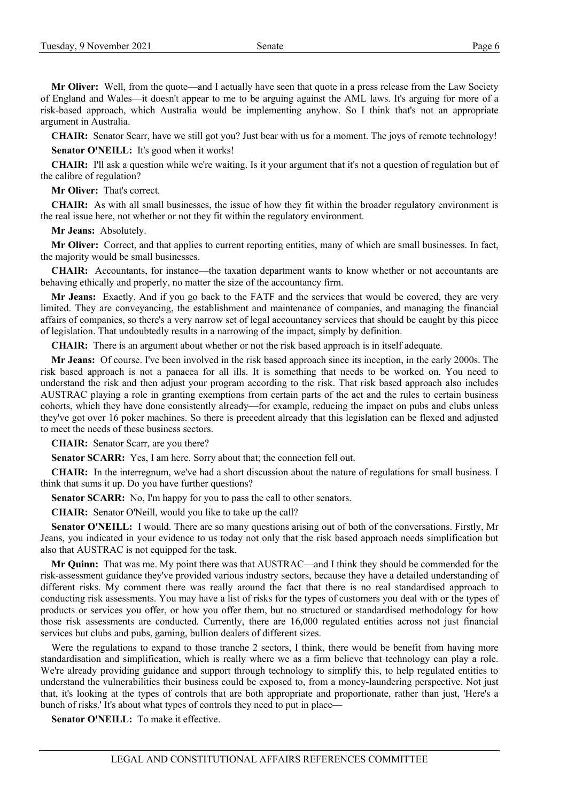**Mr Oliver:** Well, from the quote—and I actually have seen that quote in a press release from the Law Society of England and Wales—it doesn't appear to me to be arguing against the AML laws. It's arguing for more of a risk-based approach, which Australia would be implementing anyhow. So I think that's not an appropriate argument in Australia.

**CHAIR:** Senator Scarr, have we still got you? Just bear with us for a moment. The joys of remote technology!

Senator O'NEILL: It's good when it works!

**CHAIR:** I'll ask a question while we're waiting. Is it your argument that it's not a question of regulation but of the calibre of regulation?

**Mr Oliver:** That's correct.

**CHAIR:** As with all small businesses, the issue of how they fit within the broader regulatory environment is the real issue here, not whether or not they fit within the regulatory environment.

**Mr Jeans:** Absolutely.

**Mr Oliver:** Correct, and that applies to current reporting entities, many of which are small businesses. In fact, the majority would be small businesses.

**CHAIR:** Accountants, for instance—the taxation department wants to know whether or not accountants are behaving ethically and properly, no matter the size of the accountancy firm.

**Mr Jeans:** Exactly. And if you go back to the FATF and the services that would be covered, they are very limited. They are conveyancing, the establishment and maintenance of companies, and managing the financial affairs of companies, so there's a very narrow set of legal accountancy services that should be caught by this piece of legislation. That undoubtedly results in a narrowing of the impact, simply by definition.

**CHAIR:** There is an argument about whether or not the risk based approach is in itself adequate.

**Mr Jeans:** Of course. I've been involved in the risk based approach since its inception, in the early 2000s. The risk based approach is not a panacea for all ills. It is something that needs to be worked on. You need to understand the risk and then adjust your program according to the risk. That risk based approach also includes AUSTRAC playing a role in granting exemptions from certain parts of the act and the rules to certain business cohorts, which they have done consistently already—for example, reducing the impact on pubs and clubs unless they've got over 16 poker machines. So there is precedent already that this legislation can be flexed and adjusted to meet the needs of these business sectors.

**CHAIR:** Senator Scarr, are you there?

**Senator SCARR:** Yes, I am here. Sorry about that; the connection fell out.

**CHAIR:** In the interregnum, we've had a short discussion about the nature of regulations for small business. I think that sums it up. Do you have further questions?

**Senator SCARR:** No, I'm happy for you to pass the call to other senators.

**CHAIR:** Senator O'Neill, would you like to take up the call?

**Senator O'NEILL:** I would. There are so many questions arising out of both of the conversations. Firstly, Mr Jeans, you indicated in your evidence to us today not only that the risk based approach needs simplification but also that AUSTRAC is not equipped for the task.

**Mr Quinn:** That was me. My point there was that AUSTRAC—and I think they should be commended for the risk-assessment guidance they've provided various industry sectors, because they have a detailed understanding of different risks. My comment there was really around the fact that there is no real standardised approach to conducting risk assessments. You may have a list of risks for the types of customers you deal with or the types of products or services you offer, or how you offer them, but no structured or standardised methodology for how those risk assessments are conducted. Currently, there are 16,000 regulated entities across not just financial services but clubs and pubs, gaming, bullion dealers of different sizes.

Were the regulations to expand to those tranche 2 sectors, I think, there would be benefit from having more standardisation and simplification, which is really where we as a firm believe that technology can play a role. We're already providing guidance and support through technology to simplify this, to help regulated entities to understand the vulnerabilities their business could be exposed to, from a money-laundering perspective. Not just that, it's looking at the types of controls that are both appropriate and proportionate, rather than just, 'Here's a bunch of risks.' It's about what types of controls they need to put in place—

**Senator O'NEILL:** To make it effective.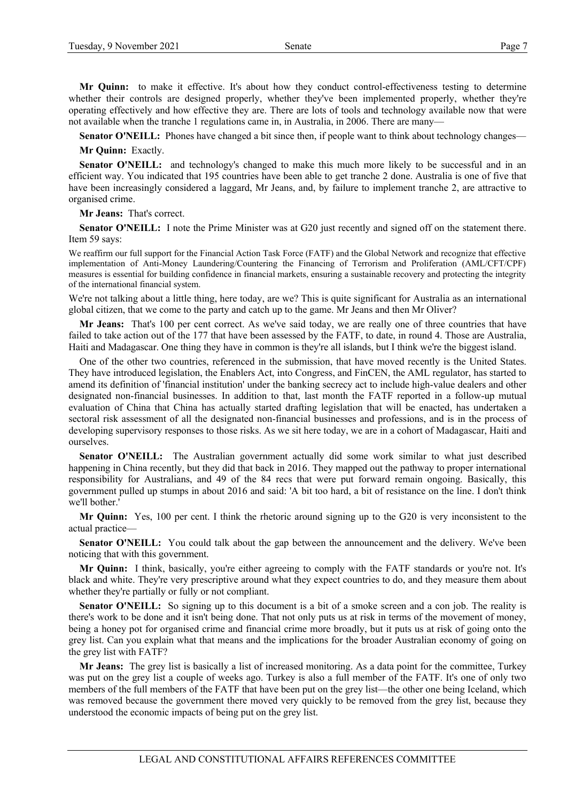**Mr Quinn:** to make it effective. It's about how they conduct control-effectiveness testing to determine whether their controls are designed properly, whether they've been implemented properly, whether they're operating effectively and how effective they are. There are lots of tools and technology available now that were not available when the tranche 1 regulations came in, in Australia, in 2006. There are many—

**Senator O'NEILL:** Phones have changed a bit since then, if people want to think about technology changes—

**Mr Quinn:** Exactly.

**Senator O'NEILL:** and technology's changed to make this much more likely to be successful and in an efficient way. You indicated that 195 countries have been able to get tranche 2 done. Australia is one of five that have been increasingly considered a laggard, Mr Jeans, and, by failure to implement tranche 2, are attractive to organised crime.

**Mr Jeans:** That's correct.

**Senator O'NEILL:** I note the Prime Minister was at G20 just recently and signed off on the statement there. Item 59 says:

We reaffirm our full support for the Financial Action Task Force (FATF) and the Global Network and recognize that effective implementation of Anti-Money Laundering/Countering the Financing of Terrorism and Proliferation (AML/CFT/CPF) measures is essential for building confidence in financial markets, ensuring a sustainable recovery and protecting the integrity of the international financial system.

We're not talking about a little thing, here today, are we? This is quite significant for Australia as an international global citizen, that we come to the party and catch up to the game. Mr Jeans and then Mr Oliver?

**Mr Jeans:** That's 100 per cent correct. As we've said today, we are really one of three countries that have failed to take action out of the 177 that have been assessed by the FATF, to date, in round 4. Those are Australia, Haiti and Madagascar. One thing they have in common is they're all islands, but I think we're the biggest island.

One of the other two countries, referenced in the submission, that have moved recently is the United States. They have introduced legislation, the Enablers Act, into Congress, and FinCEN, the AML regulator, has started to amend its definition of 'financial institution' under the banking secrecy act to include high-value dealers and other designated non-financial businesses. In addition to that, last month the FATF reported in a follow-up mutual evaluation of China that China has actually started drafting legislation that will be enacted, has undertaken a sectoral risk assessment of all the designated non-financial businesses and professions, and is in the process of developing supervisory responses to those risks. As we sit here today, we are in a cohort of Madagascar, Haiti and ourselves.

**Senator O'NEILL:** The Australian government actually did some work similar to what just described happening in China recently, but they did that back in 2016. They mapped out the pathway to proper international responsibility for Australians, and 49 of the 84 recs that were put forward remain ongoing. Basically, this government pulled up stumps in about 2016 and said: 'A bit too hard, a bit of resistance on the line. I don't think we'll bother.'

**Mr Quinn:** Yes, 100 per cent. I think the rhetoric around signing up to the G20 is very inconsistent to the actual practice—

**Senator O'NEILL:** You could talk about the gap between the announcement and the delivery. We've been noticing that with this government.

**Mr Quinn:** I think, basically, you're either agreeing to comply with the FATF standards or you're not. It's black and white. They're very prescriptive around what they expect countries to do, and they measure them about whether they're partially or fully or not compliant.

**Senator O'NEILL:** So signing up to this document is a bit of a smoke screen and a con job. The reality is there's work to be done and it isn't being done. That not only puts us at risk in terms of the movement of money, being a honey pot for organised crime and financial crime more broadly, but it puts us at risk of going onto the grey list. Can you explain what that means and the implications for the broader Australian economy of going on the grey list with FATF?

**Mr Jeans:** The grey list is basically a list of increased monitoring. As a data point for the committee, Turkey was put on the grey list a couple of weeks ago. Turkey is also a full member of the FATF. It's one of only two members of the full members of the FATF that have been put on the grey list—the other one being Iceland, which was removed because the government there moved very quickly to be removed from the grey list, because they understood the economic impacts of being put on the grey list.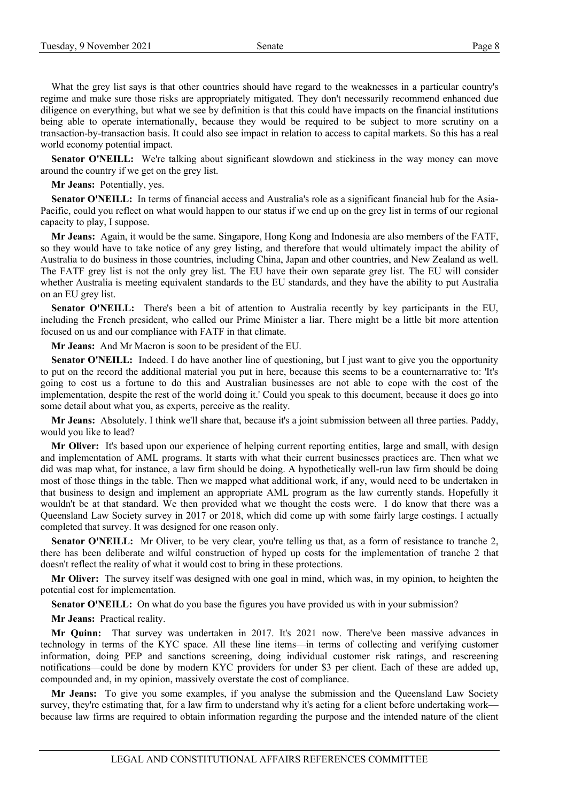What the grey list says is that other countries should have regard to the weaknesses in a particular country's regime and make sure those risks are appropriately mitigated. They don't necessarily recommend enhanced due diligence on everything, but what we see by definition is that this could have impacts on the financial institutions being able to operate internationally, because they would be required to be subject to more scrutiny on a transaction-by-transaction basis. It could also see impact in relation to access to capital markets. So this has a real world economy potential impact.

**Senator O'NEILL:** We're talking about significant slowdown and stickiness in the way money can move around the country if we get on the grey list.

**Mr Jeans:** Potentially, yes.

**Senator O'NEILL:** In terms of financial access and Australia's role as a significant financial hub for the Asia-Pacific, could you reflect on what would happen to our status if we end up on the grey list in terms of our regional capacity to play, I suppose.

**Mr Jeans:** Again, it would be the same. Singapore, Hong Kong and Indonesia are also members of the FATF, so they would have to take notice of any grey listing, and therefore that would ultimately impact the ability of Australia to do business in those countries, including China, Japan and other countries, and New Zealand as well. The FATF grey list is not the only grey list. The EU have their own separate grey list. The EU will consider whether Australia is meeting equivalent standards to the EU standards, and they have the ability to put Australia on an EU grey list.

Senator O'NEILL: There's been a bit of attention to Australia recently by key participants in the EU, including the French president, who called our Prime Minister a liar. There might be a little bit more attention focused on us and our compliance with FATF in that climate.

**Mr Jeans:** And Mr Macron is soon to be president of the EU.

**Senator O'NEILL:** Indeed. I do have another line of questioning, but I just want to give you the opportunity to put on the record the additional material you put in here, because this seems to be a counternarrative to: 'It's going to cost us a fortune to do this and Australian businesses are not able to cope with the cost of the implementation, despite the rest of the world doing it.' Could you speak to this document, because it does go into some detail about what you, as experts, perceive as the reality.

**Mr Jeans:** Absolutely. I think we'll share that, because it's a joint submission between all three parties. Paddy, would you like to lead?

**Mr Oliver:** It's based upon our experience of helping current reporting entities, large and small, with design and implementation of AML programs. It starts with what their current businesses practices are. Then what we did was map what, for instance, a law firm should be doing. A hypothetically well-run law firm should be doing most of those things in the table. Then we mapped what additional work, if any, would need to be undertaken in that business to design and implement an appropriate AML program as the law currently stands. Hopefully it wouldn't be at that standard. We then provided what we thought the costs were. I do know that there was a Queensland Law Society survey in 2017 or 2018, which did come up with some fairly large costings. I actually completed that survey. It was designed for one reason only.

**Senator O'NEILL:** Mr Oliver, to be very clear, you're telling us that, as a form of resistance to tranche 2, there has been deliberate and wilful construction of hyped up costs for the implementation of tranche 2 that doesn't reflect the reality of what it would cost to bring in these protections.

**Mr Oliver:** The survey itself was designed with one goal in mind, which was, in my opinion, to heighten the potential cost for implementation.

**Senator O'NEILL:** On what do you base the figures you have provided us with in your submission?

**Mr Jeans:** Practical reality.

**Mr Quinn:** That survey was undertaken in 2017. It's 2021 now. There've been massive advances in technology in terms of the KYC space. All these line items—in terms of collecting and verifying customer information, doing PEP and sanctions screening, doing individual customer risk ratings, and rescreening notifications—could be done by modern KYC providers for under \$3 per client. Each of these are added up, compounded and, in my opinion, massively overstate the cost of compliance.

**Mr Jeans:** To give you some examples, if you analyse the submission and the Queensland Law Society survey, they're estimating that, for a law firm to understand why it's acting for a client before undertaking work because law firms are required to obtain information regarding the purpose and the intended nature of the client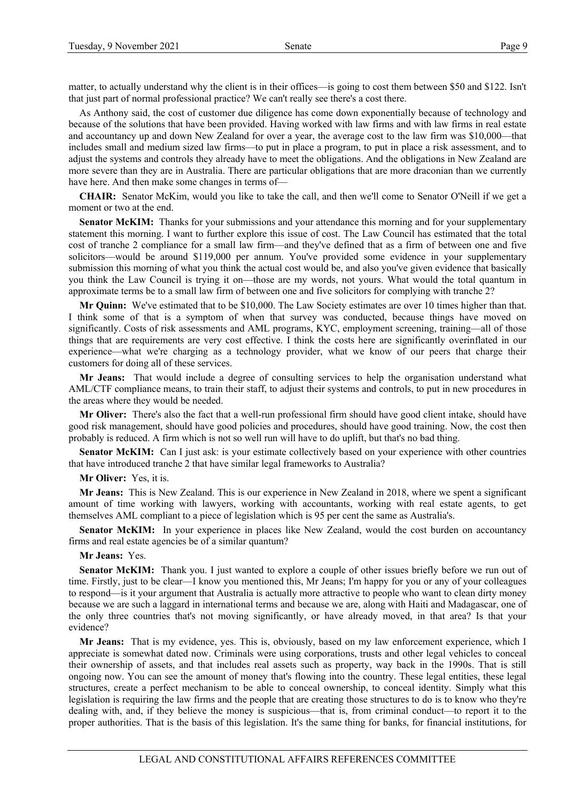matter, to actually understand why the client is in their offices—is going to cost them between \$50 and \$122. Isn't that just part of normal professional practice? We can't really see there's a cost there.

As Anthony said, the cost of customer due diligence has come down exponentially because of technology and because of the solutions that have been provided. Having worked with law firms and with law firms in real estate and accountancy up and down New Zealand for over a year, the average cost to the law firm was \$10,000—that includes small and medium sized law firms—to put in place a program, to put in place a risk assessment, and to adjust the systems and controls they already have to meet the obligations. And the obligations in New Zealand are more severe than they are in Australia. There are particular obligations that are more draconian than we currently have here. And then make some changes in terms of—

**CHAIR:** Senator McKim, would you like to take the call, and then we'll come to Senator O'Neill if we get a moment or two at the end.

**Senator McKIM:** Thanks for your submissions and your attendance this morning and for your supplementary statement this morning. I want to further explore this issue of cost. The Law Council has estimated that the total cost of tranche 2 compliance for a small law firm—and they've defined that as a firm of between one and five solicitors—would be around \$119,000 per annum. You've provided some evidence in your supplementary submission this morning of what you think the actual cost would be, and also you've given evidence that basically you think the Law Council is trying it on—those are my words, not yours. What would the total quantum in approximate terms be to a small law firm of between one and five solicitors for complying with tranche 2?

**Mr Quinn:** We've estimated that to be \$10,000. The Law Society estimates are over 10 times higher than that. I think some of that is a symptom of when that survey was conducted, because things have moved on significantly. Costs of risk assessments and AML programs, KYC, employment screening, training—all of those things that are requirements are very cost effective. I think the costs here are significantly overinflated in our experience—what we're charging as a technology provider, what we know of our peers that charge their customers for doing all of these services.

**Mr Jeans:** That would include a degree of consulting services to help the organisation understand what AML/CTF compliance means, to train their staff, to adjust their systems and controls, to put in new procedures in the areas where they would be needed.

**Mr Oliver:** There's also the fact that a well-run professional firm should have good client intake, should have good risk management, should have good policies and procedures, should have good training. Now, the cost then probably is reduced. A firm which is not so well run will have to do uplift, but that's no bad thing.

**Senator McKIM:** Can I just ask: is your estimate collectively based on your experience with other countries that have introduced tranche 2 that have similar legal frameworks to Australia?

**Mr Oliver:** Yes, it is.

**Mr Jeans:** This is New Zealand. This is our experience in New Zealand in 2018, where we spent a significant amount of time working with lawyers, working with accountants, working with real estate agents, to get themselves AML compliant to a piece of legislation which is 95 per cent the same as Australia's.

**Senator McKIM:** In your experience in places like New Zealand, would the cost burden on accountancy firms and real estate agencies be of a similar quantum?

#### **Mr Jeans:** Yes.

**Senator McKIM:** Thank you. I just wanted to explore a couple of other issues briefly before we run out of time. Firstly, just to be clear—I know you mentioned this, Mr Jeans; I'm happy for you or any of your colleagues to respond—is it your argument that Australia is actually more attractive to people who want to clean dirty money because we are such a laggard in international terms and because we are, along with Haiti and Madagascar, one of the only three countries that's not moving significantly, or have already moved, in that area? Is that your evidence?

**Mr Jeans:** That is my evidence, yes. This is, obviously, based on my law enforcement experience, which I appreciate is somewhat dated now. Criminals were using corporations, trusts and other legal vehicles to conceal their ownership of assets, and that includes real assets such as property, way back in the 1990s. That is still ongoing now. You can see the amount of money that's flowing into the country. These legal entities, these legal structures, create a perfect mechanism to be able to conceal ownership, to conceal identity. Simply what this legislation is requiring the law firms and the people that are creating those structures to do is to know who they're dealing with, and, if they believe the money is suspicious—that is, from criminal conduct—to report it to the proper authorities. That is the basis of this legislation. It's the same thing for banks, for financial institutions, for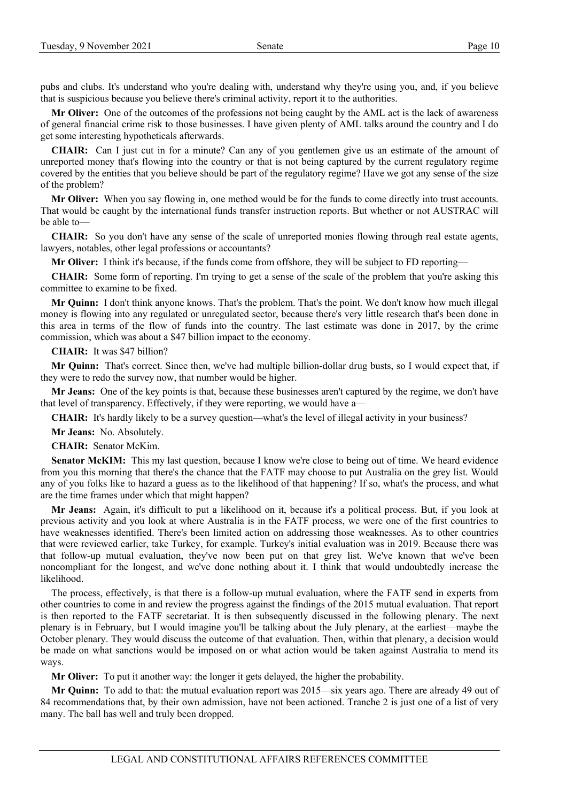pubs and clubs. It's understand who you're dealing with, understand why they're using you, and, if you believe that is suspicious because you believe there's criminal activity, report it to the authorities.

**Mr Oliver:** One of the outcomes of the professions not being caught by the AML act is the lack of awareness of general financial crime risk to those businesses. I have given plenty of AML talks around the country and I do get some interesting hypotheticals afterwards.

**CHAIR:** Can I just cut in for a minute? Can any of you gentlemen give us an estimate of the amount of unreported money that's flowing into the country or that is not being captured by the current regulatory regime covered by the entities that you believe should be part of the regulatory regime? Have we got any sense of the size of the problem?

**Mr Oliver:** When you say flowing in, one method would be for the funds to come directly into trust accounts. That would be caught by the international funds transfer instruction reports. But whether or not AUSTRAC will be able to—

**CHAIR:** So you don't have any sense of the scale of unreported monies flowing through real estate agents, lawyers, notables, other legal professions or accountants?

**Mr Oliver:** I think it's because, if the funds come from offshore, they will be subject to FD reporting—

**CHAIR:** Some form of reporting. I'm trying to get a sense of the scale of the problem that you're asking this committee to examine to be fixed.

**Mr Quinn:** I don't think anyone knows. That's the problem. That's the point. We don't know how much illegal money is flowing into any regulated or unregulated sector, because there's very little research that's been done in this area in terms of the flow of funds into the country. The last estimate was done in 2017, by the crime commission, which was about a \$47 billion impact to the economy.

**CHAIR:** It was \$47 billion?

**Mr Quinn:** That's correct. Since then, we've had multiple billion-dollar drug busts, so I would expect that, if they were to redo the survey now, that number would be higher.

**Mr Jeans:** One of the key points is that, because these businesses aren't captured by the regime, we don't have that level of transparency. Effectively, if they were reporting, we would have a—

**CHAIR:** It's hardly likely to be a survey question—what's the level of illegal activity in your business?

**Mr Jeans:** No. Absolutely.

**CHAIR:** Senator McKim.

**Senator McKIM:** This my last question, because I know we're close to being out of time. We heard evidence from you this morning that there's the chance that the FATF may choose to put Australia on the grey list. Would any of you folks like to hazard a guess as to the likelihood of that happening? If so, what's the process, and what are the time frames under which that might happen?

**Mr Jeans:** Again, it's difficult to put a likelihood on it, because it's a political process. But, if you look at previous activity and you look at where Australia is in the FATF process, we were one of the first countries to have weaknesses identified. There's been limited action on addressing those weaknesses. As to other countries that were reviewed earlier, take Turkey, for example. Turkey's initial evaluation was in 2019. Because there was that follow-up mutual evaluation, they've now been put on that grey list. We've known that we've been noncompliant for the longest, and we've done nothing about it. I think that would undoubtedly increase the likelihood.

The process, effectively, is that there is a follow-up mutual evaluation, where the FATF send in experts from other countries to come in and review the progress against the findings of the 2015 mutual evaluation. That report is then reported to the FATF secretariat. It is then subsequently discussed in the following plenary. The next plenary is in February, but I would imagine you'll be talking about the July plenary, at the earliest—maybe the October plenary. They would discuss the outcome of that evaluation. Then, within that plenary, a decision would be made on what sanctions would be imposed on or what action would be taken against Australia to mend its ways.

**Mr Oliver:** To put it another way: the longer it gets delayed, the higher the probability.

**Mr Quinn:** To add to that: the mutual evaluation report was 2015—six years ago. There are already 49 out of 84 recommendations that, by their own admission, have not been actioned. Tranche 2 is just one of a list of very many. The ball has well and truly been dropped.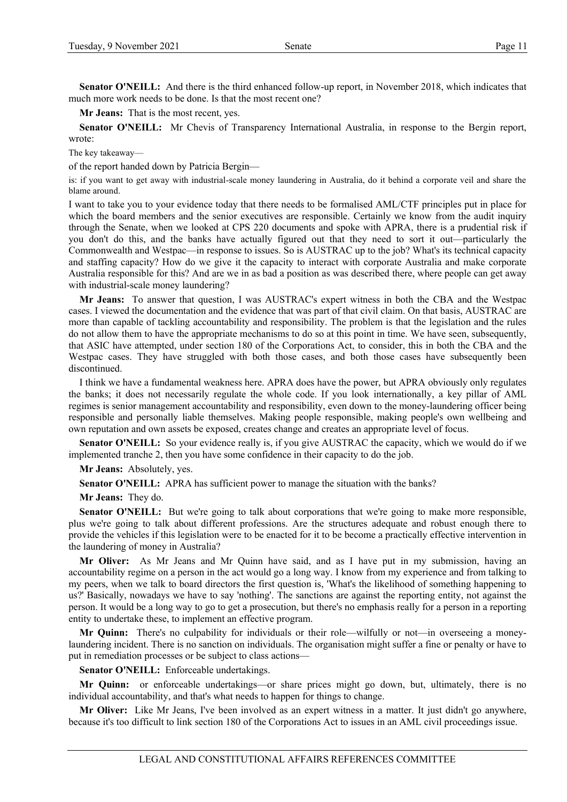**Senator O'NEILL:** And there is the third enhanced follow-up report, in November 2018, which indicates that much more work needs to be done. Is that the most recent one?

**Mr Jeans:** That is the most recent, yes.

**Senator O'NEILL:** Mr Chevis of Transparency International Australia, in response to the Bergin report, wrote:

The key takeaway—

of the report handed down by Patricia Bergin—

is: if you want to get away with industrial-scale money laundering in Australia, do it behind a corporate veil and share the blame around.

I want to take you to your evidence today that there needs to be formalised AML/CTF principles put in place for which the board members and the senior executives are responsible. Certainly we know from the audit inquiry through the Senate, when we looked at CPS 220 documents and spoke with APRA, there is a prudential risk if you don't do this, and the banks have actually figured out that they need to sort it out—particularly the Commonwealth and Westpac—in response to issues. So is AUSTRAC up to the job? What's its technical capacity and staffing capacity? How do we give it the capacity to interact with corporate Australia and make corporate Australia responsible for this? And are we in as bad a position as was described there, where people can get away with industrial-scale money laundering?

**Mr Jeans:** To answer that question, I was AUSTRAC's expert witness in both the CBA and the Westpac cases. I viewed the documentation and the evidence that was part of that civil claim. On that basis, AUSTRAC are more than capable of tackling accountability and responsibility. The problem is that the legislation and the rules do not allow them to have the appropriate mechanisms to do so at this point in time. We have seen, subsequently, that ASIC have attempted, under section 180 of the Corporations Act, to consider, this in both the CBA and the Westpac cases. They have struggled with both those cases, and both those cases have subsequently been discontinued.

I think we have a fundamental weakness here. APRA does have the power, but APRA obviously only regulates the banks; it does not necessarily regulate the whole code. If you look internationally, a key pillar of AML regimes is senior management accountability and responsibility, even down to the money-laundering officer being responsible and personally liable themselves. Making people responsible, making people's own wellbeing and own reputation and own assets be exposed, creates change and creates an appropriate level of focus.

**Senator O'NEILL:** So your evidence really is, if you give AUSTRAC the capacity, which we would do if we implemented tranche 2, then you have some confidence in their capacity to do the job.

**Mr Jeans:** Absolutely, yes.

**Senator O'NEILL:** APRA has sufficient power to manage the situation with the banks?

**Mr Jeans:** They do.

**Senator O'NEILL:** But we're going to talk about corporations that we're going to make more responsible, plus we're going to talk about different professions. Are the structures adequate and robust enough there to provide the vehicles if this legislation were to be enacted for it to be become a practically effective intervention in the laundering of money in Australia?

**Mr Oliver:** As Mr Jeans and Mr Quinn have said, and as I have put in my submission, having an accountability regime on a person in the act would go a long way. I know from my experience and from talking to my peers, when we talk to board directors the first question is, 'What's the likelihood of something happening to us?' Basically, nowadays we have to say 'nothing'. The sanctions are against the reporting entity, not against the person. It would be a long way to go to get a prosecution, but there's no emphasis really for a person in a reporting entity to undertake these, to implement an effective program.

**Mr Quinn:** There's no culpability for individuals or their role—wilfully or not—in overseeing a moneylaundering incident. There is no sanction on individuals. The organisation might suffer a fine or penalty or have to put in remediation processes or be subject to class actions—

Senator O'NEILL: Enforceable undertakings.

**Mr Quinn:** or enforceable undertakings—or share prices might go down, but, ultimately, there is no individual accountability, and that's what needs to happen for things to change.

**Mr Oliver:** Like Mr Jeans, I've been involved as an expert witness in a matter. It just didn't go anywhere, because it's too difficult to link section 180 of the Corporations Act to issues in an AML civil proceedings issue.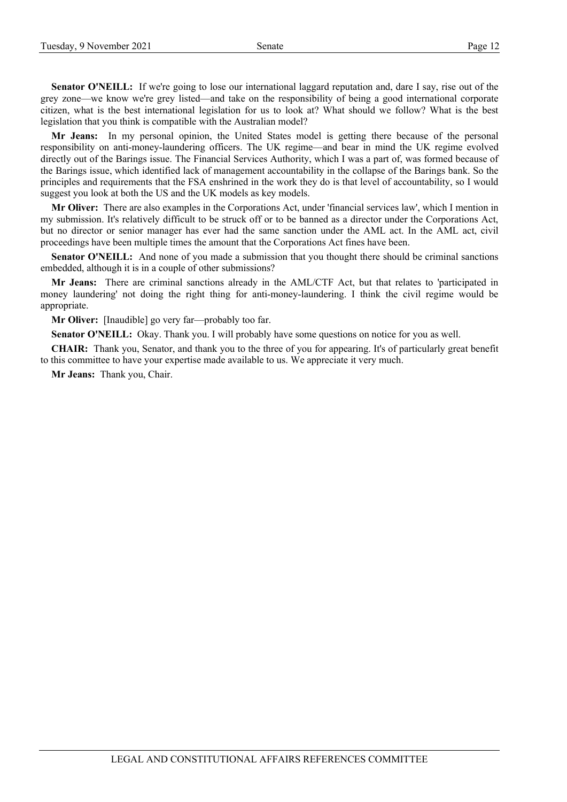**Senator O'NEILL:** If we're going to lose our international laggard reputation and, dare I say, rise out of the grey zone—we know we're grey listed—and take on the responsibility of being a good international corporate citizen, what is the best international legislation for us to look at? What should we follow? What is the best legislation that you think is compatible with the Australian model?

**Mr Jeans:** In my personal opinion, the United States model is getting there because of the personal responsibility on anti-money-laundering officers. The UK regime—and bear in mind the UK regime evolved directly out of the Barings issue. The Financial Services Authority, which I was a part of, was formed because of the Barings issue, which identified lack of management accountability in the collapse of the Barings bank. So the principles and requirements that the FSA enshrined in the work they do is that level of accountability, so I would suggest you look at both the US and the UK models as key models.

**Mr Oliver:** There are also examples in the Corporations Act, under 'financial services law', which I mention in my submission. It's relatively difficult to be struck off or to be banned as a director under the Corporations Act, but no director or senior manager has ever had the same sanction under the AML act. In the AML act, civil proceedings have been multiple times the amount that the Corporations Act fines have been.

**Senator O'NEILL:** And none of you made a submission that you thought there should be criminal sanctions embedded, although it is in a couple of other submissions?

**Mr Jeans:** There are criminal sanctions already in the AML/CTF Act, but that relates to 'participated in money laundering' not doing the right thing for anti-money-laundering. I think the civil regime would be appropriate.

**Mr Oliver:** [Inaudible] go very far—probably too far.

**Senator O'NEILL:** Okay. Thank you. I will probably have some questions on notice for you as well.

**CHAIR:** Thank you, Senator, and thank you to the three of you for appearing. It's of particularly great benefit to this committee to have your expertise made available to us. We appreciate it very much.

**Mr Jeans:** Thank you, Chair.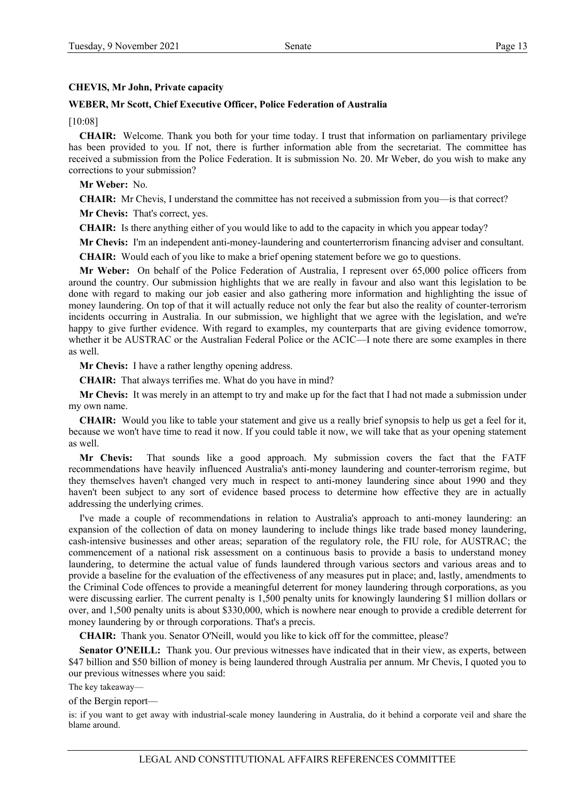# **CHEVIS, Mr John, Private capacity**

# **WEBER, Mr Scott, Chief Executive Officer, Police Federation of Australia**

[10:08]

**CHAIR:** Welcome. Thank you both for your time today. I trust that information on parliamentary privilege has been provided to you. If not, there is further information able from the secretariat. The committee has received a submission from the Police Federation. It is submission No. 20. Mr Weber, do you wish to make any corrections to your submission?

**Mr Weber:** No.

**CHAIR:** Mr Chevis, I understand the committee has not received a submission from you—is that correct?

**Mr Chevis:** That's correct, yes.

**CHAIR:** Is there anything either of you would like to add to the capacity in which you appear today?

**Mr Chevis:** I'm an independent anti-money-laundering and counterterrorism financing adviser and consultant.

**CHAIR:** Would each of you like to make a brief opening statement before we go to questions.

**Mr Weber:** On behalf of the Police Federation of Australia, I represent over 65,000 police officers from around the country. Our submission highlights that we are really in favour and also want this legislation to be done with regard to making our job easier and also gathering more information and highlighting the issue of money laundering. On top of that it will actually reduce not only the fear but also the reality of counter-terrorism incidents occurring in Australia. In our submission, we highlight that we agree with the legislation, and we're happy to give further evidence. With regard to examples, my counterparts that are giving evidence tomorrow, whether it be AUSTRAC or the Australian Federal Police or the ACIC—I note there are some examples in there as well.

**Mr Chevis:** I have a rather lengthy opening address.

**CHAIR:** That always terrifies me. What do you have in mind?

**Mr Chevis:** It was merely in an attempt to try and make up for the fact that I had not made a submission under my own name.

**CHAIR:** Would you like to table your statement and give us a really brief synopsis to help us get a feel for it, because we won't have time to read it now. If you could table it now, we will take that as your opening statement as well.

**Mr Chevis:** That sounds like a good approach. My submission covers the fact that the FATF recommendations have heavily influenced Australia's anti-money laundering and counter-terrorism regime, but they themselves haven't changed very much in respect to anti-money laundering since about 1990 and they haven't been subject to any sort of evidence based process to determine how effective they are in actually addressing the underlying crimes.

I've made a couple of recommendations in relation to Australia's approach to anti-money laundering: an expansion of the collection of data on money laundering to include things like trade based money laundering, cash-intensive businesses and other areas; separation of the regulatory role, the FIU role, for AUSTRAC; the commencement of a national risk assessment on a continuous basis to provide a basis to understand money laundering, to determine the actual value of funds laundered through various sectors and various areas and to provide a baseline for the evaluation of the effectiveness of any measures put in place; and, lastly, amendments to the Criminal Code offences to provide a meaningful deterrent for money laundering through corporations, as you were discussing earlier. The current penalty is 1,500 penalty units for knowingly laundering \$1 million dollars or over, and 1,500 penalty units is about \$330,000, which is nowhere near enough to provide a credible deterrent for money laundering by or through corporations. That's a precis.

**CHAIR:** Thank you. Senator O'Neill, would you like to kick off for the committee, please?

Senator O'NEILL: Thank you. Our previous witnesses have indicated that in their view, as experts, between \$47 billion and \$50 billion of money is being laundered through Australia per annum. Mr Chevis, I quoted you to our previous witnesses where you said:

The key takeaway—

of the Bergin report—

is: if you want to get away with industrial-scale money laundering in Australia, do it behind a corporate veil and share the blame around.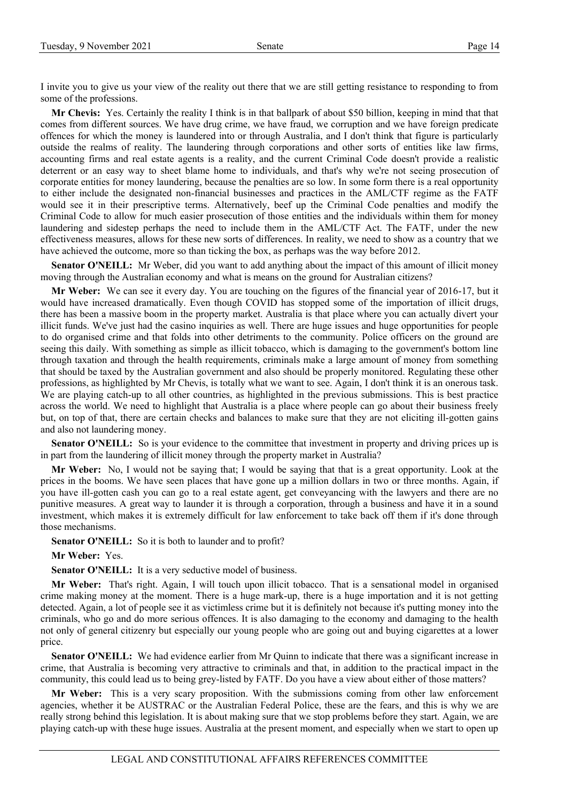I invite you to give us your view of the reality out there that we are still getting resistance to responding to from some of the professions.

**Mr Chevis:** Yes. Certainly the reality I think is in that ballpark of about \$50 billion, keeping in mind that that comes from different sources. We have drug crime, we have fraud, we corruption and we have foreign predicate offences for which the money is laundered into or through Australia, and I don't think that figure is particularly outside the realms of reality. The laundering through corporations and other sorts of entities like law firms, accounting firms and real estate agents is a reality, and the current Criminal Code doesn't provide a realistic deterrent or an easy way to sheet blame home to individuals, and that's why we're not seeing prosecution of corporate entities for money laundering, because the penalties are so low. In some form there is a real opportunity to either include the designated non-financial businesses and practices in the AML/CTF regime as the FATF would see it in their prescriptive terms. Alternatively, beef up the Criminal Code penalties and modify the Criminal Code to allow for much easier prosecution of those entities and the individuals within them for money laundering and sidestep perhaps the need to include them in the AML/CTF Act. The FATF, under the new effectiveness measures, allows for these new sorts of differences. In reality, we need to show as a country that we have achieved the outcome, more so than ticking the box, as perhaps was the way before 2012.

**Senator O'NEILL:** Mr Weber, did you want to add anything about the impact of this amount of illicit money moving through the Australian economy and what is means on the ground for Australian citizens?

**Mr Weber:** We can see it every day. You are touching on the figures of the financial year of 2016-17, but it would have increased dramatically. Even though COVID has stopped some of the importation of illicit drugs, there has been a massive boom in the property market. Australia is that place where you can actually divert your illicit funds. We've just had the casino inquiries as well. There are huge issues and huge opportunities for people to do organised crime and that folds into other detriments to the community. Police officers on the ground are seeing this daily. With something as simple as illicit tobacco, which is damaging to the government's bottom line through taxation and through the health requirements, criminals make a large amount of money from something that should be taxed by the Australian government and also should be properly monitored. Regulating these other professions, as highlighted by Mr Chevis, is totally what we want to see. Again, I don't think it is an onerous task. We are playing catch-up to all other countries, as highlighted in the previous submissions. This is best practice across the world. We need to highlight that Australia is a place where people can go about their business freely but, on top of that, there are certain checks and balances to make sure that they are not eliciting ill-gotten gains and also not laundering money.

**Senator O'NEILL:** So is your evidence to the committee that investment in property and driving prices up is in part from the laundering of illicit money through the property market in Australia?

**Mr Weber:** No, I would not be saying that; I would be saying that that is a great opportunity. Look at the prices in the booms. We have seen places that have gone up a million dollars in two or three months. Again, if you have ill-gotten cash you can go to a real estate agent, get conveyancing with the lawyers and there are no punitive measures. A great way to launder it is through a corporation, through a business and have it in a sound investment, which makes it is extremely difficult for law enforcement to take back off them if it's done through those mechanisms.

**Senator O'NEILL:** So it is both to launder and to profit?

**Mr Weber:** Yes.

Senator O'NEILL: It is a very seductive model of business.

**Mr Weber:** That's right. Again, I will touch upon illicit tobacco. That is a sensational model in organised crime making money at the moment. There is a huge mark-up, there is a huge importation and it is not getting detected. Again, a lot of people see it as victimless crime but it is definitely not because it's putting money into the criminals, who go and do more serious offences. It is also damaging to the economy and damaging to the health not only of general citizenry but especially our young people who are going out and buying cigarettes at a lower price.

**Senator O'NEILL:** We had evidence earlier from Mr Quinn to indicate that there was a significant increase in crime, that Australia is becoming very attractive to criminals and that, in addition to the practical impact in the community, this could lead us to being grey-listed by FATF. Do you have a view about either of those matters?

**Mr Weber:** This is a very scary proposition. With the submissions coming from other law enforcement agencies, whether it be AUSTRAC or the Australian Federal Police, these are the fears, and this is why we are really strong behind this legislation. It is about making sure that we stop problems before they start. Again, we are playing catch-up with these huge issues. Australia at the present moment, and especially when we start to open up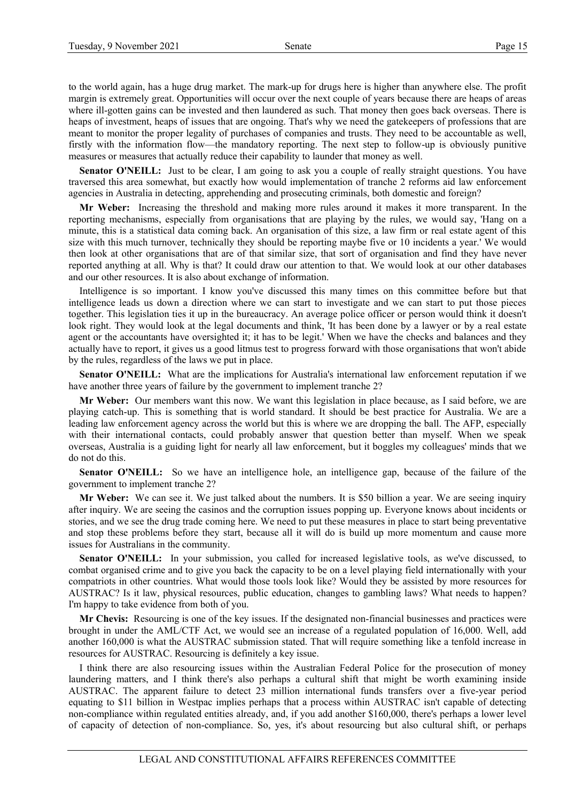to the world again, has a huge drug market. The mark-up for drugs here is higher than anywhere else. The profit margin is extremely great. Opportunities will occur over the next couple of years because there are heaps of areas where ill-gotten gains can be invested and then laundered as such. That money then goes back overseas. There is heaps of investment, heaps of issues that are ongoing. That's why we need the gatekeepers of professions that are meant to monitor the proper legality of purchases of companies and trusts. They need to be accountable as well, firstly with the information flow—the mandatory reporting. The next step to follow-up is obviously punitive measures or measures that actually reduce their capability to launder that money as well.

**Senator O'NEILL:** Just to be clear, I am going to ask you a couple of really straight questions. You have traversed this area somewhat, but exactly how would implementation of tranche 2 reforms aid law enforcement agencies in Australia in detecting, apprehending and prosecuting criminals, both domestic and foreign?

**Mr Weber:** Increasing the threshold and making more rules around it makes it more transparent. In the reporting mechanisms, especially from organisations that are playing by the rules, we would say, 'Hang on a minute, this is a statistical data coming back. An organisation of this size, a law firm or real estate agent of this size with this much turnover, technically they should be reporting maybe five or 10 incidents a year.' We would then look at other organisations that are of that similar size, that sort of organisation and find they have never reported anything at all. Why is that? It could draw our attention to that. We would look at our other databases and our other resources. It is also about exchange of information.

Intelligence is so important. I know you've discussed this many times on this committee before but that intelligence leads us down a direction where we can start to investigate and we can start to put those pieces together. This legislation ties it up in the bureaucracy. An average police officer or person would think it doesn't look right. They would look at the legal documents and think, 'It has been done by a lawyer or by a real estate agent or the accountants have oversighted it; it has to be legit.' When we have the checks and balances and they actually have to report, it gives us a good litmus test to progress forward with those organisations that won't abide by the rules, regardless of the laws we put in place.

**Senator O'NEILL:** What are the implications for Australia's international law enforcement reputation if we have another three years of failure by the government to implement tranche 2?

**Mr Weber:** Our members want this now. We want this legislation in place because, as I said before, we are playing catch-up. This is something that is world standard. It should be best practice for Australia. We are a leading law enforcement agency across the world but this is where we are dropping the ball. The AFP, especially with their international contacts, could probably answer that question better than myself. When we speak overseas, Australia is a guiding light for nearly all law enforcement, but it boggles my colleagues' minds that we do not do this.

**Senator O'NEILL:** So we have an intelligence hole, an intelligence gap, because of the failure of the government to implement tranche 2?

**Mr Weber:** We can see it. We just talked about the numbers. It is \$50 billion a year. We are seeing inquiry after inquiry. We are seeing the casinos and the corruption issues popping up. Everyone knows about incidents or stories, and we see the drug trade coming here. We need to put these measures in place to start being preventative and stop these problems before they start, because all it will do is build up more momentum and cause more issues for Australians in the community.

**Senator O'NEILL:** In your submission, you called for increased legislative tools, as we've discussed, to combat organised crime and to give you back the capacity to be on a level playing field internationally with your compatriots in other countries. What would those tools look like? Would they be assisted by more resources for AUSTRAC? Is it law, physical resources, public education, changes to gambling laws? What needs to happen? I'm happy to take evidence from both of you.

**Mr Chevis:** Resourcing is one of the key issues. If the designated non-financial businesses and practices were brought in under the AML/CTF Act, we would see an increase of a regulated population of 16,000. Well, add another 160,000 is what the AUSTRAC submission stated. That will require something like a tenfold increase in resources for AUSTRAC. Resourcing is definitely a key issue.

I think there are also resourcing issues within the Australian Federal Police for the prosecution of money laundering matters, and I think there's also perhaps a cultural shift that might be worth examining inside AUSTRAC. The apparent failure to detect 23 million international funds transfers over a five-year period equating to \$11 billion in Westpac implies perhaps that a process within AUSTRAC isn't capable of detecting non-compliance within regulated entities already, and, if you add another \$160,000, there's perhaps a lower level of capacity of detection of non-compliance. So, yes, it's about resourcing but also cultural shift, or perhaps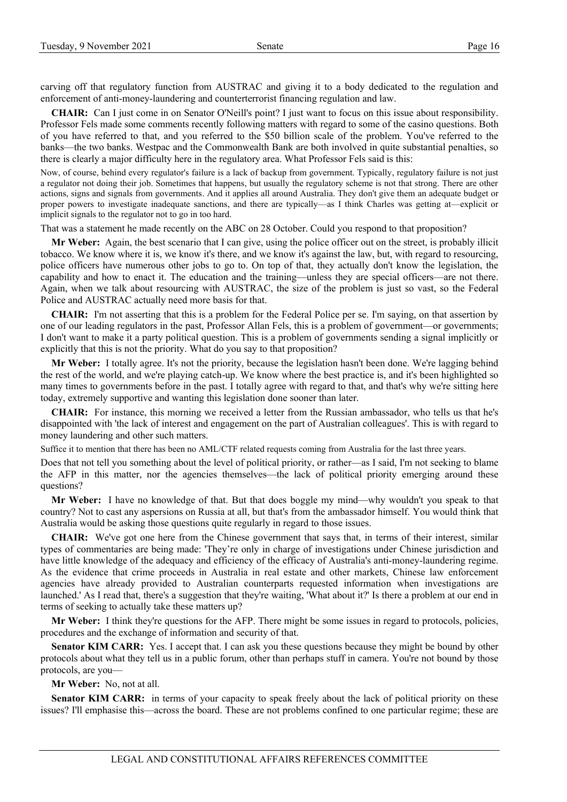carving off that regulatory function from AUSTRAC and giving it to a body dedicated to the regulation and enforcement of anti-money-laundering and counterterrorist financing regulation and law.

**CHAIR:** Can I just come in on Senator O'Neill's point? I just want to focus on this issue about responsibility. Professor Fels made some comments recently following matters with regard to some of the casino questions. Both of you have referred to that, and you referred to the \$50 billion scale of the problem. You've referred to the banks—the two banks. Westpac and the Commonwealth Bank are both involved in quite substantial penalties, so there is clearly a major difficulty here in the regulatory area. What Professor Fels said is this:

Now, of course, behind every regulator's failure is a lack of backup from government. Typically, regulatory failure is not just a regulator not doing their job. Sometimes that happens, but usually the regulatory scheme is not that strong. There are other actions, signs and signals from governments. And it applies all around Australia. They don't give them an adequate budget or proper powers to investigate inadequate sanctions, and there are typically—as I think Charles was getting at—explicit or implicit signals to the regulator not to go in too hard.

That was a statement he made recently on the ABC on 28 October. Could you respond to that proposition?

**Mr Weber:** Again, the best scenario that I can give, using the police officer out on the street, is probably illicit tobacco. We know where it is, we know it's there, and we know it's against the law, but, with regard to resourcing, police officers have numerous other jobs to go to. On top of that, they actually don't know the legislation, the capability and how to enact it. The education and the training—unless they are special officers—are not there. Again, when we talk about resourcing with AUSTRAC, the size of the problem is just so vast, so the Federal Police and AUSTRAC actually need more basis for that.

**CHAIR:** I'm not asserting that this is a problem for the Federal Police per se. I'm saying, on that assertion by one of our leading regulators in the past, Professor Allan Fels, this is a problem of government—or governments; I don't want to make it a party political question. This is a problem of governments sending a signal implicitly or explicitly that this is not the priority. What do you say to that proposition?

**Mr Weber:** I totally agree. It's not the priority, because the legislation hasn't been done. We're lagging behind the rest of the world, and we're playing catch-up. We know where the best practice is, and it's been highlighted so many times to governments before in the past. I totally agree with regard to that, and that's why we're sitting here today, extremely supportive and wanting this legislation done sooner than later.

**CHAIR:** For instance, this morning we received a letter from the Russian ambassador, who tells us that he's disappointed with 'the lack of interest and engagement on the part of Australian colleagues'. This is with regard to money laundering and other such matters.

Suffice it to mention that there has been no AML/CTF related requests coming from Australia for the last three years.

Does that not tell you something about the level of political priority, or rather—as I said, I'm not seeking to blame the AFP in this matter, nor the agencies themselves—the lack of political priority emerging around these questions?

**Mr Weber:** I have no knowledge of that. But that does boggle my mind—why wouldn't you speak to that country? Not to cast any aspersions on Russia at all, but that's from the ambassador himself. You would think that Australia would be asking those questions quite regularly in regard to those issues.

**CHAIR:** We've got one here from the Chinese government that says that, in terms of their interest, similar types of commentaries are being made: 'They're only in charge of investigations under Chinese jurisdiction and have little knowledge of the adequacy and efficiency of the efficacy of Australia's anti-money-laundering regime. As the evidence that crime proceeds in Australia in real estate and other markets, Chinese law enforcement agencies have already provided to Australian counterparts requested information when investigations are launched.' As I read that, there's a suggestion that they're waiting, 'What about it?' Is there a problem at our end in terms of seeking to actually take these matters up?

**Mr Weber:** I think they're questions for the AFP. There might be some issues in regard to protocols, policies, procedures and the exchange of information and security of that.

**Senator KIM CARR:** Yes. I accept that. I can ask you these questions because they might be bound by other protocols about what they tell us in a public forum, other than perhaps stuff in camera. You're not bound by those protocols, are you—

**Mr Weber:** No, not at all.

**Senator KIM CARR:** in terms of your capacity to speak freely about the lack of political priority on these issues? I'll emphasise this—across the board. These are not problems confined to one particular regime; these are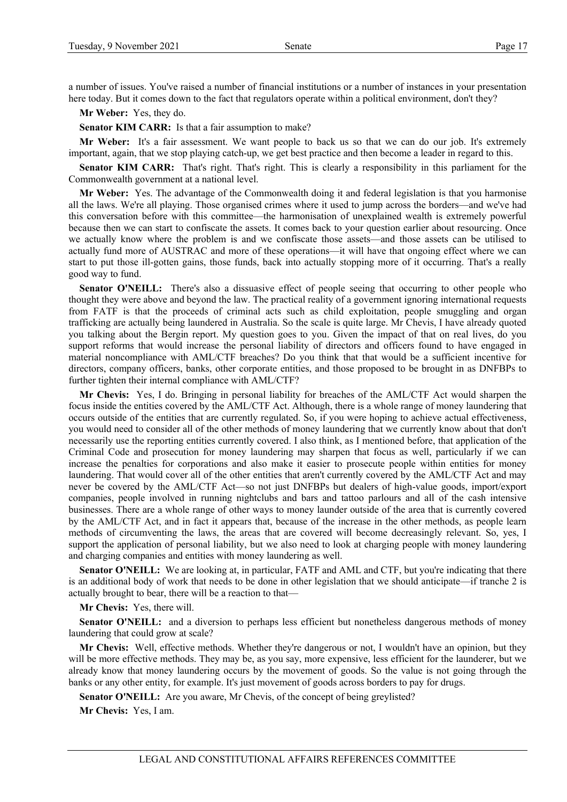a number of issues. You've raised a number of financial institutions or a number of instances in your presentation here today. But it comes down to the fact that regulators operate within a political environment, don't they?

**Mr Weber:** Yes, they do.

**Senator KIM CARR:** Is that a fair assumption to make?

**Mr Weber:** It's a fair assessment. We want people to back us so that we can do our job. It's extremely important, again, that we stop playing catch-up, we get best practice and then become a leader in regard to this.

**Senator KIM CARR:** That's right. That's right. This is clearly a responsibility in this parliament for the Commonwealth government at a national level.

**Mr Weber:** Yes. The advantage of the Commonwealth doing it and federal legislation is that you harmonise all the laws. We're all playing. Those organised crimes where it used to jump across the borders—and we've had this conversation before with this committee—the harmonisation of unexplained wealth is extremely powerful because then we can start to confiscate the assets. It comes back to your question earlier about resourcing. Once we actually know where the problem is and we confiscate those assets—and those assets can be utilised to actually fund more of AUSTRAC and more of these operations—it will have that ongoing effect where we can start to put those ill-gotten gains, those funds, back into actually stopping more of it occurring. That's a really good way to fund.

**Senator O'NEILL:** There's also a dissuasive effect of people seeing that occurring to other people who thought they were above and beyond the law. The practical reality of a government ignoring international requests from FATF is that the proceeds of criminal acts such as child exploitation, people smuggling and organ trafficking are actually being laundered in Australia. So the scale is quite large. Mr Chevis, I have already quoted you talking about the Bergin report. My question goes to you. Given the impact of that on real lives, do you support reforms that would increase the personal liability of directors and officers found to have engaged in material noncompliance with AML/CTF breaches? Do you think that that would be a sufficient incentive for directors, company officers, banks, other corporate entities, and those proposed to be brought in as DNFBPs to further tighten their internal compliance with AML/CTF?

**Mr Chevis:** Yes, I do. Bringing in personal liability for breaches of the AML/CTF Act would sharpen the focus inside the entities covered by the AML/CTF Act. Although, there is a whole range of money laundering that occurs outside of the entities that are currently regulated. So, if you were hoping to achieve actual effectiveness, you would need to consider all of the other methods of money laundering that we currently know about that don't necessarily use the reporting entities currently covered. I also think, as I mentioned before, that application of the Criminal Code and prosecution for money laundering may sharpen that focus as well, particularly if we can increase the penalties for corporations and also make it easier to prosecute people within entities for money laundering. That would cover all of the other entities that aren't currently covered by the AML/CTF Act and may never be covered by the AML/CTF Act—so not just DNFBPs but dealers of high-value goods, import/export companies, people involved in running nightclubs and bars and tattoo parlours and all of the cash intensive businesses. There are a whole range of other ways to money launder outside of the area that is currently covered by the AML/CTF Act, and in fact it appears that, because of the increase in the other methods, as people learn methods of circumventing the laws, the areas that are covered will become decreasingly relevant. So, yes, I support the application of personal liability, but we also need to look at charging people with money laundering and charging companies and entities with money laundering as well.

Senator O'NEILL: We are looking at, in particular, FATF and AML and CTF, but you're indicating that there is an additional body of work that needs to be done in other legislation that we should anticipate—if tranche 2 is actually brought to bear, there will be a reaction to that—

**Mr Chevis:** Yes, there will.

**Senator O'NEILL:** and a diversion to perhaps less efficient but nonetheless dangerous methods of money laundering that could grow at scale?

**Mr Chevis:** Well, effective methods. Whether they're dangerous or not, I wouldn't have an opinion, but they will be more effective methods. They may be, as you say, more expensive, less efficient for the launderer, but we already know that money laundering occurs by the movement of goods. So the value is not going through the banks or any other entity, for example. It's just movement of goods across borders to pay for drugs.

**Senator O'NEILL:** Are you aware, Mr Chevis, of the concept of being greylisted?

**Mr Chevis:** Yes, I am.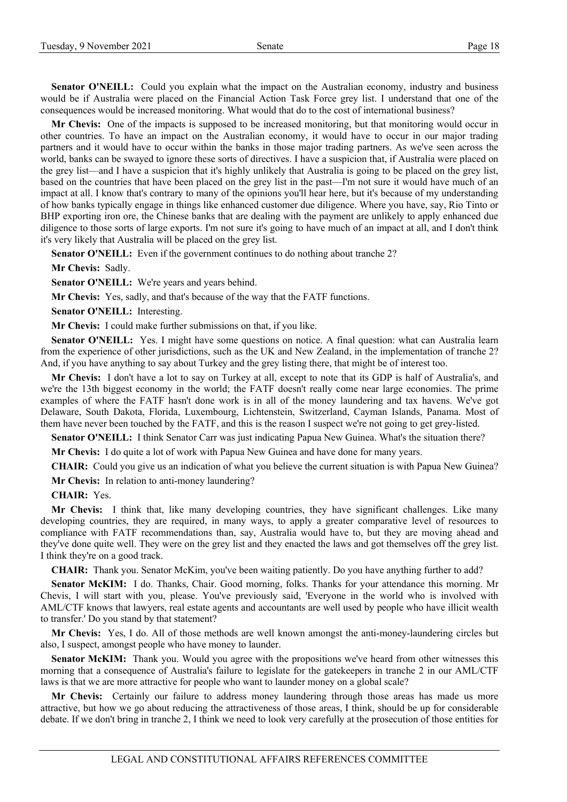**Senator O'NEILL:** Could you explain what the impact on the Australian economy, industry and business would be if Australia were placed on the Financial Action Task Force grey list. I understand that one of the consequences would be increased monitoring. What would that do to the cost of international business?

**Mr Chevis:** One of the impacts is supposed to be increased monitoring, but that monitoring would occur in other countries. To have an impact on the Australian economy, it would have to occur in our major trading partners and it would have to occur within the banks in those major trading partners. As we've seen across the world, banks can be swayed to ignore these sorts of directives. I have a suspicion that, if Australia were placed on the grey list—and I have a suspicion that it's highly unlikely that Australia is going to be placed on the grey list, based on the countries that have been placed on the grey list in the past—I'm not sure it would have much of an impact at all. I know that's contrary to many of the opinions you'll hear here, but it's because of my understanding of how banks typically engage in things like enhanced customer due diligence. Where you have, say, Rio Tinto or BHP exporting iron ore, the Chinese banks that are dealing with the payment are unlikely to apply enhanced due diligence to those sorts of large exports. I'm not sure it's going to have much of an impact at all, and I don't think it's very likely that Australia will be placed on the grey list.

**Senator O'NEILL:** Even if the government continues to do nothing about tranche 2?

**Mr Chevis:** Sadly.

**Senator O'NEILL:** We're years and years behind.

**Mr Chevis:** Yes, sadly, and that's because of the way that the FATF functions.

**Senator O'NEILL:** Interesting.

**Mr Chevis:** I could make further submissions on that, if you like.

Senator O'NEILL: Yes. I might have some questions on notice. A final question: what can Australia learn from the experience of other jurisdictions, such as the UK and New Zealand, in the implementation of tranche 2? And, if you have anything to say about Turkey and the grey listing there, that might be of interest too.

**Mr Chevis:** I don't have a lot to say on Turkey at all, except to note that its GDP is half of Australia's, and we're the 13th biggest economy in the world; the FATF doesn't really come near large economies. The prime examples of where the FATF hasn't done work is in all of the money laundering and tax havens. We've got Delaware, South Dakota, Florida, Luxembourg, Lichtenstein, Switzerland, Cayman Islands, Panama. Most of them have never been touched by the FATF, and this is the reason I suspect we're not going to get grey-listed.

**Senator O'NEILL:** I think Senator Carr was just indicating Papua New Guinea. What's the situation there?

**Mr Chevis:** I do quite a lot of work with Papua New Guinea and have done for many years.

**CHAIR:** Could you give us an indication of what you believe the current situation is with Papua New Guinea?

**Mr Chevis:** In relation to anti-money laundering?

**CHAIR:** Yes.

**Mr Chevis:** I think that, like many developing countries, they have significant challenges. Like many developing countries, they are required, in many ways, to apply a greater comparative level of resources to compliance with FATF recommendations than, say, Australia would have to, but they are moving ahead and they've done quite well. They were on the grey list and they enacted the laws and got themselves off the grey list. I think they're on a good track.

**CHAIR:** Thank you. Senator McKim, you've been waiting patiently. Do you have anything further to add?

**Senator McKIM:** I do. Thanks, Chair. Good morning, folks. Thanks for your attendance this morning. Mr Chevis, I will start with you, please. You've previously said, 'Everyone in the world who is involved with AML/CTF knows that lawyers, real estate agents and accountants are well used by people who have illicit wealth to transfer.' Do you stand by that statement?

**Mr Chevis:** Yes, I do. All of those methods are well known amongst the anti-money-laundering circles but also, I suspect, amongst people who have money to launder.

**Senator McKIM:** Thank you. Would you agree with the propositions we've heard from other witnesses this morning that a consequence of Australia's failure to legislate for the gatekeepers in tranche 2 in our AML/CTF laws is that we are more attractive for people who want to launder money on a global scale?

**Mr Chevis:** Certainly our failure to address money laundering through those areas has made us more attractive, but how we go about reducing the attractiveness of those areas, I think, should be up for considerable debate. If we don't bring in tranche 2, I think we need to look very carefully at the prosecution of those entities for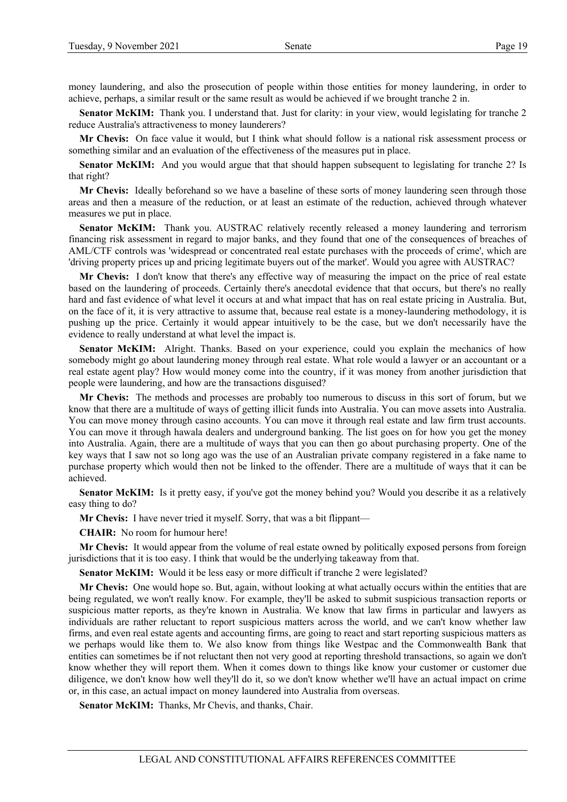money laundering, and also the prosecution of people within those entities for money laundering, in order to achieve, perhaps, a similar result or the same result as would be achieved if we brought tranche 2 in.

**Senator McKIM:** Thank you. I understand that. Just for clarity: in your view, would legislating for tranche 2 reduce Australia's attractiveness to money launderers?

**Mr Chevis:** On face value it would, but I think what should follow is a national risk assessment process or something similar and an evaluation of the effectiveness of the measures put in place.

**Senator McKIM:** And you would argue that that should happen subsequent to legislating for tranche 2? Is that right?

**Mr Chevis:** Ideally beforehand so we have a baseline of these sorts of money laundering seen through those areas and then a measure of the reduction, or at least an estimate of the reduction, achieved through whatever measures we put in place.

**Senator McKIM:** Thank you. AUSTRAC relatively recently released a money laundering and terrorism financing risk assessment in regard to major banks, and they found that one of the consequences of breaches of AML/CTF controls was 'widespread or concentrated real estate purchases with the proceeds of crime', which are 'driving property prices up and pricing legitimate buyers out of the market'. Would you agree with AUSTRAC?

**Mr Chevis:** I don't know that there's any effective way of measuring the impact on the price of real estate based on the laundering of proceeds. Certainly there's anecdotal evidence that that occurs, but there's no really hard and fast evidence of what level it occurs at and what impact that has on real estate pricing in Australia. But, on the face of it, it is very attractive to assume that, because real estate is a money-laundering methodology, it is pushing up the price. Certainly it would appear intuitively to be the case, but we don't necessarily have the evidence to really understand at what level the impact is.

**Senator McKIM:** Alright. Thanks. Based on your experience, could you explain the mechanics of how somebody might go about laundering money through real estate. What role would a lawyer or an accountant or a real estate agent play? How would money come into the country, if it was money from another jurisdiction that people were laundering, and how are the transactions disguised?

**Mr Chevis:** The methods and processes are probably too numerous to discuss in this sort of forum, but we know that there are a multitude of ways of getting illicit funds into Australia. You can move assets into Australia. You can move money through casino accounts. You can move it through real estate and law firm trust accounts. You can move it through hawala dealers and underground banking. The list goes on for how you get the money into Australia. Again, there are a multitude of ways that you can then go about purchasing property. One of the key ways that I saw not so long ago was the use of an Australian private company registered in a fake name to purchase property which would then not be linked to the offender. There are a multitude of ways that it can be achieved.

**Senator McKIM:** Is it pretty easy, if you've got the money behind you? Would you describe it as a relatively easy thing to do?

**Mr Chevis:** I have never tried it myself. Sorry, that was a bit flippant—

**CHAIR:** No room for humour here!

**Mr Chevis:** It would appear from the volume of real estate owned by politically exposed persons from foreign jurisdictions that it is too easy. I think that would be the underlying takeaway from that.

**Senator McKIM:** Would it be less easy or more difficult if tranche 2 were legislated?

**Mr Chevis:** One would hope so. But, again, without looking at what actually occurs within the entities that are being regulated, we won't really know. For example, they'll be asked to submit suspicious transaction reports or suspicious matter reports, as they're known in Australia. We know that law firms in particular and lawyers as individuals are rather reluctant to report suspicious matters across the world, and we can't know whether law firms, and even real estate agents and accounting firms, are going to react and start reporting suspicious matters as we perhaps would like them to. We also know from things like Westpac and the Commonwealth Bank that entities can sometimes be if not reluctant then not very good at reporting threshold transactions, so again we don't know whether they will report them. When it comes down to things like know your customer or customer due diligence, we don't know how well they'll do it, so we don't know whether we'll have an actual impact on crime or, in this case, an actual impact on money laundered into Australia from overseas.

**Senator McKIM:** Thanks, Mr Chevis, and thanks, Chair.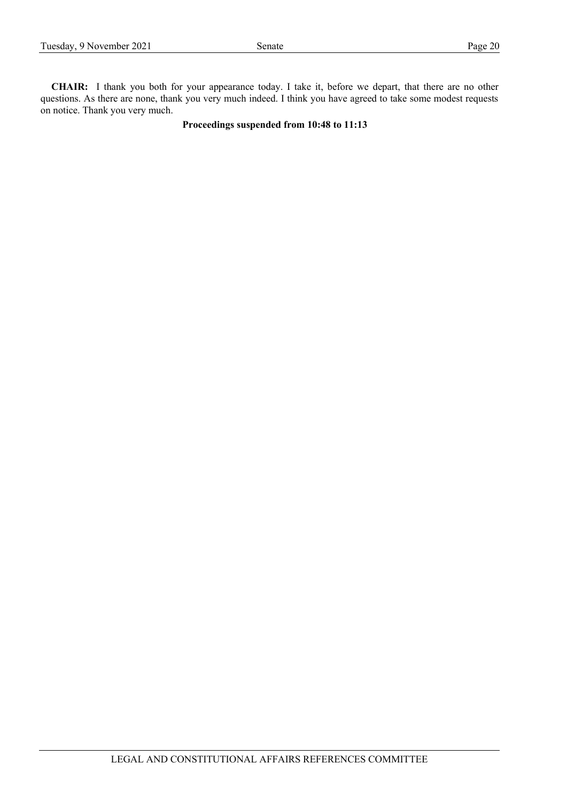**CHAIR:** I thank you both for your appearance today. I take it, before we depart, that there are no other questions. As there are none, thank you very much indeed. I think you have agreed to take some modest requests on notice. Thank you very much.

# **Proceedings suspended from 10:48 to 11:13**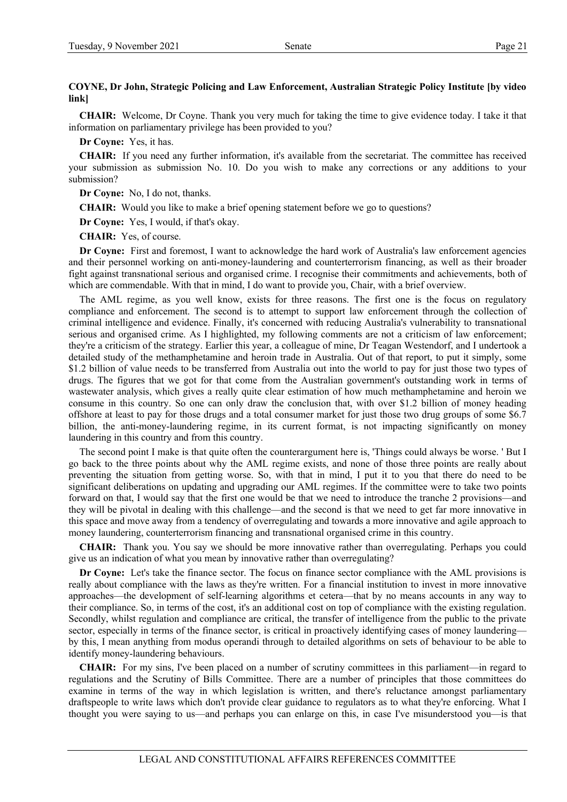# **COYNE, Dr John, Strategic Policing and Law Enforcement, Australian Strategic Policy Institute [by video link]**

**CHAIR:** Welcome, Dr Coyne. Thank you very much for taking the time to give evidence today. I take it that information on parliamentary privilege has been provided to you?

**Dr Coyne:** Yes, it has.

**CHAIR:** If you need any further information, it's available from the secretariat. The committee has received your submission as submission No. 10. Do you wish to make any corrections or any additions to your submission?

**Dr Coyne:** No, I do not, thanks.

**CHAIR:** Would you like to make a brief opening statement before we go to questions?

**Dr Coyne:** Yes, I would, if that's okay.

**CHAIR:** Yes, of course.

**Dr Coyne:** First and foremost, I want to acknowledge the hard work of Australia's law enforcement agencies and their personnel working on anti-money-laundering and counterterrorism financing, as well as their broader fight against transnational serious and organised crime. I recognise their commitments and achievements, both of which are commendable. With that in mind, I do want to provide you, Chair, with a brief overview.

The AML regime, as you well know, exists for three reasons. The first one is the focus on regulatory compliance and enforcement. The second is to attempt to support law enforcement through the collection of criminal intelligence and evidence. Finally, it's concerned with reducing Australia's vulnerability to transnational serious and organised crime. As I highlighted, my following comments are not a criticism of law enforcement; they're a criticism of the strategy. Earlier this year, a colleague of mine, Dr Teagan Westendorf, and I undertook a detailed study of the methamphetamine and heroin trade in Australia. Out of that report, to put it simply, some \$1.2 billion of value needs to be transferred from Australia out into the world to pay for just those two types of drugs. The figures that we got for that come from the Australian government's outstanding work in terms of wastewater analysis, which gives a really quite clear estimation of how much methamphetamine and heroin we consume in this country. So one can only draw the conclusion that, with over \$1.2 billion of money heading offshore at least to pay for those drugs and a total consumer market for just those two drug groups of some \$6.7 billion, the anti-money-laundering regime, in its current format, is not impacting significantly on money laundering in this country and from this country.

The second point I make is that quite often the counterargument here is, 'Things could always be worse. ' But I go back to the three points about why the AML regime exists, and none of those three points are really about preventing the situation from getting worse. So, with that in mind, I put it to you that there do need to be significant deliberations on updating and upgrading our AML regimes. If the committee were to take two points forward on that, I would say that the first one would be that we need to introduce the tranche 2 provisions—and they will be pivotal in dealing with this challenge—and the second is that we need to get far more innovative in this space and move away from a tendency of overregulating and towards a more innovative and agile approach to money laundering, counterterrorism financing and transnational organised crime in this country.

**CHAIR:** Thank you. You say we should be more innovative rather than overregulating. Perhaps you could give us an indication of what you mean by innovative rather than overregulating?

**Dr Coyne:** Let's take the finance sector. The focus on finance sector compliance with the AML provisions is really about compliance with the laws as they're written. For a financial institution to invest in more innovative approaches—the development of self-learning algorithms et cetera—that by no means accounts in any way to their compliance. So, in terms of the cost, it's an additional cost on top of compliance with the existing regulation. Secondly, whilst regulation and compliance are critical, the transfer of intelligence from the public to the private sector, especially in terms of the finance sector, is critical in proactively identifying cases of money laundering by this, I mean anything from modus operandi through to detailed algorithms on sets of behaviour to be able to identify money-laundering behaviours.

**CHAIR:** For my sins, I've been placed on a number of scrutiny committees in this parliament—in regard to regulations and the Scrutiny of Bills Committee. There are a number of principles that those committees do examine in terms of the way in which legislation is written, and there's reluctance amongst parliamentary draftspeople to write laws which don't provide clear guidance to regulators as to what they're enforcing. What I thought you were saying to us—and perhaps you can enlarge on this, in case I've misunderstood you—is that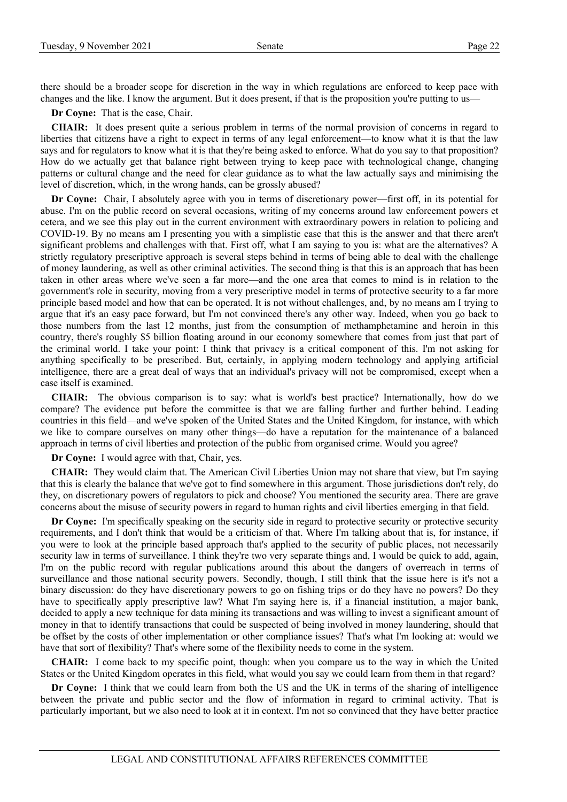there should be a broader scope for discretion in the way in which regulations are enforced to keep pace with changes and the like. I know the argument. But it does present, if that is the proposition you're putting to us—

**Dr Coyne:** That is the case, Chair.

**CHAIR:** It does present quite a serious problem in terms of the normal provision of concerns in regard to liberties that citizens have a right to expect in terms of any legal enforcement—to know what it is that the law says and for regulators to know what it is that they're being asked to enforce. What do you say to that proposition? How do we actually get that balance right between trying to keep pace with technological change, changing patterns or cultural change and the need for clear guidance as to what the law actually says and minimising the level of discretion, which, in the wrong hands, can be grossly abused?

**Dr Coyne:** Chair, I absolutely agree with you in terms of discretionary power—first off, in its potential for abuse. I'm on the public record on several occasions, writing of my concerns around law enforcement powers et cetera, and we see this play out in the current environment with extraordinary powers in relation to policing and COVID-19. By no means am I presenting you with a simplistic case that this is the answer and that there aren't significant problems and challenges with that. First off, what I am saying to you is: what are the alternatives? A strictly regulatory prescriptive approach is several steps behind in terms of being able to deal with the challenge of money laundering, as well as other criminal activities. The second thing is that this is an approach that has been taken in other areas where we've seen a far more—and the one area that comes to mind is in relation to the government's role in security, moving from a very prescriptive model in terms of protective security to a far more principle based model and how that can be operated. It is not without challenges, and, by no means am I trying to argue that it's an easy pace forward, but I'm not convinced there's any other way. Indeed, when you go back to those numbers from the last 12 months, just from the consumption of methamphetamine and heroin in this country, there's roughly \$5 billion floating around in our economy somewhere that comes from just that part of the criminal world. I take your point: I think that privacy is a critical component of this. I'm not asking for anything specifically to be prescribed. But, certainly, in applying modern technology and applying artificial intelligence, there are a great deal of ways that an individual's privacy will not be compromised, except when a case itself is examined.

**CHAIR:** The obvious comparison is to say: what is world's best practice? Internationally, how do we compare? The evidence put before the committee is that we are falling further and further behind. Leading countries in this field—and we've spoken of the United States and the United Kingdom, for instance, with which we like to compare ourselves on many other things—do have a reputation for the maintenance of a balanced approach in terms of civil liberties and protection of the public from organised crime. Would you agree?

**Dr Coyne:** I would agree with that, Chair, yes.

**CHAIR:** They would claim that. The American Civil Liberties Union may not share that view, but I'm saying that this is clearly the balance that we've got to find somewhere in this argument. Those jurisdictions don't rely, do they, on discretionary powers of regulators to pick and choose? You mentioned the security area. There are grave concerns about the misuse of security powers in regard to human rights and civil liberties emerging in that field.

**Dr Coyne:** I'm specifically speaking on the security side in regard to protective security or protective security requirements, and I don't think that would be a criticism of that. Where I'm talking about that is, for instance, if you were to look at the principle based approach that's applied to the security of public places, not necessarily security law in terms of surveillance. I think they're two very separate things and, I would be quick to add, again, I'm on the public record with regular publications around this about the dangers of overreach in terms of surveillance and those national security powers. Secondly, though, I still think that the issue here is it's not a binary discussion: do they have discretionary powers to go on fishing trips or do they have no powers? Do they have to specifically apply prescriptive law? What I'm saying here is, if a financial institution, a major bank, decided to apply a new technique for data mining its transactions and was willing to invest a significant amount of money in that to identify transactions that could be suspected of being involved in money laundering, should that be offset by the costs of other implementation or other compliance issues? That's what I'm looking at: would we have that sort of flexibility? That's where some of the flexibility needs to come in the system.

**CHAIR:** I come back to my specific point, though: when you compare us to the way in which the United States or the United Kingdom operates in this field, what would you say we could learn from them in that regard?

**Dr Coyne:** I think that we could learn from both the US and the UK in terms of the sharing of intelligence between the private and public sector and the flow of information in regard to criminal activity. That is particularly important, but we also need to look at it in context. I'm not so convinced that they have better practice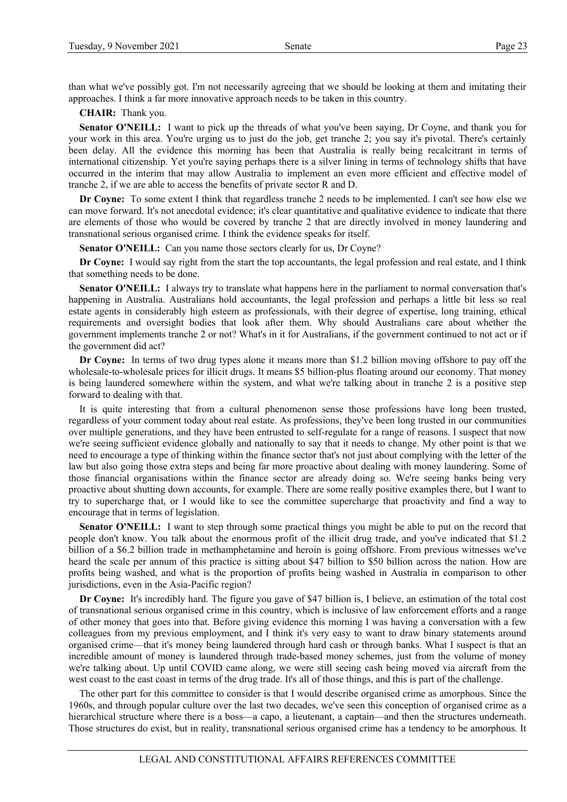than what we've possibly got. I'm not necessarily agreeing that we should be looking at them and imitating their approaches. I think a far more innovative approach needs to be taken in this country.

**CHAIR:** Thank you.

**Senator O'NEILL:** I want to pick up the threads of what you've been saying, Dr Coyne, and thank you for your work in this area. You're urging us to just do the job, get tranche 2; you say it's pivotal. There's certainly been delay. All the evidence this morning has been that Australia is really being recalcitrant in terms of international citizenship. Yet you're saying perhaps there is a silver lining in terms of technology shifts that have occurred in the interim that may allow Australia to implement an even more efficient and effective model of tranche 2, if we are able to access the benefits of private sector R and D.

**Dr Coyne:** To some extent I think that regardless tranche 2 needs to be implemented. I can't see how else we can move forward. It's not anecdotal evidence; it's clear quantitative and qualitative evidence to indicate that there are elements of those who would be covered by tranche 2 that are directly involved in money laundering and transnational serious organised crime. I think the evidence speaks for itself.

Senator O'NEILL: Can you name those sectors clearly for us, Dr Coyne?

**Dr Coyne:** I would say right from the start the top accountants, the legal profession and real estate, and I think that something needs to be done.

**Senator O'NEILL:** I always try to translate what happens here in the parliament to normal conversation that's happening in Australia. Australians hold accountants, the legal profession and perhaps a little bit less so real estate agents in considerably high esteem as professionals, with their degree of expertise, long training, ethical requirements and oversight bodies that look after them. Why should Australians care about whether the government implements tranche 2 or not? What's in it for Australians, if the government continued to not act or if the government did act?

**Dr Coyne:** In terms of two drug types alone it means more than \$1.2 billion moving offshore to pay off the wholesale-to-wholesale prices for illicit drugs. It means \$5 billion-plus floating around our economy. That money is being laundered somewhere within the system, and what we're talking about in tranche 2 is a positive step forward to dealing with that.

It is quite interesting that from a cultural phenomenon sense those professions have long been trusted, regardless of your comment today about real estate. As professions, they've been long trusted in our communities over multiple generations, and they have been entrusted to self-regulate for a range of reasons. I suspect that now we're seeing sufficient evidence globally and nationally to say that it needs to change. My other point is that we need to encourage a type of thinking within the finance sector that's not just about complying with the letter of the law but also going those extra steps and being far more proactive about dealing with money laundering. Some of those financial organisations within the finance sector are already doing so. We're seeing banks being very proactive about shutting down accounts, for example. There are some really positive examples there, but I want to try to supercharge that, or I would like to see the committee supercharge that proactivity and find a way to encourage that in terms of legislation.

**Senator O'NEILL:** I want to step through some practical things you might be able to put on the record that people don't know. You talk about the enormous profit of the illicit drug trade, and you've indicated that \$1.2 billion of a \$6.2 billion trade in methamphetamine and heroin is going offshore. From previous witnesses we've heard the scale per annum of this practice is sitting about \$47 billion to \$50 billion across the nation. How are profits being washed, and what is the proportion of profits being washed in Australia in comparison to other jurisdictions, even in the Asia-Pacific region?

**Dr Coyne:** It's incredibly hard. The figure you gave of \$47 billion is, I believe, an estimation of the total cost of transnational serious organised crime in this country, which is inclusive of law enforcement efforts and a range of other money that goes into that. Before giving evidence this morning I was having a conversation with a few colleagues from my previous employment, and I think it's very easy to want to draw binary statements around organised crime—that it's money being laundered through hard cash or through banks. What I suspect is that an incredible amount of money is laundered through trade-based money schemes, just from the volume of money we're talking about. Up until COVID came along, we were still seeing cash being moved via aircraft from the west coast to the east coast in terms of the drug trade. It's all of those things, and this is part of the challenge.

The other part for this committee to consider is that I would describe organised crime as amorphous. Since the 1960s, and through popular culture over the last two decades, we've seen this conception of organised crime as a hierarchical structure where there is a boss—a capo, a lieutenant, a captain—and then the structures underneath. Those structures do exist, but in reality, transnational serious organised crime has a tendency to be amorphous. It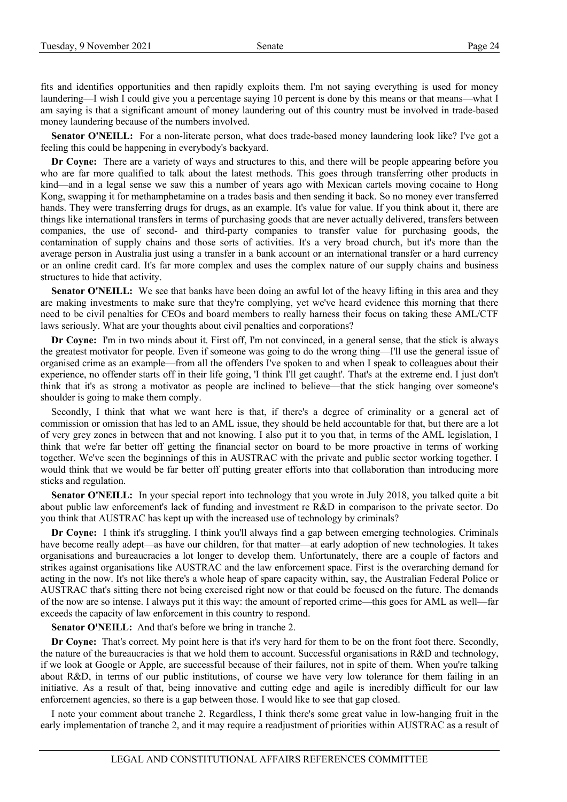fits and identifies opportunities and then rapidly exploits them. I'm not saying everything is used for money laundering—I wish I could give you a percentage saying 10 percent is done by this means or that means—what I am saying is that a significant amount of money laundering out of this country must be involved in trade-based money laundering because of the numbers involved.

Senator O'NEILL: For a non-literate person, what does trade-based money laundering look like? I've got a feeling this could be happening in everybody's backyard.

**Dr Coyne:** There are a variety of ways and structures to this, and there will be people appearing before you who are far more qualified to talk about the latest methods. This goes through transferring other products in kind—and in a legal sense we saw this a number of years ago with Mexican cartels moving cocaine to Hong Kong, swapping it for methamphetamine on a trades basis and then sending it back. So no money ever transferred hands. They were transferring drugs for drugs, as an example. It's value for value. If you think about it, there are things like international transfers in terms of purchasing goods that are never actually delivered, transfers between companies, the use of second- and third-party companies to transfer value for purchasing goods, the contamination of supply chains and those sorts of activities. It's a very broad church, but it's more than the average person in Australia just using a transfer in a bank account or an international transfer or a hard currency or an online credit card. It's far more complex and uses the complex nature of our supply chains and business structures to hide that activity.

**Senator O'NEILL:** We see that banks have been doing an awful lot of the heavy lifting in this area and they are making investments to make sure that they're complying, yet we've heard evidence this morning that there need to be civil penalties for CEOs and board members to really harness their focus on taking these AML/CTF laws seriously. What are your thoughts about civil penalties and corporations?

**Dr Coyne:** I'm in two minds about it. First off, I'm not convinced, in a general sense, that the stick is always the greatest motivator for people. Even if someone was going to do the wrong thing—I'll use the general issue of organised crime as an example—from all the offenders I've spoken to and when I speak to colleagues about their experience, no offender starts off in their life going, 'I think I'll get caught'. That's at the extreme end. I just don't think that it's as strong a motivator as people are inclined to believe—that the stick hanging over someone's shoulder is going to make them comply.

Secondly, I think that what we want here is that, if there's a degree of criminality or a general act of commission or omission that has led to an AML issue, they should be held accountable for that, but there are a lot of very grey zones in between that and not knowing. I also put it to you that, in terms of the AML legislation, I think that we're far better off getting the financial sector on board to be more proactive in terms of working together. We've seen the beginnings of this in AUSTRAC with the private and public sector working together. I would think that we would be far better off putting greater efforts into that collaboration than introducing more sticks and regulation.

**Senator O'NEILL:** In your special report into technology that you wrote in July 2018, you talked quite a bit about public law enforcement's lack of funding and investment re R&D in comparison to the private sector. Do you think that AUSTRAC has kept up with the increased use of technology by criminals?

**Dr Coyne:** I think it's struggling. I think you'll always find a gap between emerging technologies. Criminals have become really adept—as have our children, for that matter—at early adoption of new technologies. It takes organisations and bureaucracies a lot longer to develop them. Unfortunately, there are a couple of factors and strikes against organisations like AUSTRAC and the law enforcement space. First is the overarching demand for acting in the now. It's not like there's a whole heap of spare capacity within, say, the Australian Federal Police or AUSTRAC that's sitting there not being exercised right now or that could be focused on the future. The demands of the now are so intense. I always put it this way: the amount of reported crime—this goes for AML as well—far exceeds the capacity of law enforcement in this country to respond.

**Senator O'NEILL:** And that's before we bring in tranche 2.

**Dr Coyne:** That's correct. My point here is that it's very hard for them to be on the front foot there. Secondly, the nature of the bureaucracies is that we hold them to account. Successful organisations in R&D and technology, if we look at Google or Apple, are successful because of their failures, not in spite of them. When you're talking about R&D, in terms of our public institutions, of course we have very low tolerance for them failing in an initiative. As a result of that, being innovative and cutting edge and agile is incredibly difficult for our law enforcement agencies, so there is a gap between those. I would like to see that gap closed.

I note your comment about tranche 2. Regardless, I think there's some great value in low-hanging fruit in the early implementation of tranche 2, and it may require a readjustment of priorities within AUSTRAC as a result of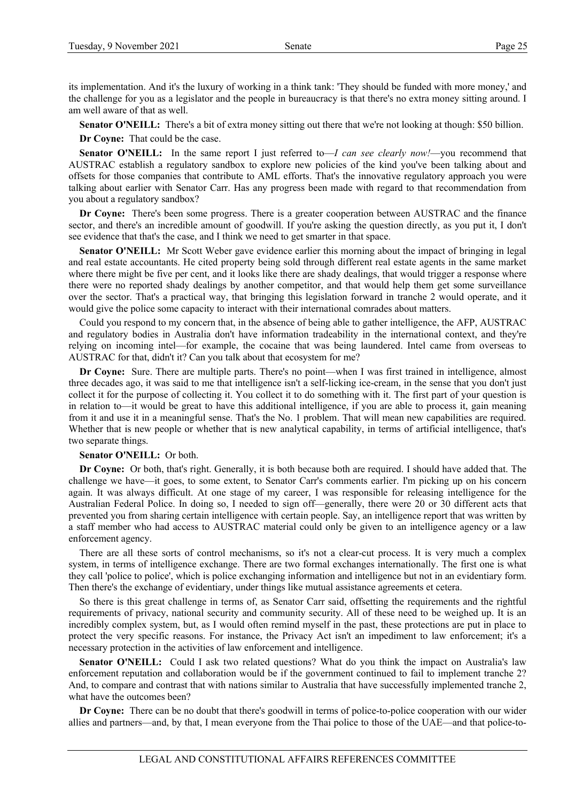its implementation. And it's the luxury of working in a think tank: 'They should be funded with more money,' and the challenge for you as a legislator and the people in bureaucracy is that there's no extra money sitting around. I am well aware of that as well.

**Senator O'NEILL:** There's a bit of extra money sitting out there that we're not looking at though: \$50 billion.

**Dr Coyne:** That could be the case.

**Senator O'NEILL:** In the same report I just referred to—*I can see clearly now!*—you recommend that AUSTRAC establish a regulatory sandbox to explore new policies of the kind you've been talking about and offsets for those companies that contribute to AML efforts. That's the innovative regulatory approach you were talking about earlier with Senator Carr. Has any progress been made with regard to that recommendation from you about a regulatory sandbox?

**Dr Coyne:** There's been some progress. There is a greater cooperation between AUSTRAC and the finance sector, and there's an incredible amount of goodwill. If you're asking the question directly, as you put it, I don't see evidence that that's the case, and I think we need to get smarter in that space.

**Senator O'NEILL:** Mr Scott Weber gave evidence earlier this morning about the impact of bringing in legal and real estate accountants. He cited property being sold through different real estate agents in the same market where there might be five per cent, and it looks like there are shady dealings, that would trigger a response where there were no reported shady dealings by another competitor, and that would help them get some surveillance over the sector. That's a practical way, that bringing this legislation forward in tranche 2 would operate, and it would give the police some capacity to interact with their international comrades about matters.

Could you respond to my concern that, in the absence of being able to gather intelligence, the AFP, AUSTRAC and regulatory bodies in Australia don't have information tradeability in the international context, and they're relying on incoming intel—for example, the cocaine that was being laundered. Intel came from overseas to AUSTRAC for that, didn't it? Can you talk about that ecosystem for me?

**Dr Coyne:** Sure. There are multiple parts. There's no point—when I was first trained in intelligence, almost three decades ago, it was said to me that intelligence isn't a self-licking ice-cream, in the sense that you don't just collect it for the purpose of collecting it. You collect it to do something with it. The first part of your question is in relation to—it would be great to have this additional intelligence, if you are able to process it, gain meaning from it and use it in a meaningful sense. That's the No. 1 problem. That will mean new capabilities are required. Whether that is new people or whether that is new analytical capability, in terms of artificial intelligence, that's two separate things.

## **Senator O'NEILL:** Or both.

**Dr Coyne:** Or both, that's right. Generally, it is both because both are required. I should have added that. The challenge we have—it goes, to some extent, to Senator Carr's comments earlier. I'm picking up on his concern again. It was always difficult. At one stage of my career, I was responsible for releasing intelligence for the Australian Federal Police. In doing so, I needed to sign off—generally, there were 20 or 30 different acts that prevented you from sharing certain intelligence with certain people. Say, an intelligence report that was written by a staff member who had access to AUSTRAC material could only be given to an intelligence agency or a law enforcement agency.

There are all these sorts of control mechanisms, so it's not a clear-cut process. It is very much a complex system, in terms of intelligence exchange. There are two formal exchanges internationally. The first one is what they call 'police to police', which is police exchanging information and intelligence but not in an evidentiary form. Then there's the exchange of evidentiary, under things like mutual assistance agreements et cetera.

So there is this great challenge in terms of, as Senator Carr said, offsetting the requirements and the rightful requirements of privacy, national security and community security. All of these need to be weighed up. It is an incredibly complex system, but, as I would often remind myself in the past, these protections are put in place to protect the very specific reasons. For instance, the Privacy Act isn't an impediment to law enforcement; it's a necessary protection in the activities of law enforcement and intelligence.

**Senator O'NEILL:** Could I ask two related questions? What do you think the impact on Australia's law enforcement reputation and collaboration would be if the government continued to fail to implement tranche 2? And, to compare and contrast that with nations similar to Australia that have successfully implemented tranche 2, what have the outcomes been?

**Dr Coyne:** There can be no doubt that there's goodwill in terms of police-to-police cooperation with our wider allies and partners—and, by that, I mean everyone from the Thai police to those of the UAE—and that police-to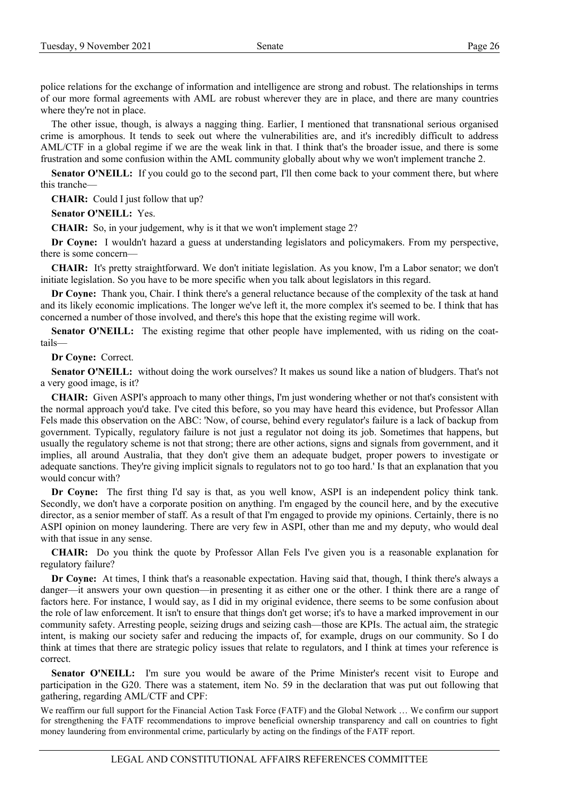police relations for the exchange of information and intelligence are strong and robust. The relationships in terms of our more formal agreements with AML are robust wherever they are in place, and there are many countries where they're not in place.

The other issue, though, is always a nagging thing. Earlier, I mentioned that transnational serious organised crime is amorphous. It tends to seek out where the vulnerabilities are, and it's incredibly difficult to address AML/CTF in a global regime if we are the weak link in that. I think that's the broader issue, and there is some frustration and some confusion within the AML community globally about why we won't implement tranche 2.

**Senator O'NEILL:** If you could go to the second part, I'll then come back to your comment there, but where this tranche—

**CHAIR:** Could I just follow that up?

**Senator O'NEILL:** Yes.

**CHAIR:** So, in your judgement, why is it that we won't implement stage 2?

**Dr Coyne:** I wouldn't hazard a guess at understanding legislators and policymakers. From my perspective, there is some concern—

**CHAIR:** It's pretty straightforward. We don't initiate legislation. As you know, I'm a Labor senator; we don't initiate legislation. So you have to be more specific when you talk about legislators in this regard.

**Dr Coyne:** Thank you, Chair. I think there's a general reluctance because of the complexity of the task at hand and its likely economic implications. The longer we've left it, the more complex it's seemed to be. I think that has concerned a number of those involved, and there's this hope that the existing regime will work.

**Senator O'NEILL:** The existing regime that other people have implemented, with us riding on the coattails—

**Dr Coyne:** Correct.

**Senator O'NEILL:** without doing the work ourselves? It makes us sound like a nation of bludgers. That's not a very good image, is it?

**CHAIR:** Given ASPI's approach to many other things, I'm just wondering whether or not that's consistent with the normal approach you'd take. I've cited this before, so you may have heard this evidence, but Professor Allan Fels made this observation on the ABC: 'Now, of course, behind every regulator's failure is a lack of backup from government. Typically, regulatory failure is not just a regulator not doing its job. Sometimes that happens, but usually the regulatory scheme is not that strong; there are other actions, signs and signals from government, and it implies, all around Australia, that they don't give them an adequate budget, proper powers to investigate or adequate sanctions. They're giving implicit signals to regulators not to go too hard.' Is that an explanation that you would concur with?

**Dr Coyne:** The first thing I'd say is that, as you well know, ASPI is an independent policy think tank. Secondly, we don't have a corporate position on anything. I'm engaged by the council here, and by the executive director, as a senior member of staff. As a result of that I'm engaged to provide my opinions. Certainly, there is no ASPI opinion on money laundering. There are very few in ASPI, other than me and my deputy, who would deal with that issue in any sense.

**CHAIR:** Do you think the quote by Professor Allan Fels I've given you is a reasonable explanation for regulatory failure?

**Dr Coyne:** At times, I think that's a reasonable expectation. Having said that, though, I think there's always a danger—it answers your own question—in presenting it as either one or the other. I think there are a range of factors here. For instance, I would say, as I did in my original evidence, there seems to be some confusion about the role of law enforcement. It isn't to ensure that things don't get worse; it's to have a marked improvement in our community safety. Arresting people, seizing drugs and seizing cash—those are KPIs. The actual aim, the strategic intent, is making our society safer and reducing the impacts of, for example, drugs on our community. So I do think at times that there are strategic policy issues that relate to regulators, and I think at times your reference is correct.

**Senator O'NEILL:** I'm sure you would be aware of the Prime Minister's recent visit to Europe and participation in the G20. There was a statement, item No. 59 in the declaration that was put out following that gathering, regarding AML/CTF and CPF:

We reaffirm our full support for the Financial Action Task Force (FATF) and the Global Network ... We confirm our support for strengthening the FATF recommendations to improve beneficial ownership transparency and call on countries to fight money laundering from environmental crime, particularly by acting on the findings of the FATF report.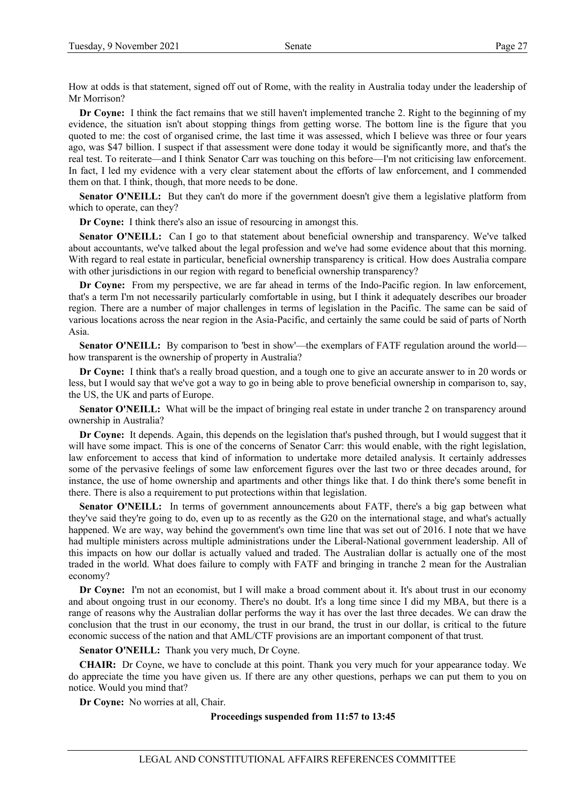How at odds is that statement, signed off out of Rome, with the reality in Australia today under the leadership of Mr Morrison?

**Dr Coyne:** I think the fact remains that we still haven't implemented tranche 2. Right to the beginning of my evidence, the situation isn't about stopping things from getting worse. The bottom line is the figure that you quoted to me: the cost of organised crime, the last time it was assessed, which I believe was three or four years ago, was \$47 billion. I suspect if that assessment were done today it would be significantly more, and that's the real test. To reiterate—and I think Senator Carr was touching on this before—I'm not criticising law enforcement. In fact, I led my evidence with a very clear statement about the efforts of law enforcement, and I commended them on that. I think, though, that more needs to be done.

**Senator O'NEILL:** But they can't do more if the government doesn't give them a legislative platform from which to operate, can they?

**Dr Coyne:** I think there's also an issue of resourcing in amongst this.

**Senator O'NEILL:** Can I go to that statement about beneficial ownership and transparency. We've talked about accountants, we've talked about the legal profession and we've had some evidence about that this morning. With regard to real estate in particular, beneficial ownership transparency is critical. How does Australia compare with other jurisdictions in our region with regard to beneficial ownership transparency?

**Dr Coyne:** From my perspective, we are far ahead in terms of the Indo-Pacific region. In law enforcement, that's a term I'm not necessarily particularly comfortable in using, but I think it adequately describes our broader region. There are a number of major challenges in terms of legislation in the Pacific. The same can be said of various locations across the near region in the Asia-Pacific, and certainly the same could be said of parts of North Asia.

**Senator O'NEILL:** By comparison to 'best in show'—the exemplars of FATF regulation around the world how transparent is the ownership of property in Australia?

**Dr Coyne:** I think that's a really broad question, and a tough one to give an accurate answer to in 20 words or less, but I would say that we've got a way to go in being able to prove beneficial ownership in comparison to, say, the US, the UK and parts of Europe.

**Senator O'NEILL:** What will be the impact of bringing real estate in under tranche 2 on transparency around ownership in Australia?

**Dr Coyne:** It depends. Again, this depends on the legislation that's pushed through, but I would suggest that it will have some impact. This is one of the concerns of Senator Carr: this would enable, with the right legislation, law enforcement to access that kind of information to undertake more detailed analysis. It certainly addresses some of the pervasive feelings of some law enforcement figures over the last two or three decades around, for instance, the use of home ownership and apartments and other things like that. I do think there's some benefit in there. There is also a requirement to put protections within that legislation.

**Senator O'NEILL:** In terms of government announcements about FATF, there's a big gap between what they've said they're going to do, even up to as recently as the G20 on the international stage, and what's actually happened. We are way, way behind the government's own time line that was set out of 2016. I note that we have had multiple ministers across multiple administrations under the Liberal-National government leadership. All of this impacts on how our dollar is actually valued and traded. The Australian dollar is actually one of the most traded in the world. What does failure to comply with FATF and bringing in tranche 2 mean for the Australian economy?

**Dr Coyne:** I'm not an economist, but I will make a broad comment about it. It's about trust in our economy and about ongoing trust in our economy. There's no doubt. It's a long time since I did my MBA, but there is a range of reasons why the Australian dollar performs the way it has over the last three decades. We can draw the conclusion that the trust in our economy, the trust in our brand, the trust in our dollar, is critical to the future economic success of the nation and that AML/CTF provisions are an important component of that trust.

**Senator O'NEILL:** Thank you very much, Dr Coyne.

**CHAIR:** Dr Coyne, we have to conclude at this point. Thank you very much for your appearance today. We do appreciate the time you have given us. If there are any other questions, perhaps we can put them to you on notice. Would you mind that?

**Dr Coyne:** No worries at all, Chair.

# **Proceedings suspended from 11:57 to 13:45**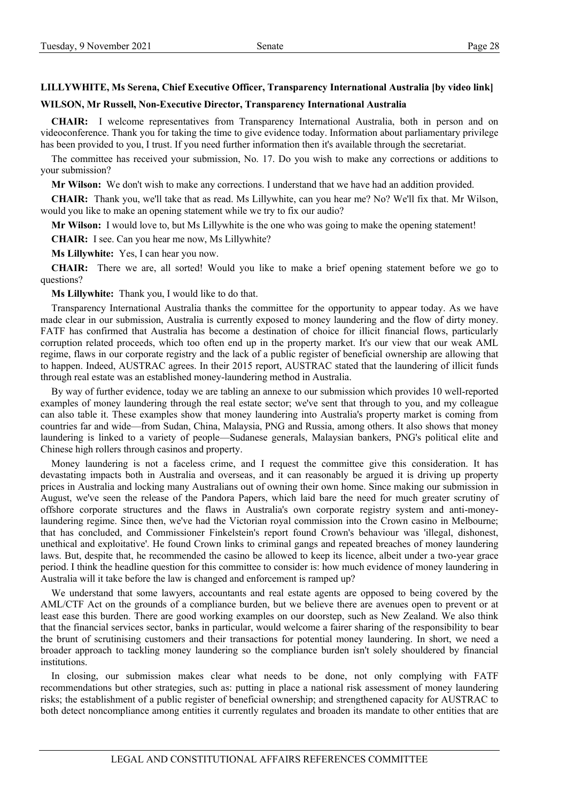# **LILLYWHITE, Ms Serena, Chief Executive Officer, Transparency International Australia [by video link]**

#### **WILSON, Mr Russell, Non-Executive Director, Transparency International Australia**

**CHAIR:** I welcome representatives from Transparency International Australia, both in person and on videoconference. Thank you for taking the time to give evidence today. Information about parliamentary privilege has been provided to you, I trust. If you need further information then it's available through the secretariat.

The committee has received your submission, No. 17. Do you wish to make any corrections or additions to your submission?

**Mr Wilson:** We don't wish to make any corrections. I understand that we have had an addition provided.

**CHAIR:** Thank you, we'll take that as read. Ms Lillywhite, can you hear me? No? We'll fix that. Mr Wilson, would you like to make an opening statement while we try to fix our audio?

**Mr Wilson:** I would love to, but Ms Lillywhite is the one who was going to make the opening statement!

**CHAIR:** I see. Can you hear me now, Ms Lillywhite?

**Ms Lillywhite:** Yes, I can hear you now.

**CHAIR:** There we are, all sorted! Would you like to make a brief opening statement before we go to questions?

**Ms Lillywhite:** Thank you, I would like to do that.

Transparency International Australia thanks the committee for the opportunity to appear today. As we have made clear in our submission, Australia is currently exposed to money laundering and the flow of dirty money. FATF has confirmed that Australia has become a destination of choice for illicit financial flows, particularly corruption related proceeds, which too often end up in the property market. It's our view that our weak AML regime, flaws in our corporate registry and the lack of a public register of beneficial ownership are allowing that to happen. Indeed, AUSTRAC agrees. In their 2015 report, AUSTRAC stated that the laundering of illicit funds through real estate was an established money-laundering method in Australia.

By way of further evidence, today we are tabling an annexe to our submission which provides 10 well-reported examples of money laundering through the real estate sector; we've sent that through to you, and my colleague can also table it. These examples show that money laundering into Australia's property market is coming from countries far and wide—from Sudan, China, Malaysia, PNG and Russia, among others. It also shows that money laundering is linked to a variety of people—Sudanese generals, Malaysian bankers, PNG's political elite and Chinese high rollers through casinos and property.

Money laundering is not a faceless crime, and I request the committee give this consideration. It has devastating impacts both in Australia and overseas, and it can reasonably be argued it is driving up property prices in Australia and locking many Australians out of owning their own home. Since making our submission in August, we've seen the release of the Pandora Papers, which laid bare the need for much greater scrutiny of offshore corporate structures and the flaws in Australia's own corporate registry system and anti-moneylaundering regime. Since then, we've had the Victorian royal commission into the Crown casino in Melbourne; that has concluded, and Commissioner Finkelstein's report found Crown's behaviour was 'illegal, dishonest, unethical and exploitative'. He found Crown links to criminal gangs and repeated breaches of money laundering laws. But, despite that, he recommended the casino be allowed to keep its licence, albeit under a two-year grace period. I think the headline question for this committee to consider is: how much evidence of money laundering in Australia will it take before the law is changed and enforcement is ramped up?

We understand that some lawyers, accountants and real estate agents are opposed to being covered by the AML/CTF Act on the grounds of a compliance burden, but we believe there are avenues open to prevent or at least ease this burden. There are good working examples on our doorstep, such as New Zealand. We also think that the financial services sector, banks in particular, would welcome a fairer sharing of the responsibility to bear the brunt of scrutinising customers and their transactions for potential money laundering. In short, we need a broader approach to tackling money laundering so the compliance burden isn't solely shouldered by financial institutions.

In closing, our submission makes clear what needs to be done, not only complying with FATF recommendations but other strategies, such as: putting in place a national risk assessment of money laundering risks; the establishment of a public register of beneficial ownership; and strengthened capacity for AUSTRAC to both detect noncompliance among entities it currently regulates and broaden its mandate to other entities that are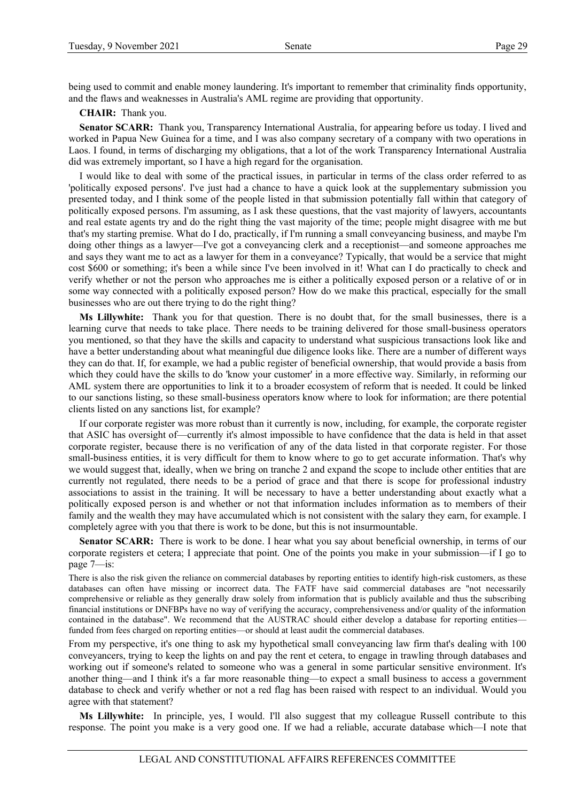being used to commit and enable money laundering. It's important to remember that criminality finds opportunity, and the flaws and weaknesses in Australia's AML regime are providing that opportunity.

**CHAIR:** Thank you.

**Senator SCARR:** Thank you, Transparency International Australia, for appearing before us today. I lived and worked in Papua New Guinea for a time, and I was also company secretary of a company with two operations in Laos. I found, in terms of discharging my obligations, that a lot of the work Transparency International Australia did was extremely important, so I have a high regard for the organisation.

I would like to deal with some of the practical issues, in particular in terms of the class order referred to as 'politically exposed persons'. I've just had a chance to have a quick look at the supplementary submission you presented today, and I think some of the people listed in that submission potentially fall within that category of politically exposed persons. I'm assuming, as I ask these questions, that the vast majority of lawyers, accountants and real estate agents try and do the right thing the vast majority of the time; people might disagree with me but that's my starting premise. What do I do, practically, if I'm running a small conveyancing business, and maybe I'm doing other things as a lawyer—I've got a conveyancing clerk and a receptionist—and someone approaches me and says they want me to act as a lawyer for them in a conveyance? Typically, that would be a service that might cost \$600 or something; it's been a while since I've been involved in it! What can I do practically to check and verify whether or not the person who approaches me is either a politically exposed person or a relative of or in some way connected with a politically exposed person? How do we make this practical, especially for the small businesses who are out there trying to do the right thing?

**Ms Lillywhite:** Thank you for that question. There is no doubt that, for the small businesses, there is a learning curve that needs to take place. There needs to be training delivered for those small-business operators you mentioned, so that they have the skills and capacity to understand what suspicious transactions look like and have a better understanding about what meaningful due diligence looks like. There are a number of different ways they can do that. If, for example, we had a public register of beneficial ownership, that would provide a basis from which they could have the skills to do 'know your customer' in a more effective way. Similarly, in reforming our AML system there are opportunities to link it to a broader ecosystem of reform that is needed. It could be linked to our sanctions listing, so these small-business operators know where to look for information; are there potential clients listed on any sanctions list, for example?

If our corporate register was more robust than it currently is now, including, for example, the corporate register that ASIC has oversight of—currently it's almost impossible to have confidence that the data is held in that asset corporate register, because there is no verification of any of the data listed in that corporate register. For those small-business entities, it is very difficult for them to know where to go to get accurate information. That's why we would suggest that, ideally, when we bring on tranche 2 and expand the scope to include other entities that are currently not regulated, there needs to be a period of grace and that there is scope for professional industry associations to assist in the training. It will be necessary to have a better understanding about exactly what a politically exposed person is and whether or not that information includes information as to members of their family and the wealth they may have accumulated which is not consistent with the salary they earn, for example. I completely agree with you that there is work to be done, but this is not insurmountable.

**Senator SCARR:** There is work to be done. I hear what you say about beneficial ownership, in terms of our corporate registers et cetera; I appreciate that point. One of the points you make in your submission—if I go to page 7—is:

There is also the risk given the reliance on commercial databases by reporting entities to identify high-risk customers, as these databases can often have missing or incorrect data. The FATF have said commercial databases are "not necessarily comprehensive or reliable as they generally draw solely from information that is publicly available and thus the subscribing financial institutions or DNFBPs have no way of verifying the accuracy, comprehensiveness and/or quality of the information contained in the database". We recommend that the AUSTRAC should either develop a database for reporting entities funded from fees charged on reporting entities—or should at least audit the commercial databases.

From my perspective, it's one thing to ask my hypothetical small conveyancing law firm that's dealing with 100 conveyancers, trying to keep the lights on and pay the rent et cetera, to engage in trawling through databases and working out if someone's related to someone who was a general in some particular sensitive environment. It's another thing—and I think it's a far more reasonable thing—to expect a small business to access a government database to check and verify whether or not a red flag has been raised with respect to an individual. Would you agree with that statement?

**Ms Lillywhite:** In principle, yes, I would. I'll also suggest that my colleague Russell contribute to this response. The point you make is a very good one. If we had a reliable, accurate database which—I note that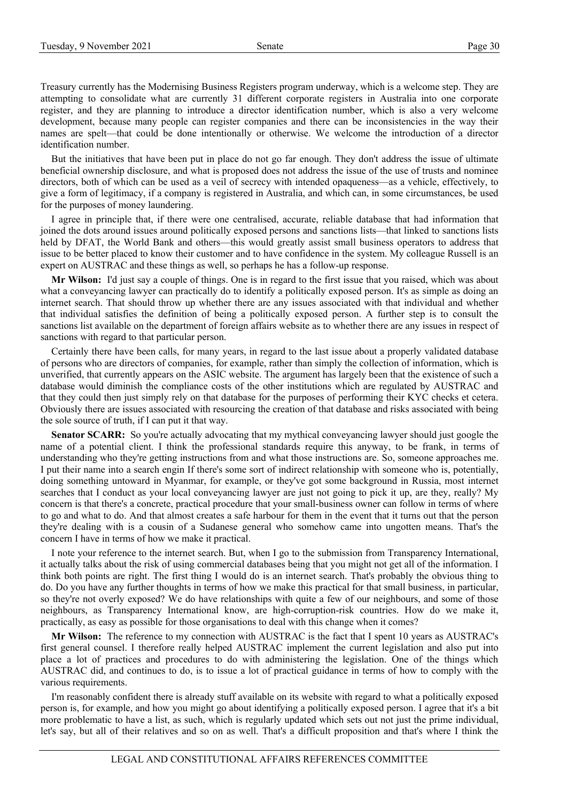Treasury currently has the Modernising Business Registers program underway, which is a welcome step. They are attempting to consolidate what are currently 31 different corporate registers in Australia into one corporate register, and they are planning to introduce a director identification number, which is also a very welcome development, because many people can register companies and there can be inconsistencies in the way their names are spelt—that could be done intentionally or otherwise. We welcome the introduction of a director identification number.

But the initiatives that have been put in place do not go far enough. They don't address the issue of ultimate beneficial ownership disclosure, and what is proposed does not address the issue of the use of trusts and nominee directors, both of which can be used as a veil of secrecy with intended opaqueness—as a vehicle, effectively, to give a form of legitimacy, if a company is registered in Australia, and which can, in some circumstances, be used for the purposes of money laundering.

I agree in principle that, if there were one centralised, accurate, reliable database that had information that joined the dots around issues around politically exposed persons and sanctions lists—that linked to sanctions lists held by DFAT, the World Bank and others—this would greatly assist small business operators to address that issue to be better placed to know their customer and to have confidence in the system. My colleague Russell is an expert on AUSTRAC and these things as well, so perhaps he has a follow-up response.

**Mr Wilson:** I'd just say a couple of things. One is in regard to the first issue that you raised, which was about what a conveyancing lawyer can practically do to identify a politically exposed person. It's as simple as doing an internet search. That should throw up whether there are any issues associated with that individual and whether that individual satisfies the definition of being a politically exposed person. A further step is to consult the sanctions list available on the department of foreign affairs website as to whether there are any issues in respect of sanctions with regard to that particular person.

Certainly there have been calls, for many years, in regard to the last issue about a properly validated database of persons who are directors of companies, for example, rather than simply the collection of information, which is unverified, that currently appears on the ASIC website. The argument has largely been that the existence of such a database would diminish the compliance costs of the other institutions which are regulated by AUSTRAC and that they could then just simply rely on that database for the purposes of performing their KYC checks et cetera. Obviously there are issues associated with resourcing the creation of that database and risks associated with being the sole source of truth, if I can put it that way.

**Senator SCARR:** So you're actually advocating that my mythical conveyancing lawyer should just google the name of a potential client. I think the professional standards require this anyway, to be frank, in terms of understanding who they're getting instructions from and what those instructions are. So, someone approaches me. I put their name into a search engin If there's some sort of indirect relationship with someone who is, potentially, doing something untoward in Myanmar, for example, or they've got some background in Russia, most internet searches that I conduct as your local conveyancing lawyer are just not going to pick it up, are they, really? My concern is that there's a concrete, practical procedure that your small-business owner can follow in terms of where to go and what to do. And that almost creates a safe harbour for them in the event that it turns out that the person they're dealing with is a cousin of a Sudanese general who somehow came into ungotten means. That's the concern I have in terms of how we make it practical.

I note your reference to the internet search. But, when I go to the submission from Transparency International, it actually talks about the risk of using commercial databases being that you might not get all of the information. I think both points are right. The first thing I would do is an internet search. That's probably the obvious thing to do. Do you have any further thoughts in terms of how we make this practical for that small business, in particular, so they're not overly exposed? We do have relationships with quite a few of our neighbours, and some of those neighbours, as Transparency International know, are high-corruption-risk countries. How do we make it, practically, as easy as possible for those organisations to deal with this change when it comes?

**Mr Wilson:** The reference to my connection with AUSTRAC is the fact that I spent 10 years as AUSTRAC's first general counsel. I therefore really helped AUSTRAC implement the current legislation and also put into place a lot of practices and procedures to do with administering the legislation. One of the things which AUSTRAC did, and continues to do, is to issue a lot of practical guidance in terms of how to comply with the various requirements.

I'm reasonably confident there is already stuff available on its website with regard to what a politically exposed person is, for example, and how you might go about identifying a politically exposed person. I agree that it's a bit more problematic to have a list, as such, which is regularly updated which sets out not just the prime individual, let's say, but all of their relatives and so on as well. That's a difficult proposition and that's where I think the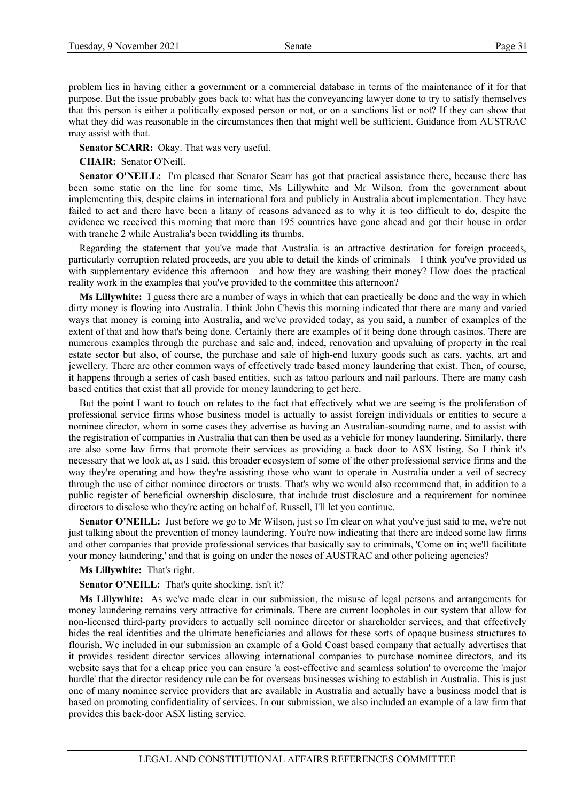problem lies in having either a government or a commercial database in terms of the maintenance of it for that purpose. But the issue probably goes back to: what has the conveyancing lawyer done to try to satisfy themselves that this person is either a politically exposed person or not, or on a sanctions list or not? If they can show that what they did was reasonable in the circumstances then that might well be sufficient. Guidance from AUSTRAC may assist with that.

**Senator SCARR:** Okay. That was very useful.

**CHAIR:** Senator O'Neill.

**Senator O'NEILL:** I'm pleased that Senator Scarr has got that practical assistance there, because there has been some static on the line for some time, Ms Lillywhite and Mr Wilson, from the government about implementing this, despite claims in international fora and publicly in Australia about implementation. They have failed to act and there have been a litany of reasons advanced as to why it is too difficult to do, despite the evidence we received this morning that more than 195 countries have gone ahead and got their house in order with tranche 2 while Australia's been twiddling its thumbs.

Regarding the statement that you've made that Australia is an attractive destination for foreign proceeds, particularly corruption related proceeds, are you able to detail the kinds of criminals—I think you've provided us with supplementary evidence this afternoon—and how they are washing their money? How does the practical reality work in the examples that you've provided to the committee this afternoon?

**Ms Lillywhite:** I guess there are a number of ways in which that can practically be done and the way in which dirty money is flowing into Australia. I think John Chevis this morning indicated that there are many and varied ways that money is coming into Australia, and we've provided today, as you said, a number of examples of the extent of that and how that's being done. Certainly there are examples of it being done through casinos. There are numerous examples through the purchase and sale and, indeed, renovation and upvaluing of property in the real estate sector but also, of course, the purchase and sale of high-end luxury goods such as cars, yachts, art and jewellery. There are other common ways of effectively trade based money laundering that exist. Then, of course, it happens through a series of cash based entities, such as tattoo parlours and nail parlours. There are many cash based entities that exist that all provide for money laundering to get here.

But the point I want to touch on relates to the fact that effectively what we are seeing is the proliferation of professional service firms whose business model is actually to assist foreign individuals or entities to secure a nominee director, whom in some cases they advertise as having an Australian-sounding name, and to assist with the registration of companies in Australia that can then be used as a vehicle for money laundering. Similarly, there are also some law firms that promote their services as providing a back door to ASX listing. So I think it's necessary that we look at, as I said, this broader ecosystem of some of the other professional service firms and the way they're operating and how they're assisting those who want to operate in Australia under a veil of secrecy through the use of either nominee directors or trusts. That's why we would also recommend that, in addition to a public register of beneficial ownership disclosure, that include trust disclosure and a requirement for nominee directors to disclose who they're acting on behalf of. Russell, I'll let you continue.

**Senator O'NEILL:** Just before we go to Mr Wilson, just so I'm clear on what you've just said to me, we're not just talking about the prevention of money laundering. You're now indicating that there are indeed some law firms and other companies that provide professional services that basically say to criminals, 'Come on in; we'll facilitate your money laundering,' and that is going on under the noses of AUSTRAC and other policing agencies?

#### **Ms Lillywhite:** That's right.

**Senator O'NEILL:** That's quite shocking, isn't it?

**Ms Lillywhite:** As we've made clear in our submission, the misuse of legal persons and arrangements for money laundering remains very attractive for criminals. There are current loopholes in our system that allow for non-licensed third-party providers to actually sell nominee director or shareholder services, and that effectively hides the real identities and the ultimate beneficiaries and allows for these sorts of opaque business structures to flourish. We included in our submission an example of a Gold Coast based company that actually advertises that it provides resident director services allowing international companies to purchase nominee directors, and its website says that for a cheap price you can ensure 'a cost-effective and seamless solution' to overcome the 'major hurdle' that the director residency rule can be for overseas businesses wishing to establish in Australia. This is just one of many nominee service providers that are available in Australia and actually have a business model that is based on promoting confidentiality of services. In our submission, we also included an example of a law firm that provides this back-door ASX listing service.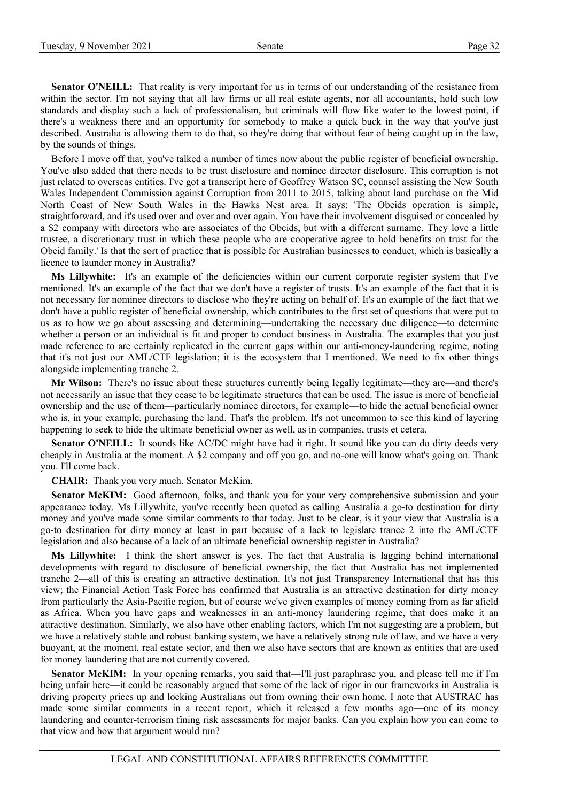**Senator O'NEILL:** That reality is very important for us in terms of our understanding of the resistance from within the sector. I'm not saying that all law firms or all real estate agents, nor all accountants, hold such low standards and display such a lack of professionalism, but criminals will flow like water to the lowest point, if there's a weakness there and an opportunity for somebody to make a quick buck in the way that you've just described. Australia is allowing them to do that, so they're doing that without fear of being caught up in the law, by the sounds of things.

Before I move off that, you've talked a number of times now about the public register of beneficial ownership. You've also added that there needs to be trust disclosure and nominee director disclosure. This corruption is not just related to overseas entities. I've got a transcript here of Geoffrey Watson SC, counsel assisting the New South Wales Independent Commission against Corruption from 2011 to 2015, talking about land purchase on the Mid North Coast of New South Wales in the Hawks Nest area. It says: 'The Obeids operation is simple, straightforward, and it's used over and over and over again. You have their involvement disguised or concealed by a \$2 company with directors who are associates of the Obeids, but with a different surname. They love a little trustee, a discretionary trust in which these people who are cooperative agree to hold benefits on trust for the Obeid family.' Is that the sort of practice that is possible for Australian businesses to conduct, which is basically a licence to launder money in Australia?

**Ms Lillywhite:** It's an example of the deficiencies within our current corporate register system that I've mentioned. It's an example of the fact that we don't have a register of trusts. It's an example of the fact that it is not necessary for nominee directors to disclose who they're acting on behalf of. It's an example of the fact that we don't have a public register of beneficial ownership, which contributes to the first set of questions that were put to us as to how we go about assessing and determining—undertaking the necessary due diligence—to determine whether a person or an individual is fit and proper to conduct business in Australia. The examples that you just made reference to are certainly replicated in the current gaps within our anti-money-laundering regime, noting that it's not just our AML/CTF legislation; it is the ecosystem that I mentioned. We need to fix other things alongside implementing tranche 2.

**Mr Wilson:** There's no issue about these structures currently being legally legitimate—they are—and there's not necessarily an issue that they cease to be legitimate structures that can be used. The issue is more of beneficial ownership and the use of them—particularly nominee directors, for example—to hide the actual beneficial owner who is, in your example, purchasing the land. That's the problem. It's not uncommon to see this kind of layering happening to seek to hide the ultimate beneficial owner as well, as in companies, trusts et cetera.

**Senator O'NEILL:** It sounds like AC/DC might have had it right. It sound like you can do dirty deeds very cheaply in Australia at the moment. A \$2 company and off you go, and no-one will know what's going on. Thank you. I'll come back.

**CHAIR:** Thank you very much. Senator McKim.

Senator McKIM: Good afternoon, folks, and thank you for your very comprehensive submission and your appearance today. Ms Lillywhite, you've recently been quoted as calling Australia a go-to destination for dirty money and you've made some similar comments to that today. Just to be clear, is it your view that Australia is a go-to destination for dirty money at least in part because of a lack to legislate trance 2 into the AML/CTF legislation and also because of a lack of an ultimate beneficial ownership register in Australia?

**Ms Lillywhite:** I think the short answer is yes. The fact that Australia is lagging behind international developments with regard to disclosure of beneficial ownership, the fact that Australia has not implemented tranche 2—all of this is creating an attractive destination. It's not just Transparency International that has this view; the Financial Action Task Force has confirmed that Australia is an attractive destination for dirty money from particularly the Asia-Pacific region, but of course we've given examples of money coming from as far afield as Africa. When you have gaps and weaknesses in an anti-money laundering regime, that does make it an attractive destination. Similarly, we also have other enabling factors, which I'm not suggesting are a problem, but we have a relatively stable and robust banking system, we have a relatively strong rule of law, and we have a very buoyant, at the moment, real estate sector, and then we also have sectors that are known as entities that are used for money laundering that are not currently covered.

**Senator McKIM:** In your opening remarks, you said that—I'll just paraphrase you, and please tell me if I'm being unfair here—it could be reasonably argued that some of the lack of rigor in our frameworks in Australia is driving property prices up and locking Australians out from owning their own home. I note that AUSTRAC has made some similar comments in a recent report, which it released a few months ago—one of its money laundering and counter-terrorism fining risk assessments for major banks. Can you explain how you can come to that view and how that argument would run?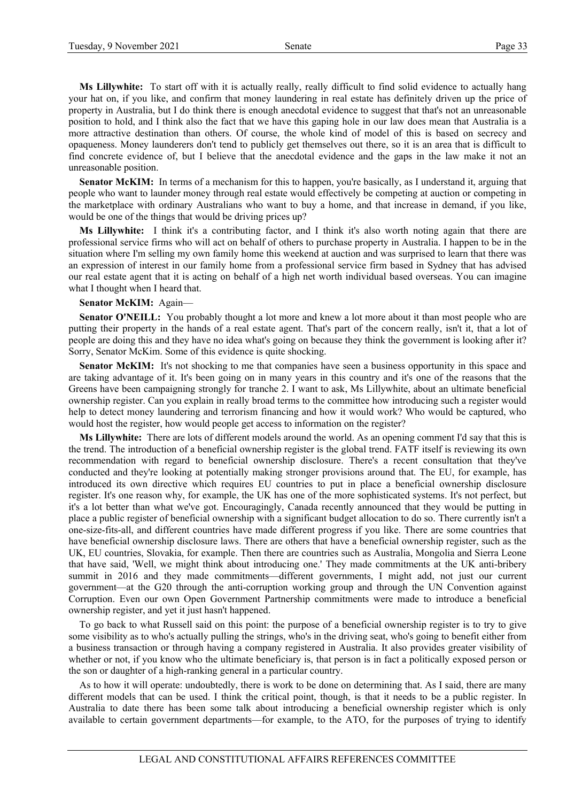**Ms Lillywhite:** To start off with it is actually really, really difficult to find solid evidence to actually hang your hat on, if you like, and confirm that money laundering in real estate has definitely driven up the price of property in Australia, but I do think there is enough anecdotal evidence to suggest that that's not an unreasonable position to hold, and I think also the fact that we have this gaping hole in our law does mean that Australia is a more attractive destination than others. Of course, the whole kind of model of this is based on secrecy and opaqueness. Money launderers don't tend to publicly get themselves out there, so it is an area that is difficult to find concrete evidence of, but I believe that the anecdotal evidence and the gaps in the law make it not an unreasonable position.

**Senator McKIM:** In terms of a mechanism for this to happen, you're basically, as I understand it, arguing that people who want to launder money through real estate would effectively be competing at auction or competing in the marketplace with ordinary Australians who want to buy a home, and that increase in demand, if you like, would be one of the things that would be driving prices up?

**Ms Lillywhite:** I think it's a contributing factor, and I think it's also worth noting again that there are professional service firms who will act on behalf of others to purchase property in Australia. I happen to be in the situation where I'm selling my own family home this weekend at auction and was surprised to learn that there was an expression of interest in our family home from a professional service firm based in Sydney that has advised our real estate agent that it is acting on behalf of a high net worth individual based overseas. You can imagine what I thought when I heard that.

#### **Senator McKIM:** Again—

**Senator O'NEILL:** You probably thought a lot more and knew a lot more about it than most people who are putting their property in the hands of a real estate agent. That's part of the concern really, isn't it, that a lot of people are doing this and they have no idea what's going on because they think the government is looking after it? Sorry, Senator McKim. Some of this evidence is quite shocking.

**Senator McKIM:** It's not shocking to me that companies have seen a business opportunity in this space and are taking advantage of it. It's been going on in many years in this country and it's one of the reasons that the Greens have been campaigning strongly for tranche 2. I want to ask, Ms Lillywhite, about an ultimate beneficial ownership register. Can you explain in really broad terms to the committee how introducing such a register would help to detect money laundering and terrorism financing and how it would work? Who would be captured, who would host the register, how would people get access to information on the register?

**Ms Lillywhite:** There are lots of different models around the world. As an opening comment I'd say that this is the trend. The introduction of a beneficial ownership register is the global trend. FATF itself is reviewing its own recommendation with regard to beneficial ownership disclosure. There's a recent consultation that they've conducted and they're looking at potentially making stronger provisions around that. The EU, for example, has introduced its own directive which requires EU countries to put in place a beneficial ownership disclosure register. It's one reason why, for example, the UK has one of the more sophisticated systems. It's not perfect, but it's a lot better than what we've got. Encouragingly, Canada recently announced that they would be putting in place a public register of beneficial ownership with a significant budget allocation to do so. There currently isn't a one-size-fits-all, and different countries have made different progress if you like. There are some countries that have beneficial ownership disclosure laws. There are others that have a beneficial ownership register, such as the UK, EU countries, Slovakia, for example. Then there are countries such as Australia, Mongolia and Sierra Leone that have said, 'Well, we might think about introducing one.' They made commitments at the UK anti-bribery summit in 2016 and they made commitments—different governments, I might add, not just our current government—at the G20 through the anti-corruption working group and through the UN Convention against Corruption. Even our own Open Government Partnership commitments were made to introduce a beneficial ownership register, and yet it just hasn't happened.

To go back to what Russell said on this point: the purpose of a beneficial ownership register is to try to give some visibility as to who's actually pulling the strings, who's in the driving seat, who's going to benefit either from a business transaction or through having a company registered in Australia. It also provides greater visibility of whether or not, if you know who the ultimate beneficiary is, that person is in fact a politically exposed person or the son or daughter of a high-ranking general in a particular country.

As to how it will operate: undoubtedly, there is work to be done on determining that. As I said, there are many different models that can be used. I think the critical point, though, is that it needs to be a public register. In Australia to date there has been some talk about introducing a beneficial ownership register which is only available to certain government departments—for example, to the ATO, for the purposes of trying to identify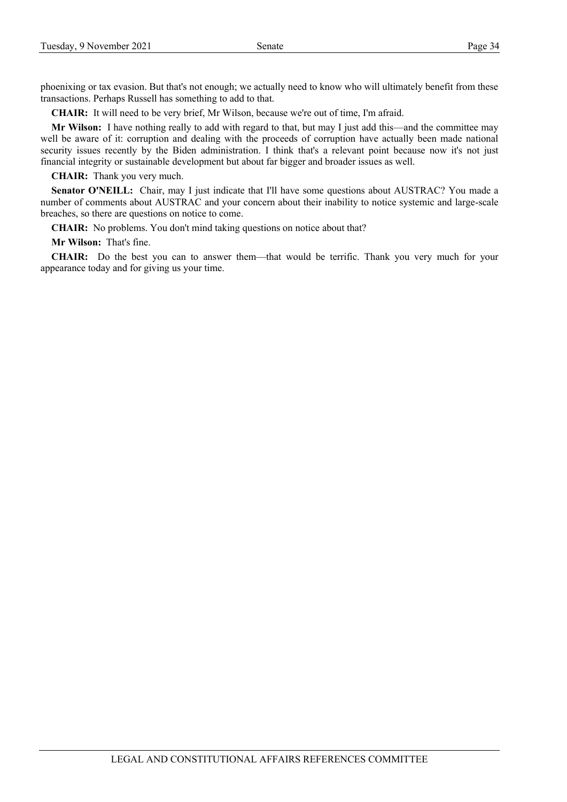phoenixing or tax evasion. But that's not enough; we actually need to know who will ultimately benefit from these transactions. Perhaps Russell has something to add to that.

**CHAIR:** It will need to be very brief, Mr Wilson, because we're out of time, I'm afraid.

**Mr Wilson:** I have nothing really to add with regard to that, but may I just add this—and the committee may well be aware of it: corruption and dealing with the proceeds of corruption have actually been made national security issues recently by the Biden administration. I think that's a relevant point because now it's not just financial integrity or sustainable development but about far bigger and broader issues as well.

**CHAIR:** Thank you very much.

**Senator O'NEILL:** Chair, may I just indicate that I'll have some questions about AUSTRAC? You made a number of comments about AUSTRAC and your concern about their inability to notice systemic and large-scale breaches, so there are questions on notice to come.

**CHAIR:** No problems. You don't mind taking questions on notice about that?

**Mr Wilson:** That's fine.

**CHAIR:** Do the best you can to answer them—that would be terrific. Thank you very much for your appearance today and for giving us your time.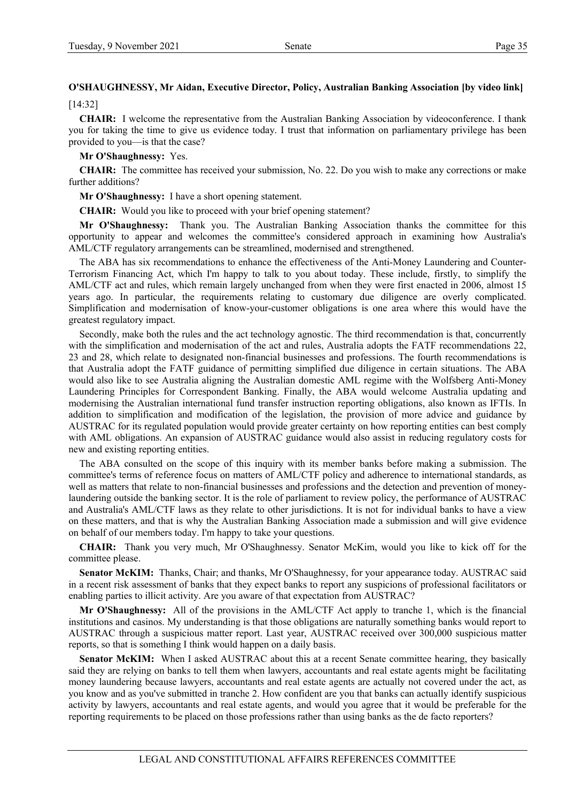# **O'SHAUGHNESSY, Mr Aidan, Executive Director, Policy, Australian Banking Association [by video link]**

[14:32]

**CHAIR:** I welcome the representative from the Australian Banking Association by videoconference. I thank you for taking the time to give us evidence today. I trust that information on parliamentary privilege has been provided to you—is that the case?

**Mr O'Shaughnessy:** Yes.

**CHAIR:** The committee has received your submission, No. 22. Do you wish to make any corrections or make further additions?

**Mr O'Shaughnessy:** I have a short opening statement.

**CHAIR:** Would you like to proceed with your brief opening statement?

**Mr O'Shaughnessy:** Thank you. The Australian Banking Association thanks the committee for this opportunity to appear and welcomes the committee's considered approach in examining how Australia's AML/CTF regulatory arrangements can be streamlined, modernised and strengthened.

The ABA has six recommendations to enhance the effectiveness of the Anti-Money Laundering and Counter-Terrorism Financing Act, which I'm happy to talk to you about today. These include, firstly, to simplify the AML/CTF act and rules, which remain largely unchanged from when they were first enacted in 2006, almost 15 years ago. In particular, the requirements relating to customary due diligence are overly complicated. Simplification and modernisation of know-your-customer obligations is one area where this would have the greatest regulatory impact.

Secondly, make both the rules and the act technology agnostic. The third recommendation is that, concurrently with the simplification and modernisation of the act and rules, Australia adopts the FATF recommendations 22, 23 and 28, which relate to designated non-financial businesses and professions. The fourth recommendations is that Australia adopt the FATF guidance of permitting simplified due diligence in certain situations. The ABA would also like to see Australia aligning the Australian domestic AML regime with the Wolfsberg Anti-Money Laundering Principles for Correspondent Banking. Finally, the ABA would welcome Australia updating and modernising the Australian international fund transfer instruction reporting obligations, also known as IFTIs. In addition to simplification and modification of the legislation, the provision of more advice and guidance by AUSTRAC for its regulated population would provide greater certainty on how reporting entities can best comply with AML obligations. An expansion of AUSTRAC guidance would also assist in reducing regulatory costs for new and existing reporting entities.

The ABA consulted on the scope of this inquiry with its member banks before making a submission. The committee's terms of reference focus on matters of AML/CTF policy and adherence to international standards, as well as matters that relate to non-financial businesses and professions and the detection and prevention of moneylaundering outside the banking sector. It is the role of parliament to review policy, the performance of AUSTRAC and Australia's AML/CTF laws as they relate to other jurisdictions. It is not for individual banks to have a view on these matters, and that is why the Australian Banking Association made a submission and will give evidence on behalf of our members today. I'm happy to take your questions.

**CHAIR:** Thank you very much, Mr O'Shaughnessy. Senator McKim, would you like to kick off for the committee please.

**Senator McKIM:** Thanks, Chair; and thanks, Mr O'Shaughnessy, for your appearance today. AUSTRAC said in a recent risk assessment of banks that they expect banks to report any suspicions of professional facilitators or enabling parties to illicit activity. Are you aware of that expectation from AUSTRAC?

**Mr O'Shaughnessy:** All of the provisions in the AML/CTF Act apply to tranche 1, which is the financial institutions and casinos. My understanding is that those obligations are naturally something banks would report to AUSTRAC through a suspicious matter report. Last year, AUSTRAC received over 300,000 suspicious matter reports, so that is something I think would happen on a daily basis.

**Senator McKIM:** When I asked AUSTRAC about this at a recent Senate committee hearing, they basically said they are relying on banks to tell them when lawyers, accountants and real estate agents might be facilitating money laundering because lawyers, accountants and real estate agents are actually not covered under the act, as you know and as you've submitted in tranche 2. How confident are you that banks can actually identify suspicious activity by lawyers, accountants and real estate agents, and would you agree that it would be preferable for the reporting requirements to be placed on those professions rather than using banks as the de facto reporters?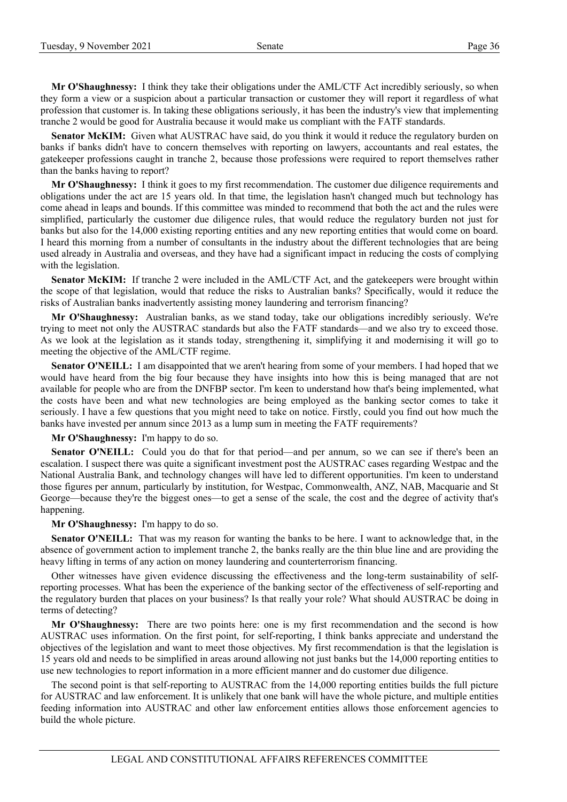**Mr O'Shaughnessy:** I think they take their obligations under the AML/CTF Act incredibly seriously, so when they form a view or a suspicion about a particular transaction or customer they will report it regardless of what profession that customer is. In taking these obligations seriously, it has been the industry's view that implementing tranche 2 would be good for Australia because it would make us compliant with the FATF standards.

**Senator McKIM:** Given what AUSTRAC have said, do you think it would it reduce the regulatory burden on banks if banks didn't have to concern themselves with reporting on lawyers, accountants and real estates, the gatekeeper professions caught in tranche 2, because those professions were required to report themselves rather than the banks having to report?

**Mr O'Shaughnessy:** I think it goes to my first recommendation. The customer due diligence requirements and obligations under the act are 15 years old. In that time, the legislation hasn't changed much but technology has come ahead in leaps and bounds. If this committee was minded to recommend that both the act and the rules were simplified, particularly the customer due diligence rules, that would reduce the regulatory burden not just for banks but also for the 14,000 existing reporting entities and any new reporting entities that would come on board. I heard this morning from a number of consultants in the industry about the different technologies that are being used already in Australia and overseas, and they have had a significant impact in reducing the costs of complying with the legislation.

**Senator McKIM:** If tranche 2 were included in the AML/CTF Act, and the gatekeepers were brought within the scope of that legislation, would that reduce the risks to Australian banks? Specifically, would it reduce the risks of Australian banks inadvertently assisting money laundering and terrorism financing?

**Mr O'Shaughnessy:** Australian banks, as we stand today, take our obligations incredibly seriously. We're trying to meet not only the AUSTRAC standards but also the FATF standards—and we also try to exceed those. As we look at the legislation as it stands today, strengthening it, simplifying it and modernising it will go to meeting the objective of the AML/CTF regime.

**Senator O'NEILL:** I am disappointed that we aren't hearing from some of your members. I had hoped that we would have heard from the big four because they have insights into how this is being managed that are not available for people who are from the DNFBP sector. I'm keen to understand how that's being implemented, what the costs have been and what new technologies are being employed as the banking sector comes to take it seriously. I have a few questions that you might need to take on notice. Firstly, could you find out how much the banks have invested per annum since 2013 as a lump sum in meeting the FATF requirements?

**Mr O'Shaughnessy:** I'm happy to do so.

Senator O'NEILL: Could you do that for that period—and per annum, so we can see if there's been an escalation. I suspect there was quite a significant investment post the AUSTRAC cases regarding Westpac and the National Australia Bank, and technology changes will have led to different opportunities. I'm keen to understand those figures per annum, particularly by institution, for Westpac, Commonwealth, ANZ, NAB, Macquarie and St George—because they're the biggest ones—to get a sense of the scale, the cost and the degree of activity that's happening.

**Mr O'Shaughnessy:** I'm happy to do so.

**Senator O'NEILL:** That was my reason for wanting the banks to be here. I want to acknowledge that, in the absence of government action to implement tranche 2, the banks really are the thin blue line and are providing the heavy lifting in terms of any action on money laundering and counterterrorism financing.

Other witnesses have given evidence discussing the effectiveness and the long-term sustainability of selfreporting processes. What has been the experience of the banking sector of the effectiveness of self-reporting and the regulatory burden that places on your business? Is that really your role? What should AUSTRAC be doing in terms of detecting?

**Mr O'Shaughnessy:** There are two points here: one is my first recommendation and the second is how AUSTRAC uses information. On the first point, for self-reporting, I think banks appreciate and understand the objectives of the legislation and want to meet those objectives. My first recommendation is that the legislation is 15 years old and needs to be simplified in areas around allowing not just banks but the 14,000 reporting entities to use new technologies to report information in a more efficient manner and do customer due diligence.

The second point is that self-reporting to AUSTRAC from the 14,000 reporting entities builds the full picture for AUSTRAC and law enforcement. It is unlikely that one bank will have the whole picture, and multiple entities feeding information into AUSTRAC and other law enforcement entities allows those enforcement agencies to build the whole picture.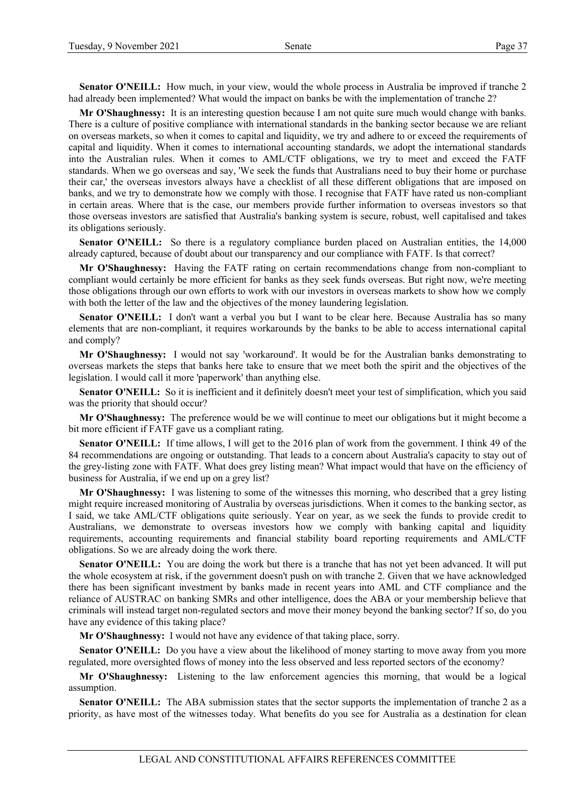**Senator O'NEILL:** How much, in your view, would the whole process in Australia be improved if tranche 2 had already been implemented? What would the impact on banks be with the implementation of tranche 2?

**Mr O'Shaughnessy:** It is an interesting question because I am not quite sure much would change with banks. There is a culture of positive compliance with international standards in the banking sector because we are reliant on overseas markets, so when it comes to capital and liquidity, we try and adhere to or exceed the requirements of capital and liquidity. When it comes to international accounting standards, we adopt the international standards into the Australian rules. When it comes to AML/CTF obligations, we try to meet and exceed the FATF standards. When we go overseas and say, 'We seek the funds that Australians need to buy their home or purchase their car,' the overseas investors always have a checklist of all these different obligations that are imposed on banks, and we try to demonstrate how we comply with those. I recognise that FATF have rated us non-compliant in certain areas. Where that is the case, our members provide further information to overseas investors so that those overseas investors are satisfied that Australia's banking system is secure, robust, well capitalised and takes its obligations seriously.

**Senator O'NEILL:** So there is a regulatory compliance burden placed on Australian entities, the 14,000 already captured, because of doubt about our transparency and our compliance with FATF. Is that correct?

**Mr O'Shaughnessy:** Having the FATF rating on certain recommendations change from non-compliant to compliant would certainly be more efficient for banks as they seek funds overseas. But right now, we're meeting those obligations through our own efforts to work with our investors in overseas markets to show how we comply with both the letter of the law and the objectives of the money laundering legislation.

**Senator O'NEILL:** I don't want a verbal you but I want to be clear here. Because Australia has so many elements that are non-compliant, it requires workarounds by the banks to be able to access international capital and comply?

**Mr O'Shaughnessy:** I would not say 'workaround'. It would be for the Australian banks demonstrating to overseas markets the steps that banks here take to ensure that we meet both the spirit and the objectives of the legislation. I would call it more 'paperwork' than anything else.

**Senator O'NEILL:** So it is inefficient and it definitely doesn't meet your test of simplification, which you said was the priority that should occur?

**Mr O'Shaughnessy:** The preference would be we will continue to meet our obligations but it might become a bit more efficient if FATF gave us a compliant rating.

Senator O'NEILL: If time allows, I will get to the 2016 plan of work from the government. I think 49 of the 84 recommendations are ongoing or outstanding. That leads to a concern about Australia's capacity to stay out of the grey-listing zone with FATF. What does grey listing mean? What impact would that have on the efficiency of business for Australia, if we end up on a grey list?

**Mr O'Shaughnessy:** I was listening to some of the witnesses this morning, who described that a grey listing might require increased monitoring of Australia by overseas jurisdictions. When it comes to the banking sector, as I said, we take AML/CTF obligations quite seriously. Year on year, as we seek the funds to provide credit to Australians, we demonstrate to overseas investors how we comply with banking capital and liquidity requirements, accounting requirements and financial stability board reporting requirements and AML/CTF obligations. So we are already doing the work there.

Senator O'NEILL: You are doing the work but there is a tranche that has not yet been advanced. It will put the whole ecosystem at risk, if the government doesn't push on with tranche 2. Given that we have acknowledged there has been significant investment by banks made in recent years into AML and CTF compliance and the reliance of AUSTRAC on banking SMRs and other intelligence, does the ABA or your membership believe that criminals will instead target non-regulated sectors and move their money beyond the banking sector? If so, do you have any evidence of this taking place?

**Mr O'Shaughnessy:** I would not have any evidence of that taking place, sorry.

**Senator O'NEILL:** Do you have a view about the likelihood of money starting to move away from you more regulated, more oversighted flows of money into the less observed and less reported sectors of the economy?

**Mr O'Shaughnessy:** Listening to the law enforcement agencies this morning, that would be a logical assumption.

**Senator O'NEILL:** The ABA submission states that the sector supports the implementation of tranche 2 as a priority, as have most of the witnesses today. What benefits do you see for Australia as a destination for clean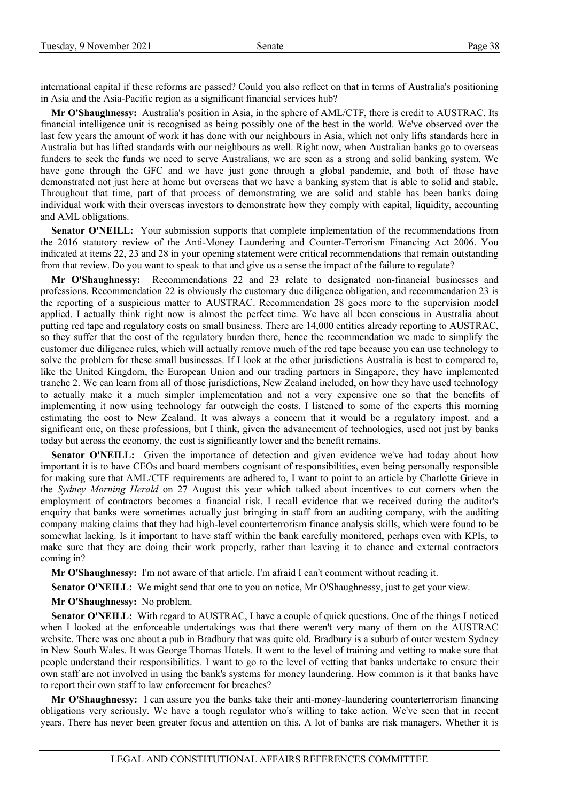international capital if these reforms are passed? Could you also reflect on that in terms of Australia's positioning in Asia and the Asia-Pacific region as a significant financial services hub?

**Mr O'Shaughnessy:** Australia's position in Asia, in the sphere of AML/CTF, there is credit to AUSTRAC. Its financial intelligence unit is recognised as being possibly one of the best in the world. We've observed over the last few years the amount of work it has done with our neighbours in Asia, which not only lifts standards here in Australia but has lifted standards with our neighbours as well. Right now, when Australian banks go to overseas funders to seek the funds we need to serve Australians, we are seen as a strong and solid banking system. We have gone through the GFC and we have just gone through a global pandemic, and both of those have demonstrated not just here at home but overseas that we have a banking system that is able to solid and stable. Throughout that time, part of that process of demonstrating we are solid and stable has been banks doing individual work with their overseas investors to demonstrate how they comply with capital, liquidity, accounting and AML obligations.

**Senator O'NEILL:** Your submission supports that complete implementation of the recommendations from the 2016 statutory review of the Anti‑Money Laundering and Counter‑Terrorism Financing Act 2006. You indicated at items 22, 23 and 28 in your opening statement were critical recommendations that remain outstanding from that review. Do you want to speak to that and give us a sense the impact of the failure to regulate?

**Mr O'Shaughnessy:** Recommendations 22 and 23 relate to designated non-financial businesses and professions. Recommendation 22 is obviously the customary due diligence obligation, and recommendation 23 is the reporting of a suspicious matter to AUSTRAC. Recommendation 28 goes more to the supervision model applied. I actually think right now is almost the perfect time. We have all been conscious in Australia about putting red tape and regulatory costs on small business. There are 14,000 entities already reporting to AUSTRAC, so they suffer that the cost of the regulatory burden there, hence the recommendation we made to simplify the customer due diligence rules, which will actually remove much of the red tape because you can use technology to solve the problem for these small businesses. If I look at the other jurisdictions Australia is best to compared to, like the United Kingdom, the European Union and our trading partners in Singapore, they have implemented tranche 2. We can learn from all of those jurisdictions, New Zealand included, on how they have used technology to actually make it a much simpler implementation and not a very expensive one so that the benefits of implementing it now using technology far outweigh the costs. I listened to some of the experts this morning estimating the cost to New Zealand. It was always a concern that it would be a regulatory impost, and a significant one, on these professions, but I think, given the advancement of technologies, used not just by banks today but across the economy, the cost is significantly lower and the benefit remains.

**Senator O'NEILL:** Given the importance of detection and given evidence we've had today about how important it is to have CEOs and board members cognisant of responsibilities, even being personally responsible for making sure that AML/CTF requirements are adhered to, I want to point to an article by Charlotte Grieve in the *Sydney Morning Herald* on 27 August this year which talked about incentives to cut corners when the employment of contractors becomes a financial risk. I recall evidence that we received during the auditor's enquiry that banks were sometimes actually just bringing in staff from an auditing company, with the auditing company making claims that they had high-level counterterrorism finance analysis skills, which were found to be somewhat lacking. Is it important to have staff within the bank carefully monitored, perhaps even with KPIs, to make sure that they are doing their work properly, rather than leaving it to chance and external contractors coming in?

**Mr O'Shaughnessy:** I'm not aware of that article. I'm afraid I can't comment without reading it.

Senator O'NEILL: We might send that one to you on notice, Mr O'Shaughnessy, just to get your view.

**Mr O'Shaughnessy:** No problem.

**Senator O'NEILL:** With regard to AUSTRAC, I have a couple of quick questions. One of the things I noticed when I looked at the enforceable undertakings was that there weren't very many of them on the AUSTRAC website. There was one about a pub in Bradbury that was quite old. Bradbury is a suburb of outer western Sydney in New South Wales. It was George Thomas Hotels. It went to the level of training and vetting to make sure that people understand their responsibilities. I want to go to the level of vetting that banks undertake to ensure their own staff are not involved in using the bank's systems for money laundering. How common is it that banks have to report their own staff to law enforcement for breaches?

**Mr O'Shaughnessy:** I can assure you the banks take their anti-money-laundering counterterrorism financing obligations very seriously. We have a tough regulator who's willing to take action. We've seen that in recent years. There has never been greater focus and attention on this. A lot of banks are risk managers. Whether it is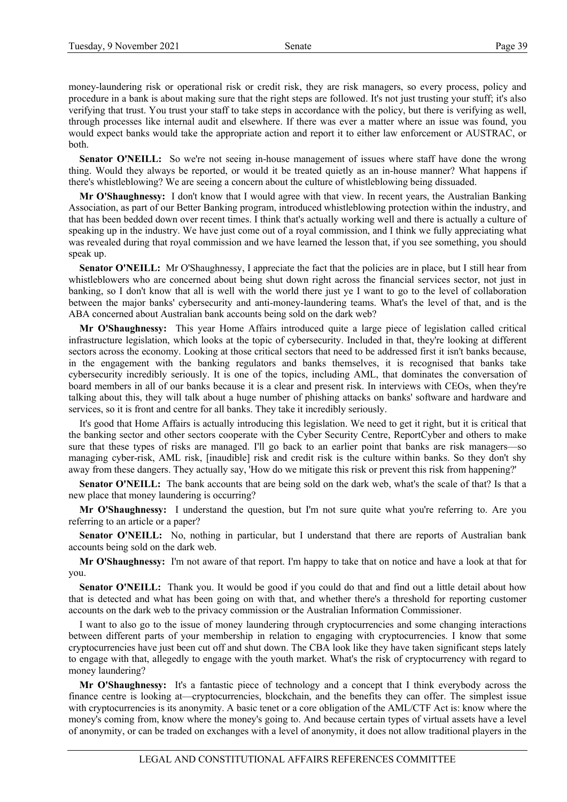money-laundering risk or operational risk or credit risk, they are risk managers, so every process, policy and procedure in a bank is about making sure that the right steps are followed. It's not just trusting your stuff; it's also verifying that trust. You trust your staff to take steps in accordance with the policy, but there is verifying as well, through processes like internal audit and elsewhere. If there was ever a matter where an issue was found, you would expect banks would take the appropriate action and report it to either law enforcement or AUSTRAC, or both.

**Senator O'NEILL:** So we're not seeing in-house management of issues where staff have done the wrong thing. Would they always be reported, or would it be treated quietly as an in-house manner? What happens if there's whistleblowing? We are seeing a concern about the culture of whistleblowing being dissuaded.

**Mr O'Shaughnessy:** I don't know that I would agree with that view. In recent years, the Australian Banking Association, as part of our Better Banking program, introduced whistleblowing protection within the industry, and that has been bedded down over recent times. I think that's actually working well and there is actually a culture of speaking up in the industry. We have just come out of a royal commission, and I think we fully appreciating what was revealed during that royal commission and we have learned the lesson that, if you see something, you should speak up.

**Senator O'NEILL:** Mr O'Shaughnessy, I appreciate the fact that the policies are in place, but I still hear from whistleblowers who are concerned about being shut down right across the financial services sector, not just in banking, so I don't know that all is well with the world there just ye I want to go to the level of collaboration between the major banks' cybersecurity and anti-money-laundering teams. What's the level of that, and is the ABA concerned about Australian bank accounts being sold on the dark web?

**Mr O'Shaughnessy:** This year Home Affairs introduced quite a large piece of legislation called critical infrastructure legislation, which looks at the topic of cybersecurity. Included in that, they're looking at different sectors across the economy. Looking at those critical sectors that need to be addressed first it isn't banks because, in the engagement with the banking regulators and banks themselves, it is recognised that banks take cybersecurity incredibly seriously. It is one of the topics, including AML, that dominates the conversation of board members in all of our banks because it is a clear and present risk. In interviews with CEOs, when they're talking about this, they will talk about a huge number of phishing attacks on banks' software and hardware and services, so it is front and centre for all banks. They take it incredibly seriously.

It's good that Home Affairs is actually introducing this legislation. We need to get it right, but it is critical that the banking sector and other sectors cooperate with the Cyber Security Centre, ReportCyber and others to make sure that these types of risks are managed. I'll go back to an earlier point that banks are risk managers—so managing cyber-risk, AML risk, [inaudible] risk and credit risk is the culture within banks. So they don't shy away from these dangers. They actually say, 'How do we mitigate this risk or prevent this risk from happening?'

**Senator O'NEILL:** The bank accounts that are being sold on the dark web, what's the scale of that? Is that a new place that money laundering is occurring?

**Mr O'Shaughnessy:** I understand the question, but I'm not sure quite what you're referring to. Are you referring to an article or a paper?

Senator O'NEILL: No, nothing in particular, but I understand that there are reports of Australian bank accounts being sold on the dark web.

**Mr O'Shaughnessy:** I'm not aware of that report. I'm happy to take that on notice and have a look at that for you.

**Senator O'NEILL:** Thank you. It would be good if you could do that and find out a little detail about how that is detected and what has been going on with that, and whether there's a threshold for reporting customer accounts on the dark web to the privacy commission or the Australian Information Commissioner.

I want to also go to the issue of money laundering through cryptocurrencies and some changing interactions between different parts of your membership in relation to engaging with cryptocurrencies. I know that some cryptocurrencies have just been cut off and shut down. The CBA look like they have taken significant steps lately to engage with that, allegedly to engage with the youth market. What's the risk of cryptocurrency with regard to money laundering?

**Mr O'Shaughnessy:** It's a fantastic piece of technology and a concept that I think everybody across the finance centre is looking at—cryptocurrencies, blockchain, and the benefits they can offer. The simplest issue with cryptocurrencies is its anonymity. A basic tenet or a core obligation of the AML/CTF Act is: know where the money's coming from, know where the money's going to. And because certain types of virtual assets have a level of anonymity, or can be traded on exchanges with a level of anonymity, it does not allow traditional players in the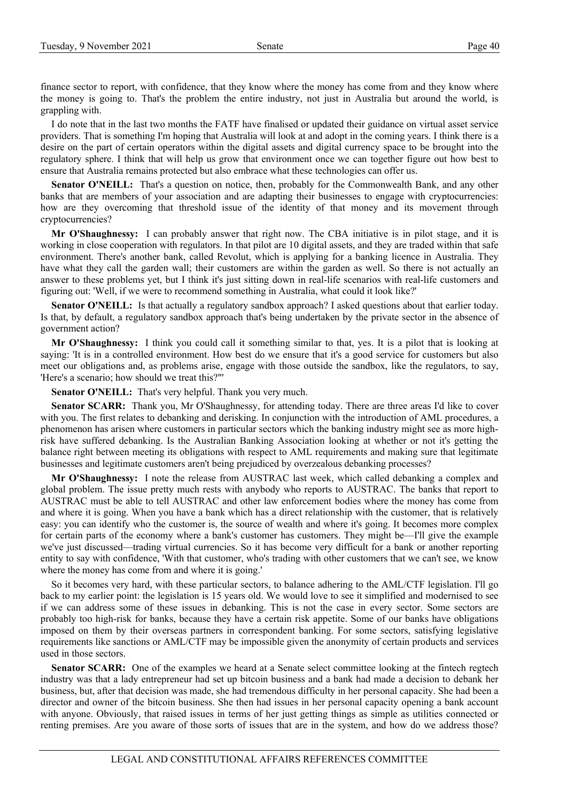finance sector to report, with confidence, that they know where the money has come from and they know where the money is going to. That's the problem the entire industry, not just in Australia but around the world, is grappling with.

I do note that in the last two months the FATF have finalised or updated their guidance on virtual asset service providers. That is something I'm hoping that Australia will look at and adopt in the coming years. I think there is a desire on the part of certain operators within the digital assets and digital currency space to be brought into the regulatory sphere. I think that will help us grow that environment once we can together figure out how best to ensure that Australia remains protected but also embrace what these technologies can offer us.

**Senator O'NEILL:** That's a question on notice, then, probably for the Commonwealth Bank, and any other banks that are members of your association and are adapting their businesses to engage with cryptocurrencies: how are they overcoming that threshold issue of the identity of that money and its movement through cryptocurrencies?

**Mr O'Shaughnessy:** I can probably answer that right now. The CBA initiative is in pilot stage, and it is working in close cooperation with regulators. In that pilot are 10 digital assets, and they are traded within that safe environment. There's another bank, called Revolut, which is applying for a banking licence in Australia. They have what they call the garden wall; their customers are within the garden as well. So there is not actually an answer to these problems yet, but I think it's just sitting down in real-life scenarios with real-life customers and figuring out: 'Well, if we were to recommend something in Australia, what could it look like?'

**Senator O'NEILL:** Is that actually a regulatory sandbox approach? I asked questions about that earlier today. Is that, by default, a regulatory sandbox approach that's being undertaken by the private sector in the absence of government action?

**Mr O'Shaughnessy:** I think you could call it something similar to that, yes. It is a pilot that is looking at saying: 'It is in a controlled environment. How best do we ensure that it's a good service for customers but also meet our obligations and, as problems arise, engage with those outside the sandbox, like the regulators, to say, 'Here's a scenario; how should we treat this?"'

**Senator O'NEILL:** That's very helpful. Thank you very much.

**Senator SCARR:** Thank you, Mr O'Shaughnessy, for attending today. There are three areas I'd like to cover with you. The first relates to debanking and derisking. In conjunction with the introduction of AML procedures, a phenomenon has arisen where customers in particular sectors which the banking industry might see as more highrisk have suffered debanking. Is the Australian Banking Association looking at whether or not it's getting the balance right between meeting its obligations with respect to AML requirements and making sure that legitimate businesses and legitimate customers aren't being prejudiced by overzealous debanking processes?

**Mr O'Shaughnessy:** I note the release from AUSTRAC last week, which called debanking a complex and global problem. The issue pretty much rests with anybody who reports to AUSTRAC. The banks that report to AUSTRAC must be able to tell AUSTRAC and other law enforcement bodies where the money has come from and where it is going. When you have a bank which has a direct relationship with the customer, that is relatively easy: you can identify who the customer is, the source of wealth and where it's going. It becomes more complex for certain parts of the economy where a bank's customer has customers. They might be—I'll give the example we've just discussed—trading virtual currencies. So it has become very difficult for a bank or another reporting entity to say with confidence, 'With that customer, who's trading with other customers that we can't see, we know where the money has come from and where it is going.'

So it becomes very hard, with these particular sectors, to balance adhering to the AML/CTF legislation. I'll go back to my earlier point: the legislation is 15 years old. We would love to see it simplified and modernised to see if we can address some of these issues in debanking. This is not the case in every sector. Some sectors are probably too high-risk for banks, because they have a certain risk appetite. Some of our banks have obligations imposed on them by their overseas partners in correspondent banking. For some sectors, satisfying legislative requirements like sanctions or AML/CTF may be impossible given the anonymity of certain products and services used in those sectors.

**Senator SCARR:** One of the examples we heard at a Senate select committee looking at the fintech regtech industry was that a lady entrepreneur had set up bitcoin business and a bank had made a decision to debank her business, but, after that decision was made, she had tremendous difficulty in her personal capacity. She had been a director and owner of the bitcoin business. She then had issues in her personal capacity opening a bank account with anyone. Obviously, that raised issues in terms of her just getting things as simple as utilities connected or renting premises. Are you aware of those sorts of issues that are in the system, and how do we address those?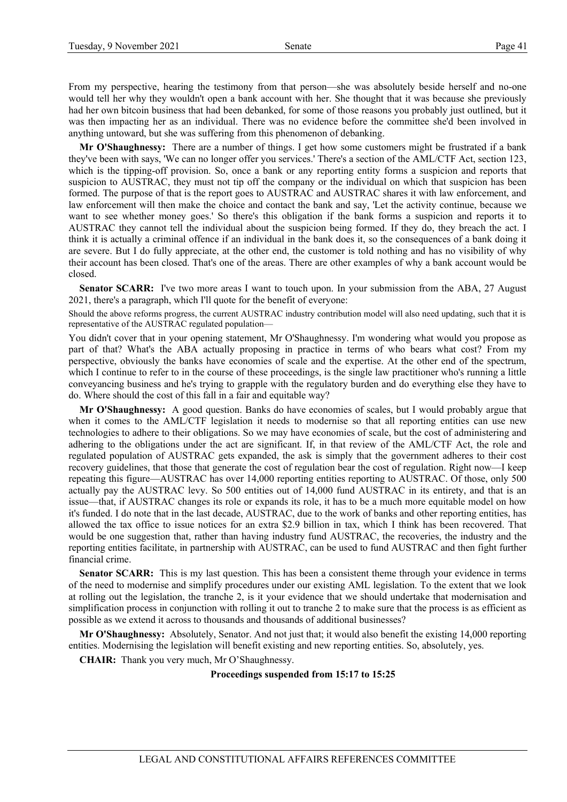From my perspective, hearing the testimony from that person—she was absolutely beside herself and no-one would tell her why they wouldn't open a bank account with her. She thought that it was because she previously had her own bitcoin business that had been debanked, for some of those reasons you probably just outlined, but it was then impacting her as an individual. There was no evidence before the committee she'd been involved in anything untoward, but she was suffering from this phenomenon of debanking.

**Mr O'Shaughnessy:** There are a number of things. I get how some customers might be frustrated if a bank they've been with says, 'We can no longer offer you services.' There's a section of the AML/CTF Act, section 123, which is the tipping-off provision. So, once a bank or any reporting entity forms a suspicion and reports that suspicion to AUSTRAC, they must not tip off the company or the individual on which that suspicion has been formed. The purpose of that is the report goes to AUSTRAC and AUSTRAC shares it with law enforcement, and law enforcement will then make the choice and contact the bank and say, 'Let the activity continue, because we want to see whether money goes.' So there's this obligation if the bank forms a suspicion and reports it to AUSTRAC they cannot tell the individual about the suspicion being formed. If they do, they breach the act. I think it is actually a criminal offence if an individual in the bank does it, so the consequences of a bank doing it are severe. But I do fully appreciate, at the other end, the customer is told nothing and has no visibility of why their account has been closed. That's one of the areas. There are other examples of why a bank account would be closed.

**Senator SCARR:** I've two more areas I want to touch upon. In your submission from the ABA, 27 August 2021, there's a paragraph, which I'll quote for the benefit of everyone:

Should the above reforms progress, the current AUSTRAC industry contribution model will also need updating, such that it is representative of the AUSTRAC regulated population—

You didn't cover that in your opening statement, Mr O'Shaughnessy. I'm wondering what would you propose as part of that? What's the ABA actually proposing in practice in terms of who bears what cost? From my perspective, obviously the banks have economies of scale and the expertise. At the other end of the spectrum, which I continue to refer to in the course of these proceedings, is the single law practitioner who's running a little conveyancing business and he's trying to grapple with the regulatory burden and do everything else they have to do. Where should the cost of this fall in a fair and equitable way?

**Mr O'Shaughnessy:** A good question. Banks do have economies of scales, but I would probably argue that when it comes to the AML/CTF legislation it needs to modernise so that all reporting entities can use new technologies to adhere to their obligations. So we may have economies of scale, but the cost of administering and adhering to the obligations under the act are significant. If, in that review of the AML/CTF Act, the role and regulated population of AUSTRAC gets expanded, the ask is simply that the government adheres to their cost recovery guidelines, that those that generate the cost of regulation bear the cost of regulation. Right now—I keep repeating this figure—AUSTRAC has over 14,000 reporting entities reporting to AUSTRAC. Of those, only 500 actually pay the AUSTRAC levy. So 500 entities out of 14,000 fund AUSTRAC in its entirety, and that is an issue—that, if AUSTRAC changes its role or expands its role, it has to be a much more equitable model on how it's funded. I do note that in the last decade, AUSTRAC, due to the work of banks and other reporting entities, has allowed the tax office to issue notices for an extra \$2.9 billion in tax, which I think has been recovered. That would be one suggestion that, rather than having industry fund AUSTRAC, the recoveries, the industry and the reporting entities facilitate, in partnership with AUSTRAC, can be used to fund AUSTRAC and then fight further financial crime.

**Senator SCARR:** This is my last question. This has been a consistent theme through your evidence in terms of the need to modernise and simplify procedures under our existing AML legislation. To the extent that we look at rolling out the legislation, the tranche 2, is it your evidence that we should undertake that modernisation and simplification process in conjunction with rolling it out to tranche 2 to make sure that the process is as efficient as possible as we extend it across to thousands and thousands of additional businesses?

**Mr O'Shaughnessy:** Absolutely, Senator. And not just that; it would also benefit the existing 14,000 reporting entities. Modernising the legislation will benefit existing and new reporting entities. So, absolutely, yes.

**CHAIR:** Thank you very much, Mr O'Shaughnessy.

**Proceedings suspended from 15:17 to 15:25**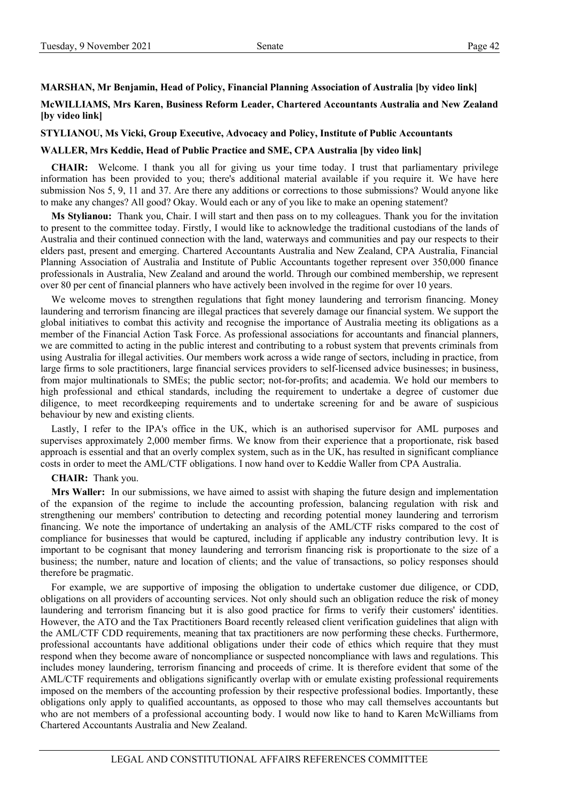## **MARSHAN, Mr Benjamin, Head of Policy, Financial Planning Association of Australia [by video link]**

# **McWILLIAMS, Mrs Karen, Business Reform Leader, Chartered Accountants Australia and New Zealand [by video link]**

#### **STYLIANOU, Ms Vicki, Group Executive, Advocacy and Policy, Institute of Public Accountants**

## **WALLER, Mrs Keddie, Head of Public Practice and SME, CPA Australia [by video link]**

**CHAIR:** Welcome. I thank you all for giving us your time today. I trust that parliamentary privilege information has been provided to you; there's additional material available if you require it. We have here submission Nos 5, 9, 11 and 37. Are there any additions or corrections to those submissions? Would anyone like to make any changes? All good? Okay. Would each or any of you like to make an opening statement?

**Ms Stylianou:** Thank you, Chair. I will start and then pass on to my colleagues. Thank you for the invitation to present to the committee today. Firstly, I would like to acknowledge the traditional custodians of the lands of Australia and their continued connection with the land, waterways and communities and pay our respects to their elders past, present and emerging. Chartered Accountants Australia and New Zealand, CPA Australia, Financial Planning Association of Australia and Institute of Public Accountants together represent over 350,000 finance professionals in Australia, New Zealand and around the world. Through our combined membership, we represent over 80 per cent of financial planners who have actively been involved in the regime for over 10 years.

We welcome moves to strengthen regulations that fight money laundering and terrorism financing. Money laundering and terrorism financing are illegal practices that severely damage our financial system. We support the global initiatives to combat this activity and recognise the importance of Australia meeting its obligations as a member of the Financial Action Task Force. As professional associations for accountants and financial planners, we are committed to acting in the public interest and contributing to a robust system that prevents criminals from using Australia for illegal activities. Our members work across a wide range of sectors, including in practice, from large firms to sole practitioners, large financial services providers to self-licensed advice businesses; in business, from major multinationals to SMEs; the public sector; not-for-profits; and academia. We hold our members to high professional and ethical standards, including the requirement to undertake a degree of customer due diligence, to meet recordkeeping requirements and to undertake screening for and be aware of suspicious behaviour by new and existing clients.

Lastly, I refer to the IPA's office in the UK, which is an authorised supervisor for AML purposes and supervises approximately 2,000 member firms. We know from their experience that a proportionate, risk based approach is essential and that an overly complex system, such as in the UK, has resulted in significant compliance costs in order to meet the AML/CTF obligations. I now hand over to Keddie Waller from CPA Australia.

**CHAIR:** Thank you.

**Mrs Waller:** In our submissions, we have aimed to assist with shaping the future design and implementation of the expansion of the regime to include the accounting profession, balancing regulation with risk and strengthening our members' contribution to detecting and recording potential money laundering and terrorism financing. We note the importance of undertaking an analysis of the AML/CTF risks compared to the cost of compliance for businesses that would be captured, including if applicable any industry contribution levy. It is important to be cognisant that money laundering and terrorism financing risk is proportionate to the size of a business; the number, nature and location of clients; and the value of transactions, so policy responses should therefore be pragmatic.

For example, we are supportive of imposing the obligation to undertake customer due diligence, or CDD, obligations on all providers of accounting services. Not only should such an obligation reduce the risk of money laundering and terrorism financing but it is also good practice for firms to verify their customers' identities. However, the ATO and the Tax Practitioners Board recently released client verification guidelines that align with the AML/CTF CDD requirements, meaning that tax practitioners are now performing these checks. Furthermore, professional accountants have additional obligations under their code of ethics which require that they must respond when they become aware of noncompliance or suspected noncompliance with laws and regulations. This includes money laundering, terrorism financing and proceeds of crime. It is therefore evident that some of the AML/CTF requirements and obligations significantly overlap with or emulate existing professional requirements imposed on the members of the accounting profession by their respective professional bodies. Importantly, these obligations only apply to qualified accountants, as opposed to those who may call themselves accountants but who are not members of a professional accounting body. I would now like to hand to Karen McWilliams from Chartered Accountants Australia and New Zealand.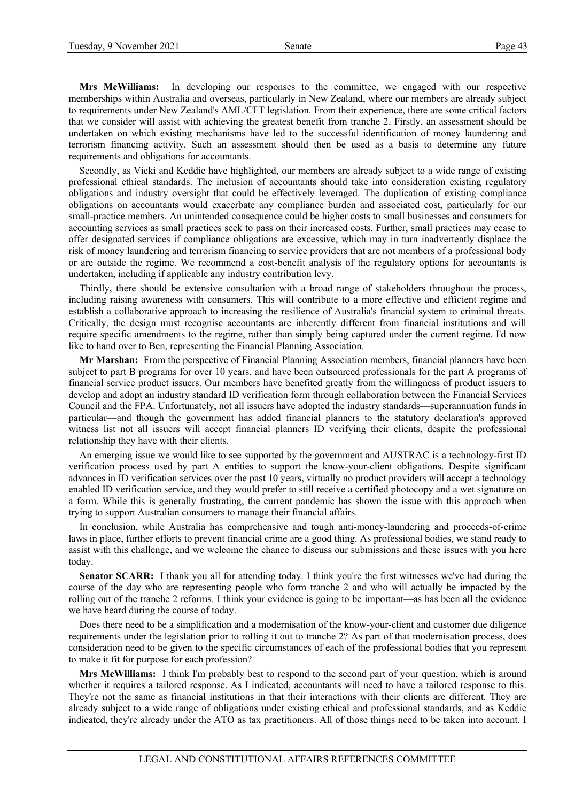**Mrs McWilliams:** In developing our responses to the committee, we engaged with our respective memberships within Australia and overseas, particularly in New Zealand, where our members are already subject to requirements under New Zealand's AML/CFT legislation. From their experience, there are some critical factors that we consider will assist with achieving the greatest benefit from tranche 2. Firstly, an assessment should be undertaken on which existing mechanisms have led to the successful identification of money laundering and terrorism financing activity. Such an assessment should then be used as a basis to determine any future requirements and obligations for accountants.

Secondly, as Vicki and Keddie have highlighted, our members are already subject to a wide range of existing professional ethical standards. The inclusion of accountants should take into consideration existing regulatory obligations and industry oversight that could be effectively leveraged. The duplication of existing compliance obligations on accountants would exacerbate any compliance burden and associated cost, particularly for our small-practice members. An unintended consequence could be higher costs to small businesses and consumers for accounting services as small practices seek to pass on their increased costs. Further, small practices may cease to offer designated services if compliance obligations are excessive, which may in turn inadvertently displace the risk of money laundering and terrorism financing to service providers that are not members of a professional body or are outside the regime. We recommend a cost-benefit analysis of the regulatory options for accountants is undertaken, including if applicable any industry contribution levy.

Thirdly, there should be extensive consultation with a broad range of stakeholders throughout the process, including raising awareness with consumers. This will contribute to a more effective and efficient regime and establish a collaborative approach to increasing the resilience of Australia's financial system to criminal threats. Critically, the design must recognise accountants are inherently different from financial institutions and will require specific amendments to the regime, rather than simply being captured under the current regime. I'd now like to hand over to Ben, representing the Financial Planning Association.

**Mr Marshan:** From the perspective of Financial Planning Association members, financial planners have been subject to part B programs for over 10 years, and have been outsourced professionals for the part A programs of financial service product issuers. Our members have benefited greatly from the willingness of product issuers to develop and adopt an industry standard ID verification form through collaboration between the Financial Services Council and the FPA. Unfortunately, not all issuers have adopted the industry standards—superannuation funds in particular—and though the government has added financial planners to the statutory declaration's approved witness list not all issuers will accept financial planners ID verifying their clients, despite the professional relationship they have with their clients.

An emerging issue we would like to see supported by the government and AUSTRAC is a technology-first ID verification process used by part A entities to support the know-your-client obligations. Despite significant advances in ID verification services over the past 10 years, virtually no product providers will accept a technology enabled ID verification service, and they would prefer to still receive a certified photocopy and a wet signature on a form. While this is generally frustrating, the current pandemic has shown the issue with this approach when trying to support Australian consumers to manage their financial affairs.

In conclusion, while Australia has comprehensive and tough anti-money-laundering and proceeds-of-crime laws in place, further efforts to prevent financial crime are a good thing. As professional bodies, we stand ready to assist with this challenge, and we welcome the chance to discuss our submissions and these issues with you here today.

**Senator SCARR:** I thank you all for attending today. I think you're the first witnesses we've had during the course of the day who are representing people who form tranche 2 and who will actually be impacted by the rolling out of the tranche 2 reforms. I think your evidence is going to be important—as has been all the evidence we have heard during the course of today.

Does there need to be a simplification and a modernisation of the know-your-client and customer due diligence requirements under the legislation prior to rolling it out to tranche 2? As part of that modernisation process, does consideration need to be given to the specific circumstances of each of the professional bodies that you represent to make it fit for purpose for each profession?

**Mrs McWilliams:** I think I'm probably best to respond to the second part of your question, which is around whether it requires a tailored response. As I indicated, accountants will need to have a tailored response to this. They're not the same as financial institutions in that their interactions with their clients are different. They are already subject to a wide range of obligations under existing ethical and professional standards, and as Keddie indicated, they're already under the ATO as tax practitioners. All of those things need to be taken into account. I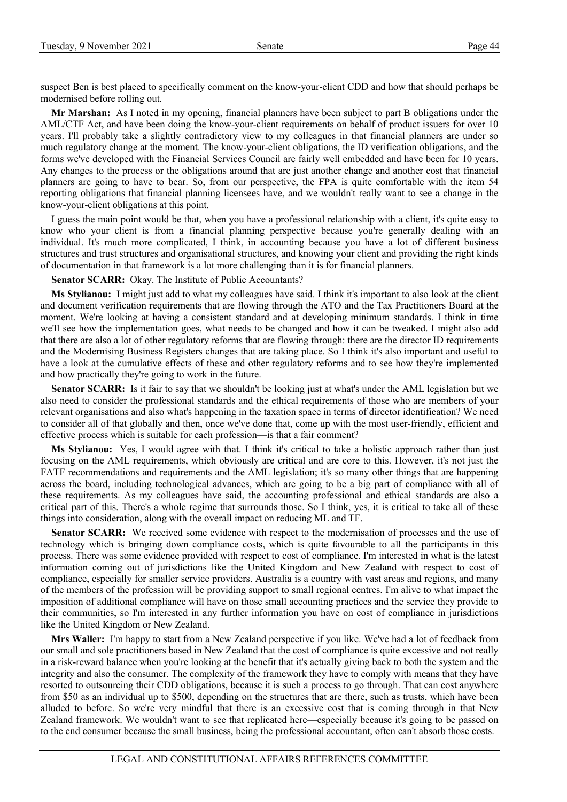suspect Ben is best placed to specifically comment on the know-your-client CDD and how that should perhaps be modernised before rolling out.

**Mr Marshan:** As I noted in my opening, financial planners have been subject to part B obligations under the AML/CTF Act, and have been doing the know-your-client requirements on behalf of product issuers for over 10 years. I'll probably take a slightly contradictory view to my colleagues in that financial planners are under so much regulatory change at the moment. The know-your-client obligations, the ID verification obligations, and the forms we've developed with the Financial Services Council are fairly well embedded and have been for 10 years. Any changes to the process or the obligations around that are just another change and another cost that financial planners are going to have to bear. So, from our perspective, the FPA is quite comfortable with the item 54 reporting obligations that financial planning licensees have, and we wouldn't really want to see a change in the know-your-client obligations at this point.

I guess the main point would be that, when you have a professional relationship with a client, it's quite easy to know who your client is from a financial planning perspective because you're generally dealing with an individual. It's much more complicated, I think, in accounting because you have a lot of different business structures and trust structures and organisational structures, and knowing your client and providing the right kinds of documentation in that framework is a lot more challenging than it is for financial planners.

**Senator SCARR:** Okay. The Institute of Public Accountants?

**Ms Stylianou:** I might just add to what my colleagues have said. I think it's important to also look at the client and document verification requirements that are flowing through the ATO and the Tax Practitioners Board at the moment. We're looking at having a consistent standard and at developing minimum standards. I think in time we'll see how the implementation goes, what needs to be changed and how it can be tweaked. I might also add that there are also a lot of other regulatory reforms that are flowing through: there are the director ID requirements and the Modernising Business Registers changes that are taking place. So I think it's also important and useful to have a look at the cumulative effects of these and other regulatory reforms and to see how they're implemented and how practically they're going to work in the future.

**Senator SCARR:** Is it fair to say that we shouldn't be looking just at what's under the AML legislation but we also need to consider the professional standards and the ethical requirements of those who are members of your relevant organisations and also what's happening in the taxation space in terms of director identification? We need to consider all of that globally and then, once we've done that, come up with the most user-friendly, efficient and effective process which is suitable for each profession—is that a fair comment?

**Ms Stylianou:** Yes, I would agree with that. I think it's critical to take a holistic approach rather than just focusing on the AML requirements, which obviously are critical and are core to this. However, it's not just the FATF recommendations and requirements and the AML legislation; it's so many other things that are happening across the board, including technological advances, which are going to be a big part of compliance with all of these requirements. As my colleagues have said, the accounting professional and ethical standards are also a critical part of this. There's a whole regime that surrounds those. So I think, yes, it is critical to take all of these things into consideration, along with the overall impact on reducing ML and TF.

**Senator SCARR:** We received some evidence with respect to the modernisation of processes and the use of technology which is bringing down compliance costs, which is quite favourable to all the participants in this process. There was some evidence provided with respect to cost of compliance. I'm interested in what is the latest information coming out of jurisdictions like the United Kingdom and New Zealand with respect to cost of compliance, especially for smaller service providers. Australia is a country with vast areas and regions, and many of the members of the profession will be providing support to small regional centres. I'm alive to what impact the imposition of additional compliance will have on those small accounting practices and the service they provide to their communities, so I'm interested in any further information you have on cost of compliance in jurisdictions like the United Kingdom or New Zealand.

**Mrs Waller:** I'm happy to start from a New Zealand perspective if you like. We've had a lot of feedback from our small and sole practitioners based in New Zealand that the cost of compliance is quite excessive and not really in a risk-reward balance when you're looking at the benefit that it's actually giving back to both the system and the integrity and also the consumer. The complexity of the framework they have to comply with means that they have resorted to outsourcing their CDD obligations, because it is such a process to go through. That can cost anywhere from \$50 as an individual up to \$500, depending on the structures that are there, such as trusts, which have been alluded to before. So we're very mindful that there is an excessive cost that is coming through in that New Zealand framework. We wouldn't want to see that replicated here—especially because it's going to be passed on to the end consumer because the small business, being the professional accountant, often can't absorb those costs.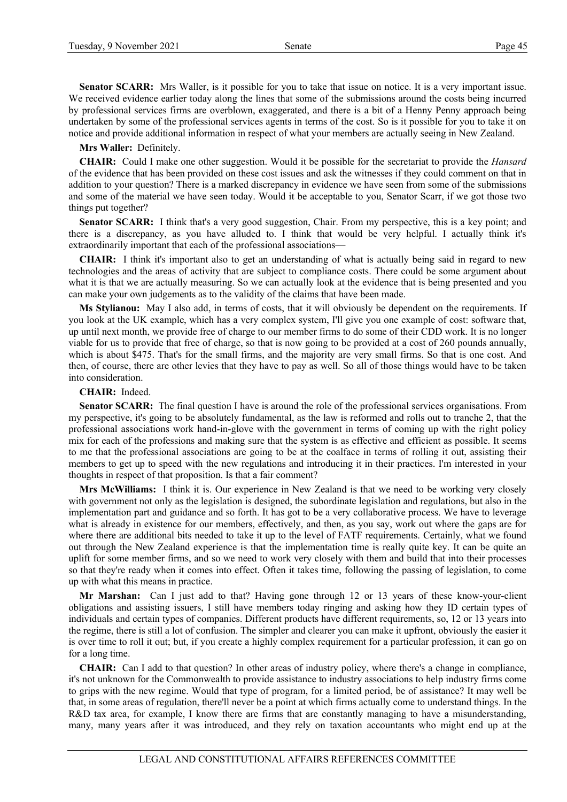**Senator SCARR:** Mrs Waller, is it possible for you to take that issue on notice. It is a very important issue. We received evidence earlier today along the lines that some of the submissions around the costs being incurred by professional services firms are overblown, exaggerated, and there is a bit of a Henny Penny approach being undertaken by some of the professional services agents in terms of the cost. So is it possible for you to take it on notice and provide additional information in respect of what your members are actually seeing in New Zealand.

**Mrs Waller:** Definitely.

**CHAIR:** Could I make one other suggestion. Would it be possible for the secretariat to provide the *Hansard* of the evidence that has been provided on these cost issues and ask the witnesses if they could comment on that in addition to your question? There is a marked discrepancy in evidence we have seen from some of the submissions and some of the material we have seen today. Would it be acceptable to you, Senator Scarr, if we got those two things put together?

**Senator SCARR:** I think that's a very good suggestion, Chair. From my perspective, this is a key point; and there is a discrepancy, as you have alluded to. I think that would be very helpful. I actually think it's extraordinarily important that each of the professional associations—

**CHAIR:** I think it's important also to get an understanding of what is actually being said in regard to new technologies and the areas of activity that are subject to compliance costs. There could be some argument about what it is that we are actually measuring. So we can actually look at the evidence that is being presented and you can make your own judgements as to the validity of the claims that have been made.

**Ms Stylianou:** May I also add, in terms of costs, that it will obviously be dependent on the requirements. If you look at the UK example, which has a very complex system, I'll give you one example of cost: software that, up until next month, we provide free of charge to our member firms to do some of their CDD work. It is no longer viable for us to provide that free of charge, so that is now going to be provided at a cost of 260 pounds annually, which is about \$475. That's for the small firms, and the majority are very small firms. So that is one cost. And then, of course, there are other levies that they have to pay as well. So all of those things would have to be taken into consideration.

#### **CHAIR:** Indeed.

**Senator SCARR:** The final question I have is around the role of the professional services organisations. From my perspective, it's going to be absolutely fundamental, as the law is reformed and rolls out to tranche 2, that the professional associations work hand-in-glove with the government in terms of coming up with the right policy mix for each of the professions and making sure that the system is as effective and efficient as possible. It seems to me that the professional associations are going to be at the coalface in terms of rolling it out, assisting their members to get up to speed with the new regulations and introducing it in their practices. I'm interested in your thoughts in respect of that proposition. Is that a fair comment?

**Mrs McWilliams:** I think it is. Our experience in New Zealand is that we need to be working very closely with government not only as the legislation is designed, the subordinate legislation and regulations, but also in the implementation part and guidance and so forth. It has got to be a very collaborative process. We have to leverage what is already in existence for our members, effectively, and then, as you say, work out where the gaps are for where there are additional bits needed to take it up to the level of FATF requirements. Certainly, what we found out through the New Zealand experience is that the implementation time is really quite key. It can be quite an uplift for some member firms, and so we need to work very closely with them and build that into their processes so that they're ready when it comes into effect. Often it takes time, following the passing of legislation, to come up with what this means in practice.

**Mr Marshan:** Can I just add to that? Having gone through 12 or 13 years of these know-your-client obligations and assisting issuers, I still have members today ringing and asking how they ID certain types of individuals and certain types of companies. Different products have different requirements, so, 12 or 13 years into the regime, there is still a lot of confusion. The simpler and clearer you can make it upfront, obviously the easier it is over time to roll it out; but, if you create a highly complex requirement for a particular profession, it can go on for a long time.

**CHAIR:** Can I add to that question? In other areas of industry policy, where there's a change in compliance, it's not unknown for the Commonwealth to provide assistance to industry associations to help industry firms come to grips with the new regime. Would that type of program, for a limited period, be of assistance? It may well be that, in some areas of regulation, there'll never be a point at which firms actually come to understand things. In the R&D tax area, for example, I know there are firms that are constantly managing to have a misunderstanding, many, many years after it was introduced, and they rely on taxation accountants who might end up at the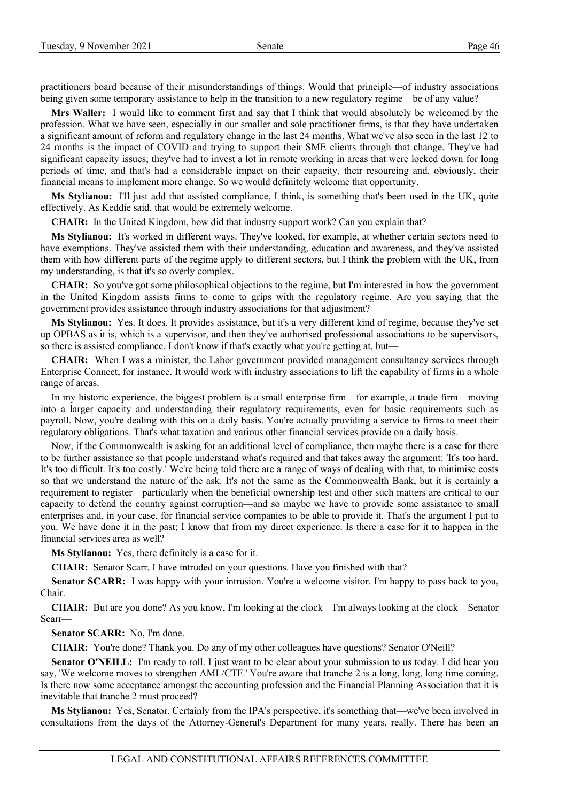practitioners board because of their misunderstandings of things. Would that principle—of industry associations being given some temporary assistance to help in the transition to a new regulatory regime—be of any value?

**Mrs Waller:** I would like to comment first and say that I think that would absolutely be welcomed by the profession. What we have seen, especially in our smaller and sole practitioner firms, is that they have undertaken a significant amount of reform and regulatory change in the last 24 months. What we've also seen in the last 12 to 24 months is the impact of COVID and trying to support their SME clients through that change. They've had significant capacity issues; they've had to invest a lot in remote working in areas that were locked down for long periods of time, and that's had a considerable impact on their capacity, their resourcing and, obviously, their financial means to implement more change. So we would definitely welcome that opportunity.

**Ms Stylianou:** I'll just add that assisted compliance, I think, is something that's been used in the UK, quite effectively. As Keddie said, that would be extremely welcome.

**CHAIR:** In the United Kingdom, how did that industry support work? Can you explain that?

**Ms Stylianou:** It's worked in different ways. They've looked, for example, at whether certain sectors need to have exemptions. They've assisted them with their understanding, education and awareness, and they've assisted them with how different parts of the regime apply to different sectors, but I think the problem with the UK, from my understanding, is that it's so overly complex.

**CHAIR:** So you've got some philosophical objections to the regime, but I'm interested in how the government in the United Kingdom assists firms to come to grips with the regulatory regime. Are you saying that the government provides assistance through industry associations for that adjustment?

**Ms Stylianou:** Yes. It does. It provides assistance, but it's a very different kind of regime, because they've set up OPBAS as it is, which is a supervisor, and then they've authorised professional associations to be supervisors, so there is assisted compliance. I don't know if that's exactly what you're getting at, but—

**CHAIR:** When I was a minister, the Labor government provided management consultancy services through Enterprise Connect, for instance. It would work with industry associations to lift the capability of firms in a whole range of areas.

In my historic experience, the biggest problem is a small enterprise firm—for example, a trade firm—moving into a larger capacity and understanding their regulatory requirements, even for basic requirements such as payroll. Now, you're dealing with this on a daily basis. You're actually providing a service to firms to meet their regulatory obligations. That's what taxation and various other financial services provide on a daily basis.

Now, if the Commonwealth is asking for an additional level of compliance, then maybe there is a case for there to be further assistance so that people understand what's required and that takes away the argument: 'It's too hard. It's too difficult. It's too costly.' We're being told there are a range of ways of dealing with that, to minimise costs so that we understand the nature of the ask. It's not the same as the Commonwealth Bank, but it is certainly a requirement to register—particularly when the beneficial ownership test and other such matters are critical to our capacity to defend the country against corruption—and so maybe we have to provide some assistance to small enterprises and, in your case, for financial service companies to be able to provide it. That's the argument I put to you. We have done it in the past; I know that from my direct experience. Is there a case for it to happen in the financial services area as well?

**Ms Stylianou:** Yes, there definitely is a case for it.

**CHAIR:** Senator Scarr, I have intruded on your questions. Have you finished with that?

**Senator SCARR:** I was happy with your intrusion. You're a welcome visitor. I'm happy to pass back to you, Chair.

**CHAIR:** But are you done? As you know, I'm looking at the clock—I'm always looking at the clock—Senator Scarr—

**Senator SCARR:** No, I'm done.

**CHAIR:** You're done? Thank you. Do any of my other colleagues have questions? Senator O'Neill?

**Senator O'NEILL:** I'm ready to roll. I just want to be clear about your submission to us today. I did hear you say, 'We welcome moves to strengthen AML/CTF.' You're aware that tranche 2 is a long, long, long time coming. Is there now some acceptance amongst the accounting profession and the Financial Planning Association that it is inevitable that tranche 2 must proceed?

**Ms Stylianou:** Yes, Senator. Certainly from the IPA's perspective, it's something that—we've been involved in consultations from the days of the Attorney-General's Department for many years, really. There has been an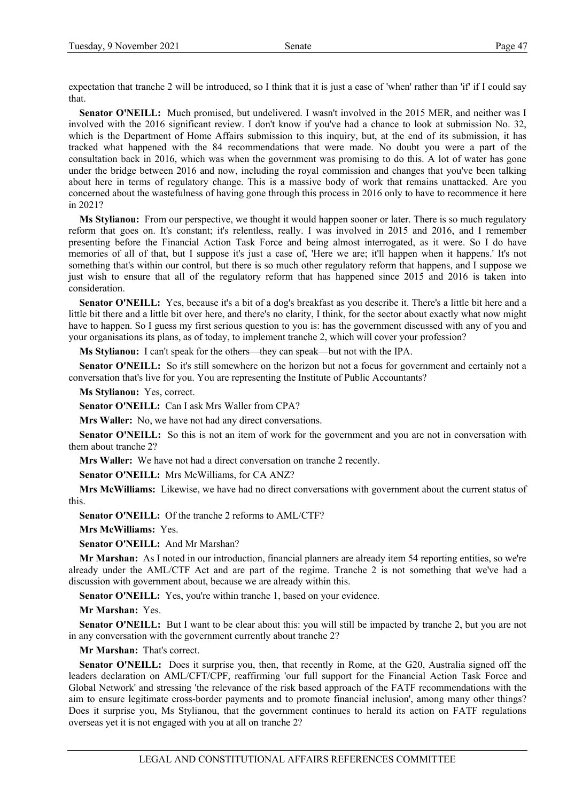expectation that tranche 2 will be introduced, so I think that it is just a case of 'when' rather than 'if' if I could say that.

**Senator O'NEILL:** Much promised, but undelivered. I wasn't involved in the 2015 MER, and neither was I involved with the 2016 significant review. I don't know if you've had a chance to look at submission No. 32, which is the Department of Home Affairs submission to this inquiry, but, at the end of its submission, it has tracked what happened with the 84 recommendations that were made. No doubt you were a part of the consultation back in 2016, which was when the government was promising to do this. A lot of water has gone under the bridge between 2016 and now, including the royal commission and changes that you've been talking about here in terms of regulatory change. This is a massive body of work that remains unattacked. Are you concerned about the wastefulness of having gone through this process in 2016 only to have to recommence it here in 2021?

**Ms Stylianou:** From our perspective, we thought it would happen sooner or later. There is so much regulatory reform that goes on. It's constant; it's relentless, really. I was involved in 2015 and 2016, and I remember presenting before the Financial Action Task Force and being almost interrogated, as it were. So I do have memories of all of that, but I suppose it's just a case of, 'Here we are; it'll happen when it happens.' It's not something that's within our control, but there is so much other regulatory reform that happens, and I suppose we just wish to ensure that all of the regulatory reform that has happened since 2015 and 2016 is taken into consideration.

**Senator O'NEILL:** Yes, because it's a bit of a dog's breakfast as you describe it. There's a little bit here and a little bit there and a little bit over here, and there's no clarity, I think, for the sector about exactly what now might have to happen. So I guess my first serious question to you is: has the government discussed with any of you and your organisations its plans, as of today, to implement tranche 2, which will cover your profession?

**Ms Stylianou:** I can't speak for the others—they can speak—but not with the IPA.

**Senator O'NEILL:** So it's still somewhere on the horizon but not a focus for government and certainly not a conversation that's live for you. You are representing the Institute of Public Accountants?

**Ms Stylianou:** Yes, correct.

**Senator O'NEILL:** Can I ask Mrs Waller from CPA?

**Mrs Waller:** No, we have not had any direct conversations.

**Senator O'NEILL:** So this is not an item of work for the government and you are not in conversation with them about tranche 2?

**Mrs Waller:** We have not had a direct conversation on tranche 2 recently.

**Senator O'NEILL:** Mrs McWilliams, for CA ANZ?

**Mrs McWilliams:** Likewise, we have had no direct conversations with government about the current status of this.

**Senator O'NEILL:** Of the tranche 2 reforms to AML/CTF?

**Mrs McWilliams:** Yes.

**Senator O'NEILL:** And Mr Marshan?

**Mr Marshan:** As I noted in our introduction, financial planners are already item 54 reporting entities, so we're already under the AML/CTF Act and are part of the regime. Tranche 2 is not something that we've had a discussion with government about, because we are already within this.

**Senator O'NEILL:** Yes, you're within tranche 1, based on your evidence.

**Mr Marshan:** Yes.

**Senator O'NEILL:** But I want to be clear about this: you will still be impacted by tranche 2, but you are not in any conversation with the government currently about tranche 2?

**Mr Marshan:** That's correct.

**Senator O'NEILL:** Does it surprise you, then, that recently in Rome, at the G20, Australia signed off the leaders declaration on AML/CFT/CPF, reaffirming 'our full support for the Financial Action Task Force and Global Network' and stressing 'the relevance of the risk based approach of the FATF recommendations with the aim to ensure legitimate cross-border payments and to promote financial inclusion', among many other things? Does it surprise you, Ms Stylianou, that the government continues to herald its action on FATF regulations overseas yet it is not engaged with you at all on tranche 2?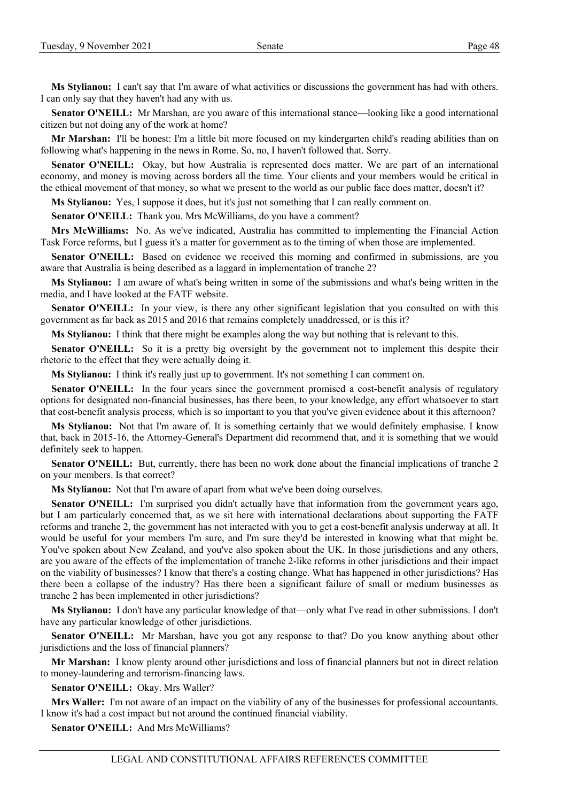**Ms Stylianou:** I can't say that I'm aware of what activities or discussions the government has had with others. I can only say that they haven't had any with us.

**Senator O'NEILL:** Mr Marshan, are you aware of this international stance—looking like a good international citizen but not doing any of the work at home?

**Mr Marshan:** I'll be honest: I'm a little bit more focused on my kindergarten child's reading abilities than on following what's happening in the news in Rome. So, no, I haven't followed that. Sorry.

**Senator O'NEILL:** Okay, but how Australia is represented does matter. We are part of an international economy, and money is moving across borders all the time. Your clients and your members would be critical in the ethical movement of that money, so what we present to the world as our public face does matter, doesn't it?

**Ms Stylianou:** Yes, I suppose it does, but it's just not something that I can really comment on.

**Senator O'NEILL:** Thank you. Mrs McWilliams, do you have a comment?

**Mrs McWilliams:** No. As we've indicated, Australia has committed to implementing the Financial Action Task Force reforms, but I guess it's a matter for government as to the timing of when those are implemented.

**Senator O'NEILL:** Based on evidence we received this morning and confirmed in submissions, are you aware that Australia is being described as a laggard in implementation of tranche 2?

**Ms Stylianou:** I am aware of what's being written in some of the submissions and what's being written in the media, and I have looked at the FATF website.

**Senator O'NEILL:** In your view, is there any other significant legislation that you consulted on with this government as far back as 2015 and 2016 that remains completely unaddressed, or is this it?

**Ms Stylianou:** I think that there might be examples along the way but nothing that is relevant to this.

**Senator O'NEILL:** So it is a pretty big oversight by the government not to implement this despite their rhetoric to the effect that they were actually doing it.

**Ms Stylianou:** I think it's really just up to government. It's not something I can comment on.

**Senator O'NEILL:** In the four years since the government promised a cost-benefit analysis of regulatory options for designated non-financial businesses, has there been, to your knowledge, any effort whatsoever to start that cost-benefit analysis process, which is so important to you that you've given evidence about it this afternoon?

**Ms Stylianou:** Not that I'm aware of. It is something certainly that we would definitely emphasise. I know that, back in 2015-16, the Attorney-General's Department did recommend that, and it is something that we would definitely seek to happen.

**Senator O'NEILL:** But, currently, there has been no work done about the financial implications of tranche 2 on your members. Is that correct?

**Ms Stylianou:** Not that I'm aware of apart from what we've been doing ourselves.

**Senator O'NEILL:** I'm surprised you didn't actually have that information from the government years ago, but I am particularly concerned that, as we sit here with international declarations about supporting the FATF reforms and tranche 2, the government has not interacted with you to get a cost-benefit analysis underway at all. It would be useful for your members I'm sure, and I'm sure they'd be interested in knowing what that might be. You've spoken about New Zealand, and you've also spoken about the UK. In those jurisdictions and any others, are you aware of the effects of the implementation of tranche 2-like reforms in other jurisdictions and their impact on the viability of businesses? I know that there's a costing change. What has happened in other jurisdictions? Has there been a collapse of the industry? Has there been a significant failure of small or medium businesses as tranche 2 has been implemented in other jurisdictions?

**Ms Stylianou:** I don't have any particular knowledge of that—only what I've read in other submissions. I don't have any particular knowledge of other jurisdictions.

**Senator O'NEILL:** Mr Marshan, have you got any response to that? Do you know anything about other jurisdictions and the loss of financial planners?

**Mr Marshan:** I know plenty around other jurisdictions and loss of financial planners but not in direct relation to money-laundering and terrorism-financing laws.

**Senator O'NEILL:** Okay. Mrs Waller?

**Mrs Waller:** I'm not aware of an impact on the viability of any of the businesses for professional accountants. I know it's had a cost impact but not around the continued financial viability.

**Senator O'NEILL:** And Mrs McWilliams?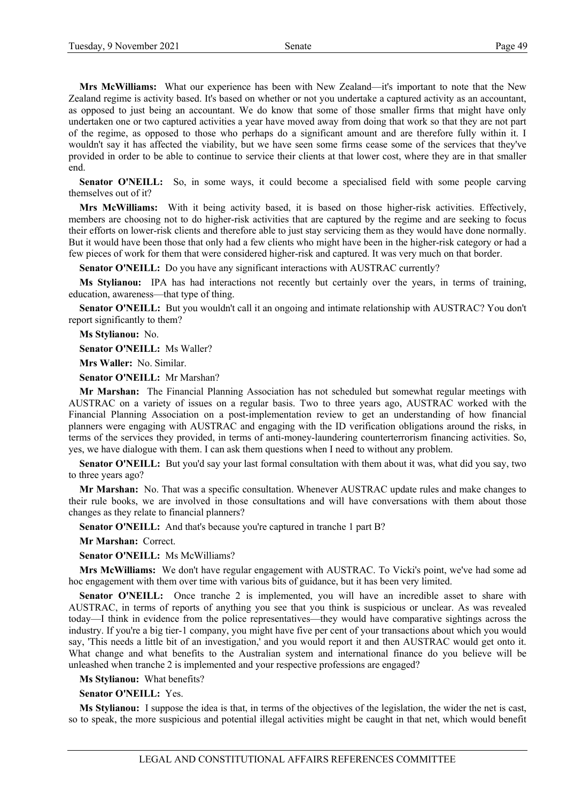**Mrs McWilliams:** What our experience has been with New Zealand—it's important to note that the New Zealand regime is activity based. It's based on whether or not you undertake a captured activity as an accountant, as opposed to just being an accountant. We do know that some of those smaller firms that might have only undertaken one or two captured activities a year have moved away from doing that work so that they are not part of the regime, as opposed to those who perhaps do a significant amount and are therefore fully within it. I wouldn't say it has affected the viability, but we have seen some firms cease some of the services that they've provided in order to be able to continue to service their clients at that lower cost, where they are in that smaller end.

Senator O'NEILL: So, in some ways, it could become a specialised field with some people carving themselves out of it?

**Mrs McWilliams:** With it being activity based, it is based on those higher-risk activities. Effectively, members are choosing not to do higher-risk activities that are captured by the regime and are seeking to focus their efforts on lower-risk clients and therefore able to just stay servicing them as they would have done normally. But it would have been those that only had a few clients who might have been in the higher-risk category or had a few pieces of work for them that were considered higher-risk and captured. It was very much on that border.

**Senator O'NEILL:** Do you have any significant interactions with AUSTRAC currently?

**Ms Stylianou:** IPA has had interactions not recently but certainly over the years, in terms of training, education, awareness—that type of thing.

**Senator O'NEILL:** But you wouldn't call it an ongoing and intimate relationship with AUSTRAC? You don't report significantly to them?

**Ms Stylianou:** No.

**Senator O'NEILL:** Ms Waller?

**Mrs Waller:** No. Similar.

**Senator O'NEILL:** Mr Marshan?

**Mr Marshan:** The Financial Planning Association has not scheduled but somewhat regular meetings with AUSTRAC on a variety of issues on a regular basis. Two to three years ago, AUSTRAC worked with the Financial Planning Association on a post-implementation review to get an understanding of how financial planners were engaging with AUSTRAC and engaging with the ID verification obligations around the risks, in terms of the services they provided, in terms of anti-money-laundering counterterrorism financing activities. So, yes, we have dialogue with them. I can ask them questions when I need to without any problem.

**Senator O'NEILL:** But you'd say your last formal consultation with them about it was, what did you say, two to three years ago?

**Mr Marshan:** No. That was a specific consultation. Whenever AUSTRAC update rules and make changes to their rule books, we are involved in those consultations and will have conversations with them about those changes as they relate to financial planners?

Senator O'NEILL: And that's because you're captured in tranche 1 part B?

**Mr Marshan:** Correct.

**Senator O'NEILL:** Ms McWilliams?

**Mrs McWilliams:** We don't have regular engagement with AUSTRAC. To Vicki's point, we've had some ad hoc engagement with them over time with various bits of guidance, but it has been very limited.

**Senator O'NEILL:** Once tranche 2 is implemented, you will have an incredible asset to share with AUSTRAC, in terms of reports of anything you see that you think is suspicious or unclear. As was revealed today—I think in evidence from the police representatives—they would have comparative sightings across the industry. If you're a big tier-1 company, you might have five per cent of your transactions about which you would say, 'This needs a little bit of an investigation,' and you would report it and then AUSTRAC would get onto it. What change and what benefits to the Australian system and international finance do you believe will be unleashed when tranche 2 is implemented and your respective professions are engaged?

**Ms Stylianou:** What benefits?

**Senator O'NEILL:** Yes.

**Ms Stylianou:** I suppose the idea is that, in terms of the objectives of the legislation, the wider the net is cast, so to speak, the more suspicious and potential illegal activities might be caught in that net, which would benefit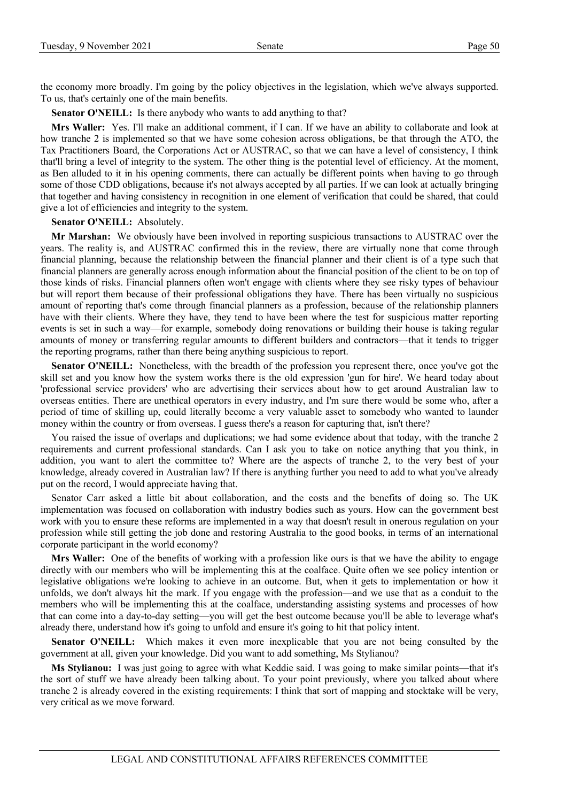the economy more broadly. I'm going by the policy objectives in the legislation, which we've always supported. To us, that's certainly one of the main benefits.

**Senator O'NEILL:** Is there anybody who wants to add anything to that?

**Mrs Waller:** Yes. I'll make an additional comment, if I can. If we have an ability to collaborate and look at how tranche 2 is implemented so that we have some cohesion across obligations, be that through the ATO, the Tax Practitioners Board, the Corporations Act or AUSTRAC, so that we can have a level of consistency, I think that'll bring a level of integrity to the system. The other thing is the potential level of efficiency. At the moment, as Ben alluded to it in his opening comments, there can actually be different points when having to go through some of those CDD obligations, because it's not always accepted by all parties. If we can look at actually bringing that together and having consistency in recognition in one element of verification that could be shared, that could give a lot of efficiencies and integrity to the system.

#### **Senator O'NEILL:** Absolutely.

**Mr Marshan:** We obviously have been involved in reporting suspicious transactions to AUSTRAC over the years. The reality is, and AUSTRAC confirmed this in the review, there are virtually none that come through financial planning, because the relationship between the financial planner and their client is of a type such that financial planners are generally across enough information about the financial position of the client to be on top of those kinds of risks. Financial planners often won't engage with clients where they see risky types of behaviour but will report them because of their professional obligations they have. There has been virtually no suspicious amount of reporting that's come through financial planners as a profession, because of the relationship planners have with their clients. Where they have, they tend to have been where the test for suspicious matter reporting events is set in such a way—for example, somebody doing renovations or building their house is taking regular amounts of money or transferring regular amounts to different builders and contractors—that it tends to trigger the reporting programs, rather than there being anything suspicious to report.

**Senator O'NEILL:** Nonetheless, with the breadth of the profession you represent there, once you've got the skill set and you know how the system works there is the old expression 'gun for hire'. We heard today about 'professional service providers' who are advertising their services about how to get around Australian law to overseas entities. There are unethical operators in every industry, and I'm sure there would be some who, after a period of time of skilling up, could literally become a very valuable asset to somebody who wanted to launder money within the country or from overseas. I guess there's a reason for capturing that, isn't there?

You raised the issue of overlaps and duplications; we had some evidence about that today, with the tranche 2 requirements and current professional standards. Can I ask you to take on notice anything that you think, in addition, you want to alert the committee to? Where are the aspects of tranche 2, to the very best of your knowledge, already covered in Australian law? If there is anything further you need to add to what you've already put on the record, I would appreciate having that.

Senator Carr asked a little bit about collaboration, and the costs and the benefits of doing so. The UK implementation was focused on collaboration with industry bodies such as yours. How can the government best work with you to ensure these reforms are implemented in a way that doesn't result in onerous regulation on your profession while still getting the job done and restoring Australia to the good books, in terms of an international corporate participant in the world economy?

**Mrs Waller:** One of the benefits of working with a profession like ours is that we have the ability to engage directly with our members who will be implementing this at the coalface. Quite often we see policy intention or legislative obligations we're looking to achieve in an outcome. But, when it gets to implementation or how it unfolds, we don't always hit the mark. If you engage with the profession—and we use that as a conduit to the members who will be implementing this at the coalface, understanding assisting systems and processes of how that can come into a day-to-day setting—you will get the best outcome because you'll be able to leverage what's already there, understand how it's going to unfold and ensure it's going to hit that policy intent.

**Senator O'NEILL:** Which makes it even more inexplicable that you are not being consulted by the government at all, given your knowledge. Did you want to add something, Ms Stylianou?

**Ms Stylianou:** I was just going to agree with what Keddie said. I was going to make similar points—that it's the sort of stuff we have already been talking about. To your point previously, where you talked about where tranche 2 is already covered in the existing requirements: I think that sort of mapping and stocktake will be very, very critical as we move forward.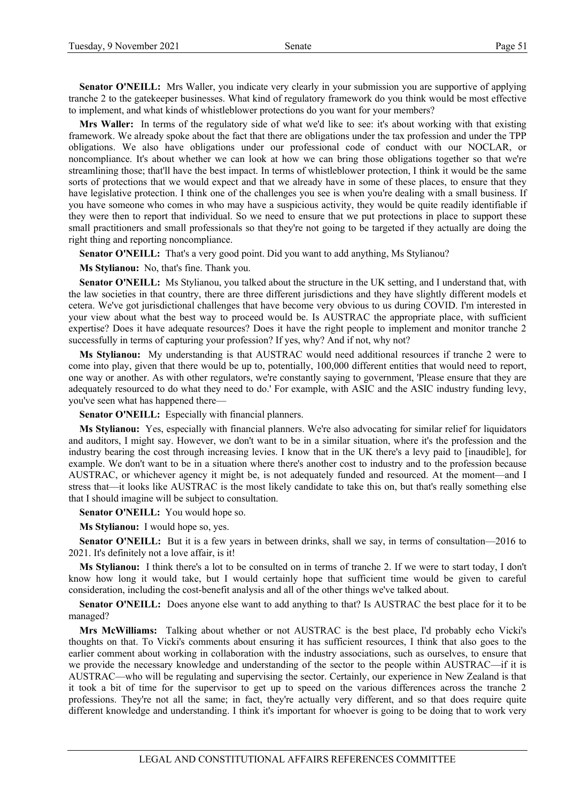**Senator O'NEILL:** Mrs Waller, you indicate very clearly in your submission you are supportive of applying tranche 2 to the gatekeeper businesses. What kind of regulatory framework do you think would be most effective to implement, and what kinds of whistleblower protections do you want for your members?

**Mrs Waller:** In terms of the regulatory side of what we'd like to see: it's about working with that existing framework. We already spoke about the fact that there are obligations under the tax profession and under the TPP obligations. We also have obligations under our professional code of conduct with our NOCLAR, or noncompliance. It's about whether we can look at how we can bring those obligations together so that we're streamlining those; that'll have the best impact. In terms of whistleblower protection, I think it would be the same sorts of protections that we would expect and that we already have in some of these places, to ensure that they have legislative protection. I think one of the challenges you see is when you're dealing with a small business. If you have someone who comes in who may have a suspicious activity, they would be quite readily identifiable if they were then to report that individual. So we need to ensure that we put protections in place to support these small practitioners and small professionals so that they're not going to be targeted if they actually are doing the right thing and reporting noncompliance.

Senator O'NEILL: That's a very good point. Did you want to add anything, Ms Stylianou?

**Ms Stylianou:** No, that's fine. Thank you.

**Senator O'NEILL:** Ms Stylianou, you talked about the structure in the UK setting, and I understand that, with the law societies in that country, there are three different jurisdictions and they have slightly different models et cetera. We've got jurisdictional challenges that have become very obvious to us during COVID. I'm interested in your view about what the best way to proceed would be. Is AUSTRAC the appropriate place, with sufficient expertise? Does it have adequate resources? Does it have the right people to implement and monitor tranche 2 successfully in terms of capturing your profession? If yes, why? And if not, why not?

**Ms Stylianou:** My understanding is that AUSTRAC would need additional resources if tranche 2 were to come into play, given that there would be up to, potentially, 100,000 different entities that would need to report, one way or another. As with other regulators, we're constantly saying to government, 'Please ensure that they are adequately resourced to do what they need to do.' For example, with ASIC and the ASIC industry funding levy, you've seen what has happened there—

**Senator O'NEILL:** Especially with financial planners.

**Ms Stylianou:** Yes, especially with financial planners. We're also advocating for similar relief for liquidators and auditors, I might say. However, we don't want to be in a similar situation, where it's the profession and the industry bearing the cost through increasing levies. I know that in the UK there's a levy paid to [inaudible], for example. We don't want to be in a situation where there's another cost to industry and to the profession because AUSTRAC, or whichever agency it might be, is not adequately funded and resourced. At the moment—and I stress that—it looks like AUSTRAC is the most likely candidate to take this on, but that's really something else that I should imagine will be subject to consultation.

**Senator O'NEILL:** You would hope so.

**Ms Stylianou:** I would hope so, yes.

**Senator O'NEILL:** But it is a few years in between drinks, shall we say, in terms of consultation—2016 to 2021. It's definitely not a love affair, is it!

**Ms Stylianou:** I think there's a lot to be consulted on in terms of tranche 2. If we were to start today, I don't know how long it would take, but I would certainly hope that sufficient time would be given to careful consideration, including the cost-benefit analysis and all of the other things we've talked about.

**Senator O'NEILL:** Does anyone else want to add anything to that? Is AUSTRAC the best place for it to be managed?

**Mrs McWilliams:** Talking about whether or not AUSTRAC is the best place, I'd probably echo Vicki's thoughts on that. To Vicki's comments about ensuring it has sufficient resources, I think that also goes to the earlier comment about working in collaboration with the industry associations, such as ourselves, to ensure that we provide the necessary knowledge and understanding of the sector to the people within AUSTRAC—if it is AUSTRAC—who will be regulating and supervising the sector. Certainly, our experience in New Zealand is that it took a bit of time for the supervisor to get up to speed on the various differences across the tranche 2 professions. They're not all the same; in fact, they're actually very different, and so that does require quite different knowledge and understanding. I think it's important for whoever is going to be doing that to work very